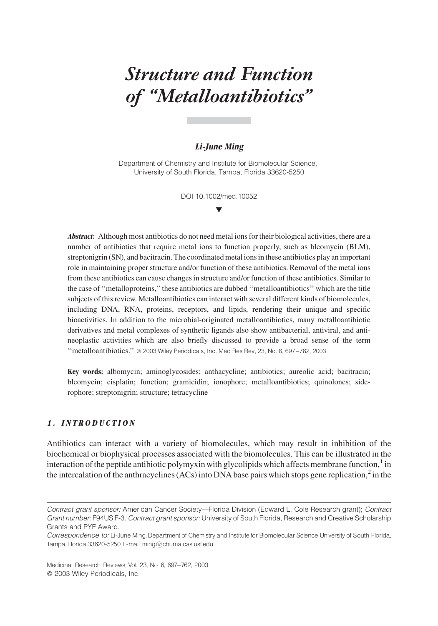# Structure and Function of ''Metalloantibiotics''

# Li-June Ming

Department of Chemistry and Institute for Biomolecular Science, University of South Florida, Tampa, Florida 33620-5250

> DOI 10.1002/med.10052  $\overline{\mathbf{v}}$

**Abstract:** Although most antibiotics do not need metal ions for their biological activities, there are a number of antibiotics that require metal ions to function properly, such as bleomycin (BLM), streptonigrin (SN), and bacitracin. The coordinated metal ions in these antibiotics play an important role in maintaining proper structure and/or function of these antibiotics. Removal of the metal ions from these antibiotics can cause changes in structure and/or function of these antibiotics. Similar to the case of ''metalloproteins,'' these antibiotics are dubbed ''metalloantibiotics'' which are the title subjects of this review. Metalloantibiotics can interact with several different kinds of biomolecules, including DNA, RNA, proteins, receptors, and lipids, rendering their unique and specific bioactivities. In addition to the microbial-originated metalloantibiotics, many metalloantibiotic derivatives and metal complexes of synthetic ligands also show antibacterial, antiviral, and antineoplastic activities which are also briefly discussed to provide a broad sense of the term "metalloantibiotics." @ 2003 Wiley Periodicals, Inc. Med Res Rev, 23, No. 6, 697-762, 2003

Key words: albomycin; aminoglycosides; anthacycline; antibiotics; aureolic acid; bacitracin; bleomycin; cisplatin; function; gramicidin; ionophore; metalloantibiotics; quinolones; siderophore; streptonigrin; structure; tetracycline

# 1. INTRODUCTION

Antibiotics can interact with a variety of biomolecules, which may result in inhibition of the biochemical or biophysical processes associated with the biomolecules. This can be illustrated in the interaction of the peptide antibiotic polymyxin with glycolipids which affects membrane function, $\frac{1}{1}$  in the intercalation of the anthracyclines (ACs) into DNA base pairs which stops gene replication,<sup>2</sup> in the

Contract grant sponsor: American Cancer Society—Florida Division (Edward L. Cole Research grant); Contract Grant number: F94US F-3. Contract grant sponsor: University of South Florida, Research and Creative Scholarship Grants and PYF Award.

Correspondence to: Li-June Ming, Department of Chemistry and Institute for Biomolecular Science University of South Florida, Tampa,Florida 33620-5250.E-mail: ming@chuma.cas.usf.edu

Medicinal Research Reviews, Vol. 23, No. 6, 697-762, 2003 2003 Wiley Periodicals, Inc.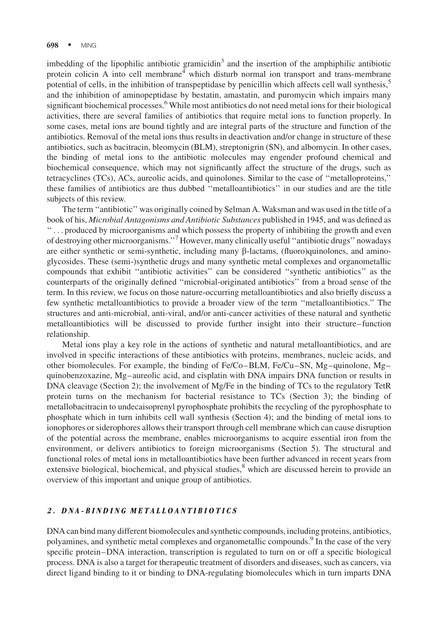imbedding of the lipophilic antibiotic gramicidin<sup>3</sup> and the insertion of the amphiphilic antibiotic protein colicin A into cell membrane<sup>4</sup> which disturb normal ion transport and trans-membrane potential of cells, in the inhibition of transpeptidase by penicillin which affects cell wall synthesis,<sup>5</sup> and the inhibition of aminopeptidase by bestatin, amastatin, and puromycin which impairs many significant biochemical processes.<sup>6</sup> While most antibiotics do not need metal ions for their biological activities, there are several families of antibiotics that require metal ions to function properly. In some cases, metal ions are bound tightly and are integral parts of the structure and function of the antibiotics. Removal of the metal ions thus results in deactivation and/or change in structure of these antibiotics, such as bacitracin, bleomycin (BLM), streptonigrin (SN), and albomycin. In other cases, the binding of metal ions to the antibiotic molecules may engender profound chemical and biochemical consequence, which may not significantly affect the structure of the drugs, such as tetracyclines (TCs), ACs, aureolic acids, and quinolones. Similar to the case of ''metalloproteins,'' these families of antibiotics are thus dubbed ''metalloantibiotics'' in our studies and are the title subjects of this review.

The term ''antibiotic'' was originally coined by Selman A. Waksman and was used in the title of a book of his, Microbial Antagonisms and Antibiotic Substances published in 1945, and was defined as '' ... produced by microorganisms and which possess the property of inhibiting the growth and even of destroying other microorganisms.''<sup>7</sup> However, many clinically useful ''antibiotic drugs'' nowadays are either synthetic or semi-synthetic, including many b-lactams, (fluoro)quinolones, and aminoglycosides. These (semi-)synthetic drugs and many synthetic metal complexes and organometallic compounds that exhibit ''antibiotic activities'' can be considered ''synthetic antibiotics'' as the counterparts of the originally defined ''microbial-originated antibiotics'' from a broad sense of the term. In this review, we focus on those nature-occurring metalloantibiotics and also briefly discuss a few synthetic metalloantibiotics to provide a broader view of the term ''metalloantibiotics.'' The structures and anti-microbial, anti-viral, and/or anti-cancer activities of these natural and synthetic metalloantibiotics will be discussed to provide further insight into their structure–function relationship.

Metal ions play a key role in the actions of synthetic and natural metalloantibiotics, and are involved in specific interactions of these antibiotics with proteins, membranes, nucleic acids, and other biomolecules. For example, the binding of Fe/Co–BLM, Fe/Cu–SN, Mg–quinolone, Mg– quinobenzoxazine, Mg–aureolic acid, and cisplatin with DNA impairs DNA function or results in DNA cleavage (Section 2); the involvement of Mg/Fe in the binding of TCs to the regulatory TetR protein turns on the mechanism for bacterial resistance to TCs (Section 3); the binding of metallobacitracin to undecaisoprenyl pyrophosphate prohibits the recycling of the pyrophosphate to phosphate which in turn inhibits cell wall synthesis (Section 4); and the binding of metal ions to ionophores or siderophores allows their transport through cell membrane which can cause disruption of the potential across the membrane, enables microorganisms to acquire essential iron from the environment, or delivers antibiotics to foreign microorganisms (Section 5). The structural and functional roles of metal ions in metalloantibiotics have been further advanced in recent years from extensive biological, biochemical, and physical studies,<sup>8</sup> which are discussed herein to provide an overview of this important and unique group of antibiotics.

# 2. DNA-BINDING METALLOANTIBIOTICS

DNA can bind many different biomolecules and synthetic compounds, including proteins, antibiotics, polyamines, and synthetic metal complexes and organometallic compounds.<sup>9</sup> In the case of the very specific protein–DNA interaction, transcription is regulated to turn on or off a specific biological process. DNA is also a target for therapeutic treatment of disorders and diseases, such as cancers, via direct ligand binding to it or binding to DNA-regulating biomolecules which in turn imparts DNA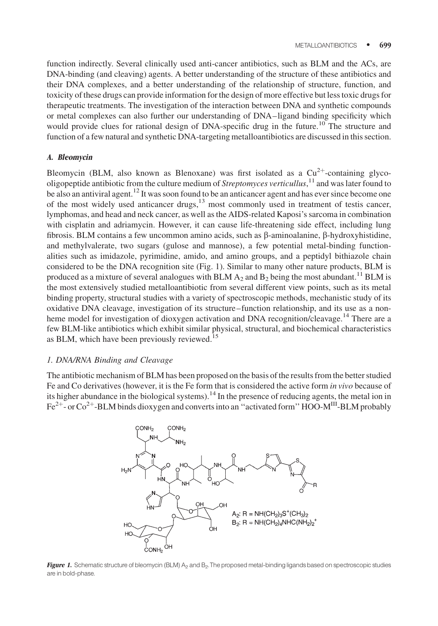function indirectly. Several clinically used anti-cancer antibiotics, such as BLM and the ACs, are DNA-binding (and cleaving) agents. A better understanding of the structure of these antibiotics and their DNA complexes, and a better understanding of the relationship of structure, function, and toxicity of these drugs can provide information for the design of more effective but less toxic drugs for therapeutic treatments. The investigation of the interaction between DNA and synthetic compounds or metal complexes can also further our understanding of DNA–ligand binding specificity which would provide clues for rational design of DNA-specific drug in the future.<sup>10</sup> The structure and function of a few natural and synthetic DNA-targeting metalloantibiotics are discussed in this section.

#### A. Bleomycin

Bleomycin (BLM, also known as Blenoxane) was first isolated as a  $Cu^{2+}$ -containing glycooligopeptide antibiotic from the culture medium of Streptomyces verticullus,<sup>11</sup> and was later found to be also an antiviral agent.<sup>12</sup> It was soon found to be an anticancer agent and has ever since become one of the most widely used anticancer drugs, $13 \text{ most commonly used in treatment of testis cancer}$ , lymphomas, and head and neck cancer, as well as the AIDS-related Kaposi's sarcoma in combination with cisplatin and adriamycin. However, it can cause life-threatening side effect, including lung fibrosis. BLM contains a few uncommon amino acids, such as  $\beta$ -aminoalanine,  $\beta$ -hydroxyhistidine, and methylvalerate, two sugars (gulose and mannose), a few potential metal-binding functionalities such as imidazole, pyrimidine, amido, and amino groups, and a peptidyl bithiazole chain considered to be the DNA recognition site (Fig. 1). Similar to many other nature products, BLM is produced as a mixture of several analogues with BLM  $A_2$  and  $B_2$  being the most abundant.<sup>11</sup> BLM is the most extensively studied metalloantibiotic from several different view points, such as its metal binding property, structural studies with a variety of spectroscopic methods, mechanistic study of its oxidative DNA cleavage, investigation of its structure–function relationship, and its use as a nonheme model for investigation of dioxygen activation and DNA recognition/cleavage.<sup>14</sup> There are a few BLM-like antibiotics which exhibit similar physical, structural, and biochemical characteristics as BLM, which have been previously reviewed.<sup>15</sup>

#### 1. DNA/RNA Binding and Cleavage

The antibiotic mechanism of BLM has been proposed on the basis of the results from the better studied Fe and Co derivatives (however, it is the Fe form that is considered the active form in vivo because of its higher abundance in the biological systems).<sup>14</sup> In the presence of reducing agents, the metal ion in  $\text{Fe}^{2+}$ - or Co<sup>2+</sup>-BLM binds dioxygen and converts into an "activated form" HOO-M<sup>III</sup>-BLM probably



Figure 1. Schematic structure of bleomycin (BLM) A<sub>2</sub> and B<sub>2</sub>. The proposed metal-binding ligands based on spectroscopic studies are in bold-phase.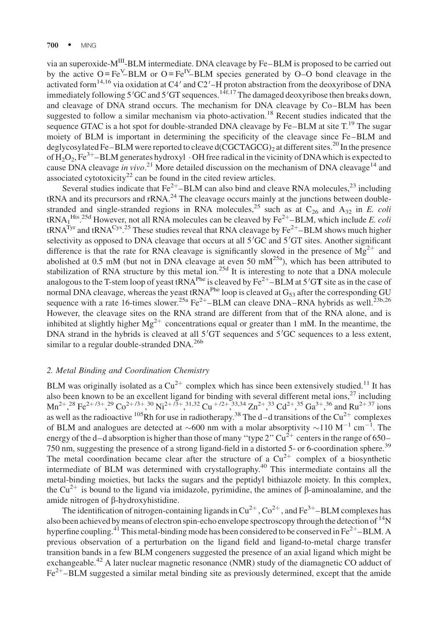via an superoxide-M<sup>III</sup>-BLM intermediate. DNA cleavage by Fe–BLM is proposed to be carried out by the active  $O = Fe^V - BLM$  or  $O = Fe^{IV} - BLM$  species generated by  $O - O$  bond cleavage in the activated form<sup>14,16</sup> via oxidation at C4' and C2'–H proton abstraction from the deoxyribose of DNA immediately following 5'GC and 5'GT sequences.  $1^{4}f$ , 17 The damaged deoxyribose then breaks down, and cleavage of DNA strand occurs. The mechanism for DNA cleavage by Co–BLM has been suggested to follow a similar mechanism via photo-activation.<sup>18</sup> Recent studies indicated that the sequence GTAC is a hot spot for double-stranded DNA cleavage by  $Fe-BLM$  at site  $T<sup>19</sup>$  The sugar moiety of BLM is important in determining the specificity of the cleavage since Fe–BLM and deglycosylated Fe–BLM were reported to cleave d(CGCTAGCG)<sub>2</sub> at different sites.<sup>20</sup> In the presence of  $H_2O_2$ , Fe<sup>3+</sup>–BLM generates hydroxyl  $\cdot$  OH free radical in the vicinity of DNA which is expected to cause DNA cleavage in vivo.<sup>21</sup> More detailed discussion on the mechanism of DNA cleavage<sup>14</sup> and associated cytotoxicity<sup>22</sup> can be found in the cited review articles.

Several studies indicate that  $Fe^{2+}$ –BLM can also bind and cleave RNA molecules,<sup>23</sup> including  $tRNA$  and its precursors and  $rRNA$ <sup>24</sup>. The cleavage occurs mainly at the junctions between doublestranded and single-stranded regions in RNA molecules,<sup>25</sup> such as at  $C_{26}$  and  $A_{32}$  in E. coli tRNA<sub>1</sub><sup>His</sup>.<sup>25d</sup> However, not all RNA molecules can be cleaved by Fe<sup>2+</sup>–BLM, which include *E. coli* tRNA<sup>Tyr</sup> and tRNA<sup>Cys</sup>.<sup>25</sup> These studies reveal that RNA cleavage by  $Fe^{2+}$ –BLM shows much higher selectivity as opposed to DNA cleavage that occurs at all 5'GC and 5'GT sites. Another significant difference is that the rate for RNA cleavage is significantly slowed in the presence of  $Mg^{2+}$  and abolished at 0.5 mM (but not in DNA cleavage at even 50 mM<sup>25a</sup>), which has been attributed to stabilization of RNA structure by this metal ion.<sup>25d</sup> It is interesting to note that a DNA molecule analogous to the T-stem loop of yeast tRNA<sup>Phe</sup> is cleaved by  $Fe^{2+}$ –BLM at 5<sup>7</sup>GT site as in the case of normal DNA cleavage, whereas the yeast tRNA<sup>Phe</sup> loop is cleaved at  $G_{53}$  after the corresponding GU sequence with a rate 16-times slower.<sup>25a</sup> Fe<sup>2+</sup>–BLM can cleave DNA–RNA hybrids as well.<sup>23b,26</sup> However, the cleavage sites on the RNA strand are different from that of the RNA alone, and is inhibited at slightly higher  $Mg^{2+}$  concentrations equal or greater than 1 mM. In the meantime, the DNA strand in the hybrids is cleaved at all 5'GT sequences and 5'GC sequences to a less extent, similar to a regular double-stranded DNA.<sup>26b</sup>

#### 2. Metal Binding and Coordination Chemistry

BLM was originally isolated as a  $Cu^{2+}$  complex which has since been extensively studied.<sup>11</sup> It has also been known to be an excellent ligand for binding with several different metal ions, $^{27}$  including  $\text{Mn}^{2+}$ ,  $^{28}$  Fe<sup>2+/3+</sup>,  $^{29}$  Co<sup>2+/3+</sup>,  $^{30}$  Ni<sup>2+/3+</sup>,  $^{31,32}$  Cu<sup>+/2+</sup>,  $^{33,34}$  Zn<sup>2+</sup>,  $^{33}$  Cd<sup>2+</sup>,  $^{35}$  Ga<sup>3+</sup>,  $^{36}$  and Ru<sup>2+37</sup> ions as well as the radioactive  $105$ Rh for use in radiotherapy.<sup>38</sup> The d–d transitions of the Cu<sup>2+</sup> complexes of BLM and analogues are detected at  $\sim$  600 nm with a molar absorptivity  $\sim$ 110 M<sup>-1</sup> cm<sup>-1</sup>. The energy of the d–d absorption is higher than those of many "type 2"  $Cu^{2+}$  centers in the range of 650– 750 nm, suggesting the presence of a strong ligand-field in a distorted 5- or 6-coordination sphere.<sup>39</sup> The metal coordination became clear after the structure of a  $Cu^{2+}$  complex of a biosynthetic intermediate of BLM was determined with crystallography.<sup>40</sup> This intermediate contains all the metal-binding moieties, but lacks the sugars and the peptidyl bithiazole moiety. In this complex, the Cu<sup>2+</sup> is bound to the ligand via imidazole, pyrimidine, the amines of  $\beta$ -aminoalamine, and the amide nitrogen of  $\beta$ -hydroxyhistidine.

The identification of nitrogen-containing ligands in  $Cu^{2+}$ ,  $Co^{2+}$ , and Fe<sup>3+</sup>–BLM complexes has also been achieved by means of electron spin-echo envelope spectroscopy through the detection of <sup>14</sup>N hyperfine coupling.<sup>41</sup> This metal-binding mode has been considered to be conserved in Fe<sup>2+</sup>–BLM. A previous observation of a perturbation on the ligand field and ligand-to-metal charge transfer transition bands in a few BLM congeners suggested the presence of an axial ligand which might be exchangeable.<sup>42</sup> A later nuclear magnetic resonance (NMR) study of the diamagnetic CO adduct of  $Fe<sup>2+</sup>$ –BLM suggested a similar metal binding site as previously determined, except that the amide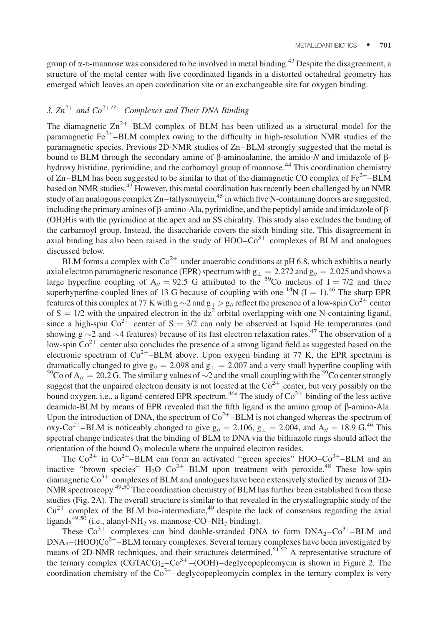group of  $\alpha$ -D-mannose was considered to be involved in metal binding.<sup>43</sup> Despite the disagreement, a structure of the metal center with five coordinated ligands in a distorted octahedral geometry has emerged which leaves an open coordination site or an exchangeable site for oxygen binding.

# 3.  $Zn^{2+}$  and  $Co^{2+/3+}$  Complexes and Their DNA Binding

The diamagnetic  $Zn^{2+}$ –BLM complex of BLM has been utilized as a structural model for the paramagnetic  $Fe^{2+}$ –BLM complex owing to the difficulty in high-resolution NMR studies of the paramagnetic species. Previous 2D-NMR studies of Zn–BLM strongly suggested that the metal is bound to BLM through the secondary amine of  $\beta$ -aminoalanine, the amido-N and imidazole of  $\beta$ hydroxy histidine, pyrimidine, and the carbamoyl group of mannose.<sup>44</sup> This coordination chemistry of Zn–BLM has been suggested to be similar to that of the diamagnetic CO complex of  $Fe^{2+}$ –BLM based on NMR studies.<sup>43</sup> However, this metal coordination has recently been challenged by an NMR study of an analogous complex  $Zn$ -tallysomycin,<sup>45</sup> in which five N-containing donors are suggested, including the primary amines of  $\beta$ -amino-Ala, pyrimidine, and the peptidyl amide and imidazole of  $\beta$ -(OH)His with the pyrimidine at the apex and an SS chirality. This study also excludes the binding of the carbamoyl group. Instead, the disaccharide covers the sixth binding site. This disagreement in axial binding has also been raised in the study of  $HOO-Co<sup>3+</sup>$  complexes of BLM and analogues discussed below.

BLM forms a complex with  $Co^{2+}$  under anaerobic conditions at pH 6.8, which exhibits a nearly axial electron paramagnetic resonance (EPR) spectrum with  $g_{\perp} = 2.272$  and  $g_{\parallel} = 2.025$  and shows a large hyperfine coupling of  $A_{//} = 92.5$  G attributed to the <sup>59</sup>Co nucleus of I = 7/2 and three superhyperfine-coupled lines of 13 G because of coupling with one <sup>14</sup>N (I = 1).<sup>46</sup> The sharp EPR features of this complex at 77 K with g  $\sim$  2 and g<sub>+</sub> > g<sub>/</sub>/ reflect the presence of a low-spin Co<sup>2+</sup> center of  $S = 1/2$  with the unpaired electron in the dz<sup>2</sup> orbital overlapping with one N-containing ligand, since a high-spin  $\text{Co}^{2+}$  center of S = 3/2 can only be observed at liquid He temperatures (and showing  $g \sim 2$  and  $\sim$ 4 features) because of its fast electron relaxation rates.<sup>47</sup> The observation of a low-spin  $Co<sup>2+</sup>$  center also concludes the presence of a strong ligand field as suggested based on the electronic spectrum of  $Cu^{2+}-BLM$  above. Upon oxygen binding at 77 K, the EPR spectrum is dramatically changed to give  $g_{\ell} = 2.098$  and  $g_{\perp} = 2.007$  and a very small hyperfine coupling with <sup>59</sup>Co of A<sub>//</sub> = 20.2 G. The similar g values of  $\sim$ 2 and the small coupling with the <sup>59</sup>Co center strongly suggest that the unpaired electron density is not located at the  $\text{Co}^{2+}$  center, but very possibly on the bound oxygen, i.e., a ligand-centered EPR spectrum.<sup>46a</sup> The study of  $Co^{2+}$  binding of the less active deamido-BLM by means of EPR revealed that the fifth ligand is the amino group of  $\beta$ -amino-Ala. Upon the introduction of DNA, the spectrum of  $Co^{2+}-BLM$  is not changed whereas the spectrum of oxy-Co<sup>2+</sup>–BLM is noticeably changed to give  $g_{\ell} = 2.106$ ,  $g_{\perp} = 2.004$ , and  $A_{\ell} = 18.9$  G.<sup>46</sup> This spectral change indicates that the binding of BLM to DNA via the bithiazole rings should affect the orientation of the bound  $O_2$  molecule where the unpaired electron resides.

The  $Co^{2+}$  in  $Co^{2+}-BLM$  can form an activated "green species" HOO– $Co^{3+}-BLM$  and an inactive "brown species"  $H_2O$ – $Co^{3+}$ –BLM upon treatment with peroxide.<sup>48</sup> These low-spin diamagnetic  $\text{Co}^{3+}$  complexes of BLM and analogues have been extensively studied by means of 2D-NMR spectroscopy.<sup>49,50</sup> The coordination chemistry of BLM has further been established from these studies (Fig. 2A). The overall structure is similar to that revealed in the crystallographic study of the  $Cu^{2+}$  complex of the BLM bio-intermediate,<sup>40</sup> despite the lack of consensus regarding the axial ligands<sup>49,50</sup> (i.e., alanyl-NH<sub>2</sub> vs. mannose-CO–NH<sub>2</sub> binding).

These  $Co^{3+}$  complexes can bind double-stranded DNA to form  $DNA_2-Co^{3+}-BLM$  and  $DNA<sub>2</sub>-(HOO)Co<sup>3+</sup> – BLM$  ternary complexes. Several ternary complexes have been investigated by means of 2D-NMR techniques, and their structures determined.<sup>51,52</sup> A representative structure of the ternary complex  $(CGTACG)<sub>2</sub>-Co<sup>3+</sup>$  –(OOH)–deglycopepleomycin is shown in Figure 2. The coordination chemistry of the  $C_0^{3+}$ -deglycopepleomycin complex in the ternary complex is very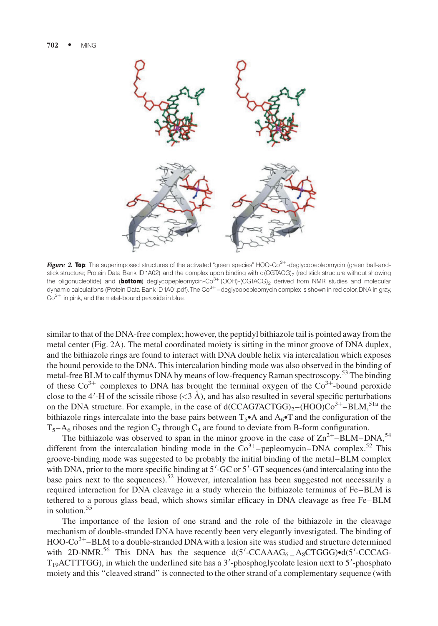

Figure 2. Top: The superimposed structures of the activated "green species" HOO-Co $3+$ -deglycopepleomycin (green ball-andstick structure; Protein Data Bank ID 1A02) and the complex upon binding with d(CGTACG)<sub>2</sub> (red stick structure without showing the oligonucleotide) and (bottom) deglycopepleomycin-Co<sup>3+</sup> (OOH)-(CGTACG)<sub>2</sub> derived from NMR studies and molecular dynamic calculations (Protein Data Bank ID1A01.pdf). The Co<sup>3+</sup> - deglycopepleomycin complex is shown in red color, DNA in gray,  $Co<sup>3+</sup>$  in pink, and the metal-bound peroxide in blue.

similar to that of the DNA-free complex; however, the peptidyl bithiazole tail is pointed away from the metal center (Fig. 2A). The metal coordinated moiety is sitting in the minor groove of DNA duplex, and the bithiazole rings are found to interact with DNA double helix via intercalation which exposes the bound peroxide to the DNA. This intercalation binding mode was also observed in the binding of metal-free BLM to calf thymus DNA by means of low-frequency Raman spectroscopy.<sup>53</sup> The binding of these  $Co^{3+}$  complexes to DNA has brought the terminal oxygen of the  $Co^{3+}$ -bound peroxide close to the 4'-H of the scissile ribose  $(<$ 3 Å), and has also resulted in several specific perturbations on the DNA structure. For example, in the case of  $d(CCAGTACTGG)_{2}-(HOO)CO^{3+}-BLM$ ,<sup>51a</sup> the bithiazole rings intercalate into the base pairs between  $T_5 \bullet A$  and  $A_6 \bullet T$  and the configuration of the  $T_5-A_6$  riboses and the region  $C_2$  through  $C_4$  are found to deviate from B-form configuration.

The bithiazole was observed to span in the minor groove in the case of  $\text{Zn}^{2+}$ –BLM–DNA,<sup>54</sup> different from the intercalation binding mode in the  $Co<sup>3+</sup>$ -pepleomycin–DNA complex.<sup>52</sup> This groove-binding mode was suggested to be probably the initial binding of the metal–BLM complex with DNA, prior to the more specific binding at 5'-GC or 5'-GT sequences (and intercalating into the base pairs next to the sequences).<sup>52</sup> However, intercalation has been suggested not necessarily a required interaction for DNA cleavage in a study wherein the bithiazole terminus of Fe–BLM is tethered to a porous glass bead, which shows similar efficacy in DNA cleavage as free Fe–BLM in solution.<sup>55</sup>

The importance of the lesion of one strand and the role of the bithiazole in the cleavage mechanism of double-stranded DNA have recently been very elegantly investigated. The binding of  $HOO-Co<sup>3+</sup> – BLM$  to a double-stranded DNA with a lesion site was studied and structure determined with 2D-NMR.<sup>56</sup> This DNA has the sequence  $d(5'-CCAAAG<sub>6</sub> - A_8CTGGG) \cdot d(5'-CCCACAG - A_8CTGGG)$  $T_{19}$ ACTTTGG), in which the underlined site has a 3'-phosphoglycolate lesion next to 5'-phosphato moiety and this ''cleaved strand'' is connected to the other strand of a complementary sequence (with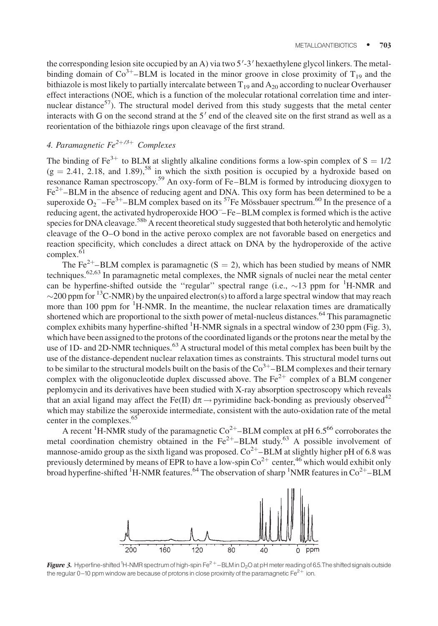the corresponding lesion site occupied by an A) via two 5'-3' hexaethylene glycol linkers. The metalbinding domain of  $Co^{3+}$ –BLM is located in the minor groove in close proximity of  $T_{19}$  and the bithiazole is most likely to partially intercalate between  $T_{19}$  and  $A_{20}$  according to nuclear Overhauser effect interactions (NOE, which is a function of the molecular rotational correlation time and internuclear distance $57$ ). The structural model derived from this study suggests that the metal center interacts with G on the second strand at the  $5'$  end of the cleaved site on the first strand as well as a reorientation of the bithiazole rings upon cleavage of the first strand.

# 4. Paramagnetic  $Fe^{2+/3+}$  Complexes

The binding of Fe<sup>3+</sup> to BLM at slightly alkaline conditions forms a low-spin complex of  $S = 1/2$  $(g = 2.41, 2.18,$  and 1.89),<sup>58</sup> in which the sixth position is occupied by a hydroxide based on resonance Raman spectroscopy.<sup>59</sup> An oxy-form of Fe–BLM is formed by introducing dioxygen to  $Fe<sup>2+</sup>$ –BLM in the absence of reducing agent and DNA. This oxy form has been determined to be a superoxide  $O_2$ <sup>-</sup>-Fe<sup>3+</sup>-BLM complex based on its <sup>57</sup>Fe Mössbauer spectrum.<sup>60</sup> In the presence of a reducing agent, the activated hydroperoxide HOO –Fe–BLM complex is formed which is the active species for DNA cleavage.<sup>58b</sup> A recent theoretical study suggested that both heterolytic and hemolytic cleavage of the O–O bond in the active peroxo complex are not favorable based on energetics and reaction specificity, which concludes a direct attack on DNA by the hydroperoxide of the active  $complex.<sup>61</sup>$ 

The Fe<sup>2+</sup>–BLM complex is paramagnetic (S = 2), which has been studied by means of NMR techniques.<sup>62,63</sup> In paramagnetic metal complexes, the NMR signals of nuclei near the metal center can be hyperfine-shifted outside the "regular" spectral range (i.e.,  $\sim$ 13 ppm for  $^1$ H-NMR and  $\sim$  200 ppm for <sup>13</sup>C-NMR) by the unpaired electron(s) to afford a large spectral window that may reach more than 100 ppm for  ${}^{1}$ H-NMR. In the meantime, the nuclear relaxation times are dramatically shortened which are proportional to the sixth power of metal-nucleus distances.<sup>64</sup> This paramagnetic complex exhibits many hyperfine-shifted <sup>1</sup>H-NMR signals in a spectral window of 230 ppm (Fig. 3), which have been assigned to the protons of the coordinated ligands or the protons near the metal by the use of 1D- and 2D-NMR techniques.<sup>63</sup> A structural model of this metal complex has been built by the use of the distance-dependent nuclear relaxation times as constraints. This structural model turns out to be similar to the structural models built on the basis of the  $Co<sup>3+</sup> – BLM$  complexes and their ternary complex with the oligonucleotide duplex discussed above. The  $Fe^{2+}$  complex of a BLM congener peplomycin and its derivatives have been studied with X-ray absorption spectroscopy which reveals that an axial ligand may affect the Fe(II)  $d\pi \rightarrow$  pyrimidine back-bonding as previously observed<sup>42</sup> which may stabilize the superoxide intermediate, consistent with the auto-oxidation rate of the metal center in the complexes.<sup>65</sup>

A recent <sup>1</sup>H-NMR study of the paramagnetic  $Co^{2+}$ –BLM complex at pH 6.5<sup>66</sup> corroborates the metal coordination chemistry obtained in the  $Fe^{2+}-BLM$  study.<sup>63</sup> A possible involvement of mannose-amido group as the sixth ligand was proposed.  $\text{Co}^{2+}$ –BLM at slightly higher pH of 6.8 was previously determined by means of EPR to have a low-spin  $\text{Co}^{2+}$  center,<sup>46</sup> which would exhibit only broad hyperfine-shifted <sup>I</sup>H-NMR features.<sup>64</sup> The observation of sharp <sup>1</sup>NMR features in  $Co^{2+}-BLM$ 



**Figure 3.** Hyperfine-shifted <sup>1</sup>H-NMR spectrum of high-spin Fe<sup>2+</sup>–BLM in D<sub>2</sub>O at pH meter reading of 6.5.The shifted signals outside the regular 0-10 ppm window are because of protons in close proximity of the paramagnetic Fe<sup>2+</sup> ion.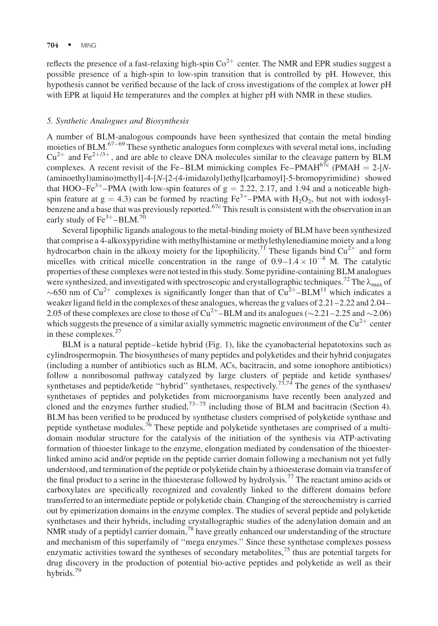#### $704 \cdot \text{MING}$

reflects the presence of a fast-relaxing high-spin  $Co^{2+}$  center. The NMR and EPR studies suggest a possible presence of a high-spin to low-spin transition that is controlled by pH. However, this hypothesis cannot be verified because of the lack of cross investigations of the complex at lower pH with EPR at liquid He temperatures and the complex at higher pH with NMR in these studies.

#### 5. Synthetic Analogues and Biosynthesis

A number of BLM-analogous compounds have been synthesized that contain the metal binding moieties of BLM.<sup>67-69</sup> These synthetic analogues form complexes with several metal ions, including  $Cu^{2+}$  and Fe<sup>2+/3+</sup>, and are able to cleave DNA molecules similar to the cleavage pattern by BLM complexes. A recent revisit of the Fe–BLM mimicking complex Fe–PMAH<sup>67c</sup> (PMAH = 2-[N-(aminoethyl)amino)methyl]-4-[N-[2-(4-imidazolyl)ethyl]carbamoyl]-5-bromopyrimidine) showed that HOO–Fe<sup>3+</sup>–PMA (with low-spin features of  $g = 2.22, 2.17$ , and 1.94 and a noticeable highspin feature at  $g = 4.3$ ) can be formed by reacting Fe<sup>3+</sup>–PMA with H<sub>2</sub>O<sub>2</sub>, but not with iodosylbenzene and a base that was previously reported.<sup>67c</sup> This result is consistent with the observation in an early study of  $Fe^{3+} - BLM$ .<sup>70</sup>

Several lipophilic ligands analogous to the metal-binding moiety of BLM have been synthesized that comprise a 4-alkoxypyridine with methylhistamine or methylethylenediamine moiety and a long hydrocarbon chain in the alkoxy moiety for the lipophilicity.<sup>71</sup> These ligands bind  $Cu^{2+}$  and form micelles with critical micelle concentration in the range of  $0.9-1.4 \times 10^{-4}$  M. The catalytic properties of these complexes were not tested in this study. Some pyridine-containing BLM analogues were synthesized, and investigated with spectroscopic and crystallographic techniques.<sup>72</sup> The  $\lambda_{\text{max}}$  of ~650 nm of Cu<sup>2+</sup> complexes is significantly longer than that of  $Cu^{2+}-BLM^{11}$  which indicates a weaker ligand field in the complexes of these analogues, whereas the g values of 2.21–2.22 and 2.04– 2.05 of these complexes are close to those of Cu<sup>2+</sup>-BLM and its analogues ( $\sim$ 2.21–2.25 and  $\sim$ 2.06) which suggests the presence of a similar axially symmetric magnetic environment of the  $Cu^{2+}$  center in these complexes. $27$ 

BLM is a natural peptide–ketide hybrid (Fig. 1), like the cyanobacterial hepatotoxins such as cylindrospermopsin. The biosyntheses of many peptides and polyketides and their hybrid conjugates (including a number of antibiotics such as BLM, ACs, bacitracin, and some ionophore antibiotics) follow a nonribosomal pathway catalyzed by large clusters of peptide and ketide synthases/ synthetases and peptide/ketide "hybrid" synthetases, respectively.<sup>73,74</sup> The genes of the synthases/ synthetases of peptides and polyketides from microorganisms have recently been analyzed and cloned and the enzymes further studied, $73-75$  including those of BLM and bacitracin (Section 4). BLM has been verified to be produced by synthetase clusters comprised of polyketide synthase and peptide synthetase modules.<sup>76</sup> These peptide and polyketide synthetases are comprised of a multidomain modular structure for the catalysis of the initiation of the synthesis via ATP-activating formation of thioester linkage to the enzyme, elongation mediated by condensation of the thioesterlinked amino acid and/or peptide on the peptide carrier domain following a mechanism not yet fully understood, and termination of the peptide or polyketide chain by a thioesterase domain via transfer of the final product to a serine in the thioesterase followed by hydrolysis.<sup>77</sup> The reactant amino acids or carboxylates are specifically recognized and covalently linked to the different domains before transferred to an intermediate peptide or polyketide chain. Changing of the stereochemistry is carried out by epimerization domains in the enzyme complex. The studies of several peptide and polyketide synthetases and their hybrids, including crystallographic studies of the adenylation domain and an NMR study of a peptidyl carrier domain,<sup>78</sup> have greatly enhanced our understanding of the structure and mechanism of this superfamily of ''mega enzymes.'' Since these synthetase complexes possess enzymatic activities toward the syntheses of secondary metabolites, $^{75}$  thus are potential targets for drug discovery in the production of potential bio-active peptides and polyketide as well as their hybrids.<sup>79</sup>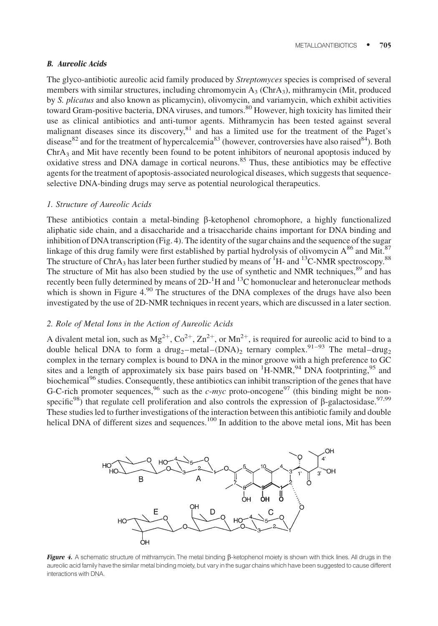# B. Aureolic Acids

The glyco-antibiotic aureolic acid family produced by *Streptomyces* species is comprised of several members with similar structures, including chromomycin  $A_3$  (Chr $A_3$ ), mithramycin (Mit, produced by S. plicatus and also known as plicamycin), olivomycin, and variamycin, which exhibit activities toward Gram-positive bacteria, DNA viruses, and tumors. <sup>80</sup> However, high toxicity has limited their use as clinical antibiotics and anti-tumor agents. Mithramycin has been tested against several malignant diseases since its discovery, <sup>81</sup> and has a limited use for the treatment of the Paget's disease<sup>82</sup> and for the treatment of hypercalcemia<sup>83</sup> (however, controversies have also raised<sup>84</sup>). Both  $ChrA<sub>3</sub>$  and Mit have recently been found to be potent inhibitors of neuronal apoptosis induced by oxidative stress and DNA damage in cortical neurons.<sup>85</sup> Thus, these antibiotics may be effective agents for the treatment of apoptosis-associated neurological diseases, which suggests that sequenceselective DNA-binding drugs may serve as potential neurological therapeutics.

#### 1. Structure of Aureolic Acids

These antibiotics contain a metal-binding  $\beta$ -ketophenol chromophore, a highly functionalized aliphatic side chain, and a disaccharide and a trisaccharide chains important for DNA binding and inhibition of DNA transcription (Fig. 4). The identity of the sugar chains and the sequence of the sugar linkage of this drug family were first established by partial hydrolysis of olivomycin  $A^{86}$  and Mit.<sup>87</sup> The structure of ChrA<sub>3</sub> has later been further studied by means of <sup>1</sup>H- and <sup>13</sup>C-NMR spectroscopy.<sup>88</sup> The structure of Mit has also been studied by the use of synthetic and NMR techniques, <sup>89</sup> and has recently been fully determined by means of  $2D^{-1}H$  and  $13C$  homonuclear and heteronuclear methods which is shown in Figure  $4.90$  The structures of the DNA complexes of the drugs have also been investigated by the use of 2D-NMR techniques in recent years, which are discussed in a later section.

# 2. Role of Metal Ions in the Action of Aureolic Acids

A divalent metal ion, such as  $Mg^{2+}$ ,  $Co^{2+}$ ,  $Zn^{2+}$ , or  $Mn^{2+}$ , is required for aureolic acid to bind to a double helical DNA to form a drug<sub>2</sub>–metal– $(DNA)_2$  ternary complex.<sup>91–93</sup> The metal–drug<sub>2</sub> complex in the ternary complex is bound to DNA in the minor groove with a high preference to GC sites and a length of approximately six base pairs based on  ${}^{1}$ H-NMR,<sup>94</sup> DNA footprinting,<sup>95</sup> and biochemical<sup>96</sup> studies. Consequently, these antibiotics can inhibit transcription of the genes that have G-C-rich promoter sequences,  $96$  such as the *c-myc* proto-oncogene<sup>97</sup> (this binding might be nonspecific<sup>98</sup>) that regulate cell proliferation and also controls the expression of  $\beta$ -galactosidase.<sup>97,99</sup> These studies led to further investigations of the interaction between this antibiotic family and double helical DNA of different sizes and sequences.<sup>100</sup> In addition to the above metal ions, Mit has been



Figure 4. A schematic structure of mithramycin. The metal binding  $\beta$ -ketophenol moiety is shown with thick lines. All drugs in the aureolic acid family have the similar metal binding moiety, but vary in the sugar chains which have been suggested to cause different interactions with DNA.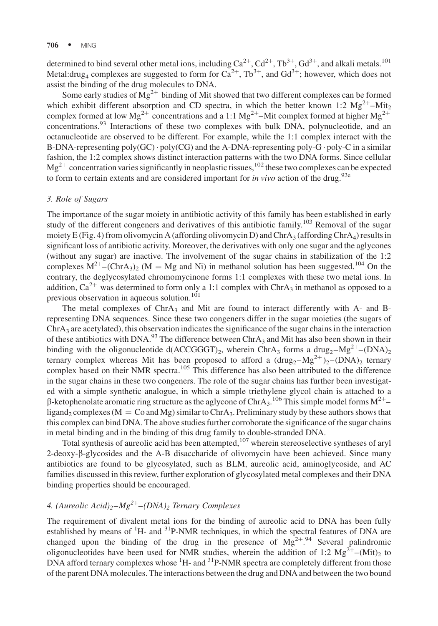determined to bind several other metal ions, including  $Ca^{2+}$ ,  $Cd^{2+}$ ,  $Tb^{3+}$ ,  $Gd^{3+}$ , and alkali metals.<sup>101</sup> Metal:drug<sub>4</sub> complexes are suggested to form for  $Ca^{2+}$ ,  $Tb^{3+}$ , and  $Gd^{3+}$ ; however, which does not assist the binding of the drug molecules to DNA.

Some early studies of  $Mg^{2+}$  binding of Mit showed that two different complexes can be formed which exhibit different absorption and CD spectra, in which the better known 1:2  $Mg^{2+}$ –Mit<sub>2</sub> complex formed at low Mg<sup>2+</sup> concentrations and a 1:1 Mg<sup>2+</sup>-Mit complex formed at higher Mg<sup>2+</sup> concentrations.<sup>93</sup> Interactions of these two complexes with bulk DNA, polynucleotide, and an octanucleotide are observed to be different. For example, while the 1:1 complex interact with the B-DNA-representing  $poly(GC) \cdot poly(CG)$  and the A-DNA-representing poly-G  $\cdot$  poly-C in a similar fashion, the 1:2 complex shows distinct interaction patterns with the two DNA forms. Since cellular  $Mg^{2+}$  concentration varies significantly in neoplastic tissues,  $^{102}$  these two complexes can be expected to form to certain extents and are considered important for *in vivo* action of the drug.<sup>93e</sup>

#### 3. Role of Sugars

The importance of the sugar moiety in antibiotic activity of this family has been established in early study of the different congeners and derivatives of this antibiotic family.<sup>103</sup> Removal of the sugar moiety E (Fig. 4) from olivomycin A (affording olivomycin D) and ChrA<sub>3</sub> (affording ChrA<sub>4</sub>) results in significant loss of antibiotic activity. Moreover, the derivatives with only one sugar and the aglycones (without any sugar) are inactive. The involvement of the sugar chains in stabilization of the 1:2 complexes  $M^{2+}$ –(ChrA<sub>3</sub>)<sub>2</sub> (M = Mg and Ni) in methanol solution has been suggested.<sup>104</sup> On the contrary, the deglycosylated chromomycinone forms 1:1 complexes with these two metal ions. In addition,  $Ca^{2+}$  was determined to form only a 1:1 complex with ChrA<sub>3</sub> in methanol as opposed to a previous observation in aqueous solution.<sup>101</sup>

The metal complexes of ChrA<sub>3</sub> and Mit are found to interact differently with A- and Brepresenting DNA sequences. Since these two congeners differ in the sugar moieties (the sugars of  $ChrA<sub>3</sub>$  are acetylated), this observation indicates the significance of the sugar chains in the interaction of these antibiotics with DNA.<sup>93</sup> The difference between ChrA<sub>3</sub> and Mit has also been shown in their binding with the oligonucleotide d(ACCGGGT)<sub>2</sub>, wherein ChrA<sub>3</sub> forms a drug<sub>2</sub>-Mg<sup>2+</sup>-(DNA)<sub>2</sub> ternary complex whereas Mit has been proposed to afford a  $(\text{drug}_2 - Mg^{2+})_2 - (DNA)_2$  ternary complex based on their NMR spectra.<sup>105</sup> This difference has also been attributed to the difference in the sugar chains in these two congeners. The role of the sugar chains has further been investigated with a simple synthetic analogue, in which a simple triethylene glycol chain is attached to a  $\beta$ -ketophenolate aromatic ring structure as the aglycone of ChrA<sub>3</sub>.<sup>106</sup> This simple model forms M<sup>2+</sup>ligand<sub>2</sub> complexes ( $M = Co$  and  $Mg$ ) similar to ChrA<sub>3</sub>. Preliminary study by these authors shows that this complex can bind DNA. The above studies further corroborate the significance of the sugar chains in metal binding and in the binding of this drug family to double-stranded DNA.

Total synthesis of aureolic acid has been attempted, $107$  wherein stereoselective syntheses of aryl 2-deoxy-b-glycosides and the A-B disaccharide of olivomycin have been achieved. Since many antibiotics are found to be glycosylated, such as BLM, aureolic acid, aminoglycoside, and AC families discussed in this review, further exploration of glycosylated metal complexes and their DNA binding properties should be encouraged.

# 4. (Aureolic Acid)<sub>2</sub>– $Mg^{2+}$ –(DNA)<sub>2</sub> Ternary Complexes

The requirement of divalent metal ions for the binding of aureolic acid to DNA has been fully established by means of <sup>1</sup>H- and <sup>31</sup>P-NMR techniques, in which the spectral features of DNA are changed upon the binding of the drug in the presence of  $Mg^{2+94}$  Several palindromic oligonucleotides have been used for NMR studies, wherein the addition of 1:2  $Mg^{2+}$ –(Mit)<sub>2</sub> to DNA afford ternary complexes whose <sup>1</sup>H- and <sup>31</sup>P-NMR spectra are completely different from those of the parent DNA molecules. The interactions between the drug and DNA and between the two bound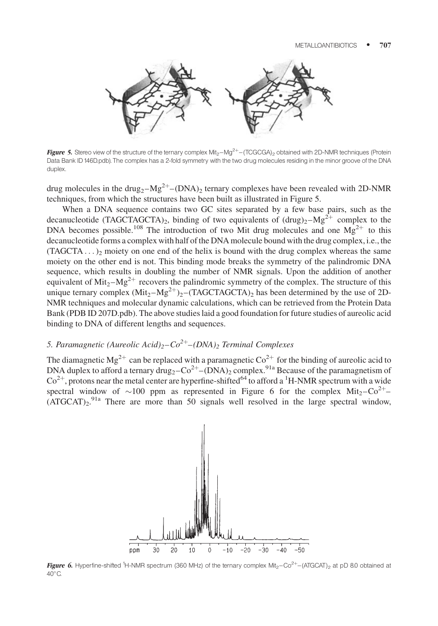

Figure 5. Stereo view of the structure of the ternary complex Mit<sub>2</sub> $-Mg^{2+}$ –(TCGCGA)<sub>2</sub> obtained with 2D-NMR techniques (Protein Data Bank ID 146D.pdb). The complex has a 2-fold symmetry with the two drug molecules residing in the minor groove of the DNA duplex.

drug molecules in the drug<sub>2</sub>– $Mg^{2+}$ –(DNA)<sub>2</sub> ternary complexes have been revealed with 2D-NMR techniques, from which the structures have been built as illustrated in Figure 5.

When a DNA sequence contains two GC sites separated by a few base pairs, such as the decanucleotide (TAGCTAGCTA)<sub>2</sub>, binding of two equivalents of  $(drug)_2-Mg^{2+}$  complex to the DNA becomes possible.<sup>108</sup> The introduction of two Mit drug molecules and one  $Mg^{2+}$  to this decanucleotide forms a complex with half of the DNA molecule bound with the drug complex, i.e., the  $(TAGCTA \dots)_2$  moiety on one end of the helix is bound with the drug complex whereas the same moiety on the other end is not. This binding mode breaks the symmetry of the palindromic DNA sequence, which results in doubling the number of NMR signals. Upon the addition of another equivalent of Mit<sub>2</sub>–Mg<sup>2+</sup> recovers the palindromic symmetry of the complex. The structure of this unique ternary complex  $(Mit_2-Mg^{2+})_2$ –(TAGCTAGCTA)<sub>2</sub> has been determined by the use of 2D-NMR techniques and molecular dynamic calculations, which can be retrieved from the Protein Data Bank (PDB ID 207D.pdb). The above studies laid a good foundation for future studies of aureolic acid binding to DNA of different lengths and sequences.

# 5. Paramagnetic (Aureolic Acid)<sub>2</sub>– $Co^{2+}$ –(DNA)<sub>2</sub> Terminal Complexes

The diamagnetic Mg<sup>2+</sup> can be replaced with a paramagnetic  $\text{Co}^{2+}$  for the binding of aureolic acid to DNA duplex to afford a ternary drug<sub>2</sub>– $Co^{2+}$ –(DNA)<sub>2</sub> complex.<sup>91a</sup> Because of the paramagnetism of  $\text{Co}^{2+}$ , protons near the metal center are hyperfine-shifted<sup>64</sup> to afford a <sup>1</sup>H-NMR spectrum with a wide spectral window of ~100 ppm as represented in Figure 6 for the complex  $Mit_2-Co^{2+}$  $(ATGCAT)<sub>2</sub>$ <sup>91a</sup> There are more than 50 signals well resolved in the large spectral window,



Figure 6. Hyperfine-shifted <sup>1</sup>H-NMR spectrum (360 MHz) of the ternary complex Mit<sub>2</sub>-Co<sup>2+</sup>-(ATGCAT)<sub>2</sub> at pD 8.0 obtained at  $40^{\circ}$ C.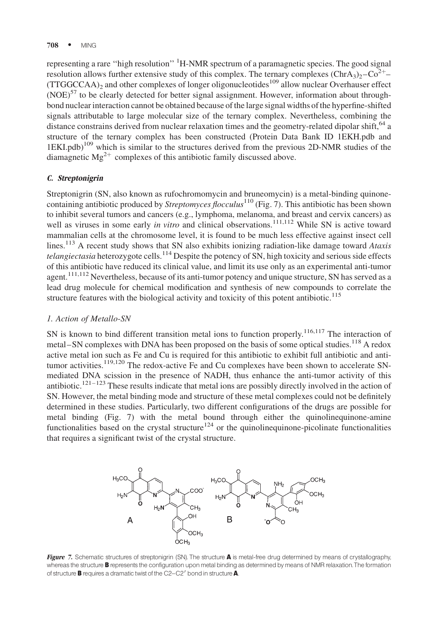representing a rare "high resolution" <sup>1</sup>H-NMR spectrum of a paramagnetic species. The good signal resolution allows further extensive study of this complex. The ternary complexes  $(\text{ChrA}_3)_2$ – $\text{Co}^{2+}$ –  $(TTGGCCAA)_2$  and other complexes of longer oligonucleotides<sup>109</sup> allow nuclear Overhauser effect  $(NOE)^{57}$  to be clearly detected for better signal assignment. However, information about throughbond nuclear interaction cannot be obtained because of the large signal widths of the hyperfine-shifted signals attributable to large molecular size of the ternary complex. Nevertheless, combining the distance constrains derived from nuclear relaxation times and the geometry-related dipolar shift,  $^{64}$  a structure of the ternary complex has been constructed (Protein Data Bank ID 1EKH.pdb and 1EKI.pdb)109 which is similar to the structures derived from the previous 2D-NMR studies of the diamagnetic  $Mg^{2+}$  complexes of this antibiotic family discussed above.

# C. Streptonigrin

Streptonigrin (SN, also known as rufochromomycin and bruneomycin) is a metal-binding quinonecontaining antibiotic produced by Streptomyces flocculus<sup>110</sup> (Fig. 7). This antibiotic has been shown to inhibit several tumors and cancers (e.g., lymphoma, melanoma, and breast and cervix cancers) as well as viruses in some early in vitro and clinical observations.<sup>111,112</sup> While SN is active toward mammalian cells at the chromosome level, it is found to be much less effective against insect cell lines.<sup>113</sup> A recent study shows that SN also exhibits ionizing radiation-like damage toward Ataxis telangiectasia heterozygote cells.<sup>114</sup> Despite the potency of SN, high toxicity and serious side effects of this antibiotic have reduced its clinical value, and limit its use only as an experimental anti-tumor agent.<sup>111,112</sup> Nevertheless, because of its anti-tumor potency and unique structure, SN has served as a lead drug molecule for chemical modification and synthesis of new compounds to correlate the structure features with the biological activity and toxicity of this potent antibiotic.<sup>115</sup>

#### 1. Action of Metallo-SN

SN is known to bind different transition metal ions to function properly.<sup>116,117</sup> The interaction of metal–SN complexes with DNA has been proposed on the basis of some optical studies.<sup>118</sup> A redox active metal ion such as Fe and Cu is required for this antibiotic to exhibit full antibiotic and antitumor activities.<sup>119,120</sup> The redox-active Fe and Cu complexes have been shown to accelerate SNmediated DNA scission in the presence of NADH, thus enhance the anti-tumor activity of this antibiotic.<sup>121–123</sup> These results indicate that metal ions are possibly directly involved in the action of SN. However, the metal binding mode and structure of these metal complexes could not be definitely determined in these studies. Particularly, two different configurations of the drugs are possible for metal binding (Fig. 7) with the metal bound through either the quinolinequinone-amine functionalities based on the crystal structure<sup>124</sup> or the quinolinequinone-picolinate functionalities that requires a significant twist of the crystal structure.



Figure 7. Schematic structures of streptonigrin (SN). The structure A is metal-free drug determined by means of crystallography, whereas the structure **B** represents the configuration upon metal binding as determined by means of NMR relaxation. The formation of structure **B** requires a dramatic twist of the  $C2-C2'$  bond in structure  $\mathbf{A}$ .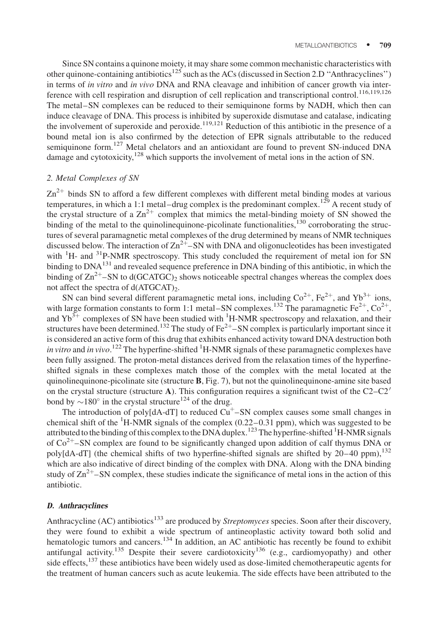Since SN contains a quinone moiety, it may share some common mechanistic characteristics with other quinone-containing antibiotics<sup>125</sup> such as the ACs (discussed in Section 2.D "Anthracyclines") in terms of in vitro and in vivo DNA and RNA cleavage and inhibition of cancer growth via interference with cell respiration and disruption of cell replication and transcriptional control.<sup>116,119,126</sup> The metal–SN complexes can be reduced to their semiquinone forms by NADH, which then can induce cleavage of DNA. This process is inhibited by superoxide dismutase and catalase, indicating the involvement of superoxide and peroxide.<sup>119,121</sup> Reduction of this antibiotic in the presence of a bound metal ion is also confirmed by the detection of EPR signals attributable to the reduced semiquinone form.<sup>127</sup> Metal chelators and an antioxidant are found to prevent SN-induced DNA damage and cytotoxicity,<sup>128</sup> which supports the involvement of metal ions in the action of SN.

# 2. Metal Complexes of SN

 $\text{Zn}^{2+}$  binds SN to afford a few different complexes with different metal binding modes at various temperatures, in which a 1:1 metal–drug complex is the predominant complex.<sup>129</sup> A recent study of the crystal structure of a  $\text{Zn}^{2+}$  complex that mimics the metal-binding moiety of SN showed the binding of the metal to the quinolinequinone-picolinate functionalities, $130$  corroborating the structures of several paramagnetic metal complexes of the drug determined by means of NMR techniques discussed below. The interaction of  $\text{Zn}^{2+}$ –SN with DNA and oligonucleotides has been investigated with <sup>1</sup>H- and <sup>31</sup>P-NMR spectroscopy. This study concluded the requirement of metal ion for SN binding to DNA<sup>131</sup> and revealed sequence preference in DNA binding of this antibiotic, in which the binding of  $\text{Zn}^{2+}$ –SN to d(GCATGC)<sub>2</sub> shows noticeable spectral changes whereas the complex does not affect the spectra of  $d(ATGCAT)_{2}$ .

SN can bind several different paramagnetic metal ions, including  $\text{Co}^{2+}$ , Fe<sup>2+</sup>, and Yb<sup>3+</sup> ions, with large formation constants to form 1:1 metal–SN complexes.<sup>132</sup> The paramagnetic Fe<sup>2+</sup>, Co<sup>2+</sup>, and  $Yb^{3+}$  complexes of SN have been studied with  ${}^{1}$ H-NMR spectroscopy and relaxation, and their structures have been determined.<sup>132</sup> The study of  $Fe^{2+}$ –SN complex is particularly important since it is considered an active form of this drug that exhibits enhanced activity toward DNA destruction both in vitro and in vivo.<sup>122</sup> The hyperfine-shifted <sup>1</sup>H-NMR signals of these paramagnetic complexes have been fully assigned. The proton-metal distances derived from the relaxation times of the hyperfineshifted signals in these complexes match those of the complex with the metal located at the quinolinequinone-picolinate site (structure  $\bf{B}$ , Fig. 7), but not the quinolinequinone-amine site based on the crystal structure (structure A). This configuration requires a significant twist of the  $C2-C2'$ bond by  $\sim$ 180 $^{\circ}$  in the crystal structure<sup>124</sup> of the drug.

The introduction of poly $[dA-dT]$  to reduced  $Cu<sup>+</sup>-SN$  complex causes some small changes in chemical shift of the  ${}^{1}$ H-NMR signals of the complex (0.22–0.31 ppm), which was suggested to be attributed to the binding of this complex to the DNA duplex.<sup>123</sup> The hyperfine-shifted <sup>1</sup>H-NMR signals of  $Co<sup>2+</sup>$ –SN complex are found to be significantly changed upon addition of calf thymus DNA or poly[dA-dT] (the chemical shifts of two hyperfine-shifted signals are shifted by  $20-40$  ppm),<sup>132</sup> which are also indicative of direct binding of the complex with DNA. Along with the DNA binding study of  $\text{Zn}^{2+}$ –SN complex, these studies indicate the significance of metal ions in the action of this antibiotic.

#### D. Anthracyclines

Anthracycline (AC) antibiotics<sup>133</sup> are produced by Streptomyces species. Soon after their discovery, they were found to exhibit a wide spectrum of antineoplastic activity toward both solid and hematologic tumors and cancers.<sup>134</sup> In addition, an AC antibiotic has recently be found to exhibit antifungal activity.<sup>135</sup> Despite their severe cardiotoxicity<sup>136</sup> (e.g., cardiomyopathy) and other side effects, $137$  these antibiotics have been widely used as dose-limited chemotherapeutic agents for the treatment of human cancers such as acute leukemia. The side effects have been attributed to the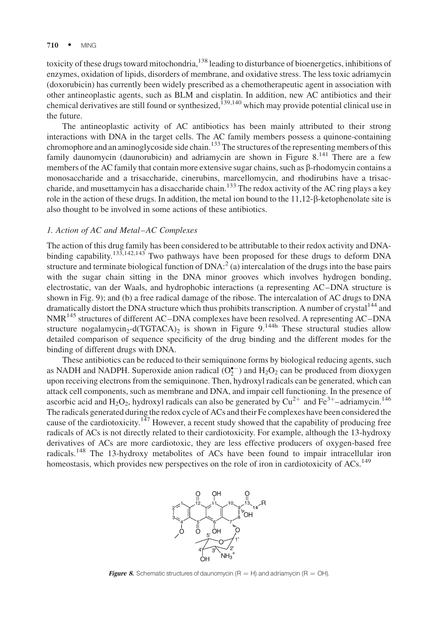#### 710 • MING

toxicity of these drugs toward mitochondria,<sup>138</sup> leading to disturbance of bioenergetics, inhibitions of enzymes, oxidation of lipids, disorders of membrane, and oxidative stress. The less toxic adriamycin (doxorubicin) has currently been widely prescribed as a chemotherapeutic agent in association with other antineoplastic agents, such as BLM and cisplatin. In addition, new AC antibiotics and their chemical derivatives are still found or synthesized,<sup>139,140</sup> which may provide potential clinical use in the future.

The antineoplastic activity of AC antibiotics has been mainly attributed to their strong interactions with DNA in the target cells. The AC family members possess a quinone-containing chromophore and an aminoglycoside side chain.<sup>133</sup> The structures of the representing members of this family daunomycin (daunorubicin) and adriamycin are shown in Figure  $8^{141}$  There are a few members of the AC family that contain more extensive sugar chains, such as  $\beta$ -rhodomycin contains a monosaccharide and a trisaccharide, cinerubins, marcellomycin, and rhodirubins have a trisaccharide, and musettamycin has a disaccharide chain.<sup>133</sup> The redox activity of the AC ring plays a key role in the action of these drugs. In addition, the metal ion bound to the  $11,12-\beta$ -ketophenolate site is also thought to be involved in some actions of these antibiotics.

#### 1. Action of AC and Metal–AC Complexes

The action of this drug family has been considered to be attributable to their redox activity and DNAbinding capability.<sup>133,142,143</sup> Two pathways have been proposed for these drugs to deform DNA structure and terminate biological function of  $DNA:2^$  (a) intercalation of the drugs into the base pairs with the sugar chain sitting in the DNA minor grooves which involves hydrogen bonding, electrostatic, van der Waals, and hydrophobic interactions (a representing AC–DNA structure is shown in Fig. 9); and (b) a free radical damage of the ribose. The intercalation of AC drugs to DNA dramatically distort the DNA structure which thus prohibits transcription. A number of crystal<sup>144</sup> and NMR<sup>145</sup> structures of different AC–DNA complexes have been resolved. A representing AC–DNA structure nogalamycin<sub>2</sub>-d(TGTACA)<sub>2</sub> is shown in Figure 9.<sup>144h</sup> These structural studies allow detailed comparison of sequence specificity of the drug binding and the different modes for the binding of different drugs with DNA.

These antibiotics can be reduced to their semiquinone forms by biological reducing agents, such as NADH and NADPH. Superoxide anion radical  $(O_2^{\bullet -})$  and  $H_2O_2$  can be produced from dioxygen upon receiving electrons from the semiquinone. Then, hydroxyl radicals can be generated, which can attack cell components, such as membrane and DNA, and impair cell functioning. In the presence of ascorbic acid and  $H_2O_2$ , hydroxyl radicals can also be generated by  $Cu^{2+}$  and  $Fe^{3+}$ -adriamycin.<sup>146</sup> The radicals generated during the redox cycle of ACs and their Fe complexes have been considered the cause of the cardiotoxicity.<sup>147</sup> However, a recent study showed that the capability of producing free radicals of ACs is not directly related to their cardiotoxicity. For example, although the 13-hydroxy derivatives of ACs are more cardiotoxic, they are less effective producers of oxygen-based free radicals.<sup>148</sup> The 13-hydroxy metabolites of ACs have been found to impair intracellular iron homeostasis, which provides new perspectives on the role of iron in cardiotoxicity of ACs.<sup>149</sup>



**Figure 8.** Schematic structures of daunomycin (R = H) and adriamycin (R = OH).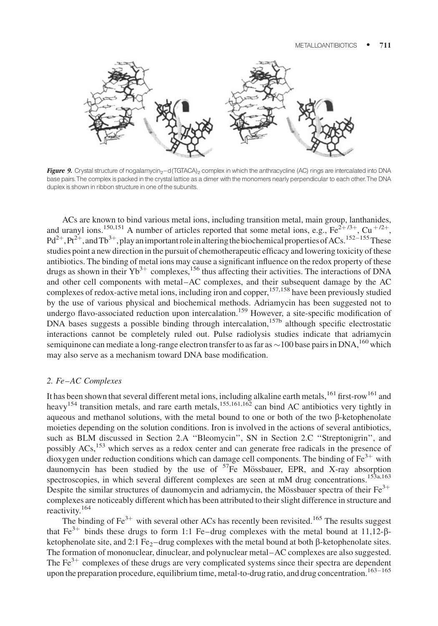

Figure 9. Crystal structure of nogalamycin<sub>2</sub>-d(TGTACA)<sub>2</sub> complex in which the anthracycline (AC) rings are intercalated into DNA base pairs.The complex is packed inthe crystal lattice as a dimer with the monomers nearly perpendicular to each other.The DNA duplex is shown in ribbon structure in one of the subunits.

ACs are known to bind various metal ions, including transition metal, main group, lanthanides, and uranyl ions.<sup>150,151</sup> A number of articles reported that some metal ions, e.g., Fe<sup>2+/3+</sup>, Cu<sup>+/2+</sup>,  $Pd^{2+}$ ,  $Pt^{2+}$ , and  $Tb^{3+}$ , play an important role in altering the biochemical properties of ACs.<sup>152–155</sup>These studies point a new direction in the pursuit of chemotherapeutic efficacy and lowering toxicity of these antibiotics. The binding of metal ions may cause a significant influence on the redox property of these drugs as shown in their  $Yb^{3+}$  complexes,<sup>156</sup> thus affecting their activities. The interactions of DNA and other cell components with metal–AC complexes, and their subsequent damage by the AC complexes of redox-active metal ions, including iron and copper,<sup>157,158</sup> have been previously studied by the use of various physical and biochemical methods. Adriamycin has been suggested not to undergo flavo-associated reduction upon intercalation.<sup>159</sup> However, a site-specific modification of DNA bases suggests a possible binding through intercalation,<sup>157b</sup> although specific electrostatic interactions cannot be completely ruled out. Pulse radiolysis studies indicate that adriamycin semiquinone can mediate a long-range electron transfer to as far as  $\sim$  100 base pairs in DNA,  $^{160}$  which may also serve as a mechanism toward DNA base modification.

# 2. Fe–AC Complexes

It has been shown that several different metal ions, including alkaline earth metals,<sup>161</sup> first-row<sup>161</sup> and heavy<sup>154</sup> transition metals, and rare earth metals,  $155,161,162$  can bind AC antibiotics very tightly in aqueous and methanol solutions, with the metal bound to one or both of the two  $\beta$ -ketophenolate moieties depending on the solution conditions. Iron is involved in the actions of several antibiotics, such as BLM discussed in Section 2.A ''Bleomycin'', SN in Section 2.C ''Streptonigrin'', and possibly ACs,<sup>153</sup> which serves as a redox center and can generate free radicals in the presence of dioxygen under reduction conditions which can damage cell components. The binding of  $Fe<sup>3+</sup>$  with daunomycin has been studied by the use of  $57Fe$  Mössbauer, EPR, and X-ray absorption spectroscopies, in which several different complexes are seen at mM drug concentrations.<sup>153a,163</sup> Despite the similar structures of daunomycin and adriamycin, the Mössbauer spectra of their  $Fe^{3+}$ complexes are noticeably different which has been attributed to their slight difference in structure and reactivity.<sup>164</sup>

The binding of  $Fe^{3+}$  with several other ACs has recently been revisited.<sup>165</sup> The results suggest that Fe<sup>3+</sup> binds these drugs to form 1:1 Fe–drug complexes with the metal bound at 11,12- $\beta$ ketophenolate site, and 2:1 Fe<sub>2</sub>–drug complexes with the metal bound at both  $\beta$ -ketophenolate sites. The formation of mononuclear, dinuclear, and polynuclear metal–AC complexes are also suggested. The  $Fe<sup>3+</sup>$  complexes of these drugs are very complicated systems since their spectra are dependent upon the preparation procedure, equilibrium time, metal-to-drug ratio, and drug concentration.<sup>163-165</sup>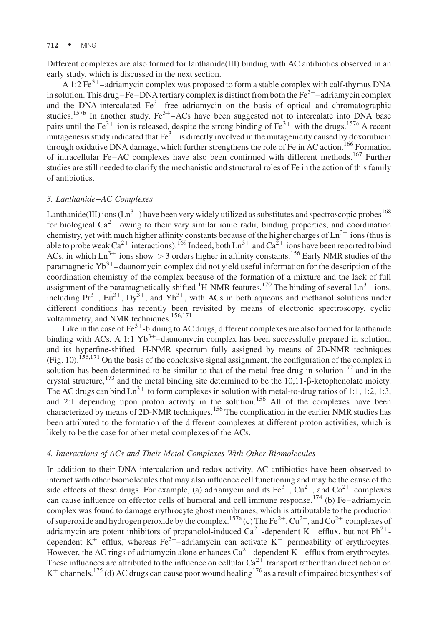Different complexes are also formed for lanthanide(III) binding with AC antibiotics observed in an early study, which is discussed in the next section.

A 1:2  $\text{Fe}^{3+}$ -adriamycin complex was proposed to form a stable complex with calf-thymus DNA in solution. This drug–Fe–DNA tertiary complex is distinct from both the  $Fe<sup>3+</sup>$ –adriamycin complex and the DNA-intercalated  $Fe^{3+}$ -free adriamycin on the basis of optical and chromatographic studies.<sup>157b</sup> In another study,  $Fe^{3+}$ –ACs have been suggested not to intercalate into DNA base pairs until the Fe<sup>3+</sup> ion is released, despite the strong binding of Fe<sup>3+</sup> with the drugs.<sup>157c</sup> A recent mutagenesis study indicated that  $Fe^{3+}$  is directly involved in the mutagenicity caused by doxorubicin through oxidative DNA damage, which further strengthens the role of Fe in AC action.<sup>166</sup> Formation of intracellular Fe–AC complexes have also been confirmed with different methods.<sup>167</sup> Further studies are still needed to clarify the mechanistic and structural roles of Fe in the action of this family of antibiotics.

# 3. Lanthanide–AC Complexes

Lanthanide(III) ions (Ln<sup>3+</sup>) have been very widely utilized as substitutes and spectroscopic probes<sup>168</sup> for biological  $Ca^{2+}$  owing to their very similar ionic radii, binding properties, and coordination chemistry, yet with much higher affinity constants because of the higher charges of  $\text{Ln}^{3+}$  ions (thus is able to probe weak  $Ca^{2+}$  interactions).<sup>169</sup> Indeed, both  $Ln^{3+}$  and  $Ca^{2+}$  ions have been reported to bind ACs, in which  $Ln^{3+}$  ions show  $> 3$  orders higher in affinity constants.<sup>156</sup> Early NMR studies of the paramagnetic  $Yb^{3+}$ –daunomycin complex did not yield useful information for the description of the coordination chemistry of the complex because of the formation of a mixture and the lack of full assignment of the paramagnetically shifted  ${}^{1}$ H-NMR features.<sup>170</sup> The binding of several Ln<sup>3+</sup> ions, including  $Pr^{3+}$ ,  $Eu^{3+}$ ,  $Dy^{3+}$ , and  $Yb^{3+}$ , with ACs in both aqueous and methanol solutions under different conditions has recently been revisited by means of electronic spectroscopy, cyclic voltammetry, and NMR techniques.<sup>156,171</sup>

Like in the case of  $Fe^{3+}$ -bidning to AC drugs, different complexes are also formed for lanthanide binding with ACs. A 1:1  $Yb^{3+}$ –daunomycin complex has been successfully prepared in solution, and its hyperfine-shifted <sup>1</sup>H-NMR spectrum fully assigned by means of 2D-NMR techniques (Fig. 10).<sup>156,171</sup> On the basis of the conclusive signal assignment, the configuration of the complex in solution has been determined to be similar to that of the metal-free drug in solution<sup>172</sup> and in the crystal structure,<sup>173</sup> and the metal binding site determined to be the 10,11- $\beta$ -ketophenolate moiety. The AC drugs can bind  $\text{Ln}^{3+}$  to form complexes in solution with metal-to-drug ratios of 1:1, 1:2, 1:3, and 2:1 depending upon proton activity in the solution.<sup>156</sup> All of the complexes have been characterized by means of 2D-NMR techniques.<sup>156</sup> The complication in the earlier NMR studies has been attributed to the formation of the different complexes at different proton activities, which is likely to be the case for other metal complexes of the ACs.

#### 4. Interactions of ACs and Their Metal Complexes With Other Biomolecules

In addition to their DNA intercalation and redox activity, AC antibiotics have been observed to interact with other biomolecules that may also influence cell functioning and may be the cause of the side effects of these drugs. For example, (a) adriamycin and its  $Fe^{3+}$ ,  $Cu^{2+}$ , and  $Co^{2+}$  complexes can cause influence on effector cells of humoral and cell immune response.<sup>174</sup> (b) Fe–adriamycin complex was found to damage erythrocyte ghost membranes, which is attributable to the production of superoxide and hydrogen peroxide by the complex.<sup>157a</sup> (c) The Fe<sup>2+</sup>, Cu<sup>2+</sup>, and Co<sup>2+</sup> complexes of adriamycin are potent inhibitors of propanolol-induced  $Ca^{2+}$ -dependent K<sup>+</sup> efflux, but not Pb<sup>2+</sup>dependent  $K^+$  efflux, whereas Fe<sup>3+</sup>-adriamycin can activate  $K^+$  permeability of erythrocytes. However, the AC rings of adriamycin alone enhances  $Ca^{2+}$ -dependent K<sup>+</sup> efflux from erythrocytes. These influences are attributed to the influence on cellular  $Ca^{2+}$  transport rather than direct action on  $K^+$  channels.<sup>175</sup> (d) AC drugs can cause poor wound healing<sup>176</sup> as a result of impaired biosynthesis of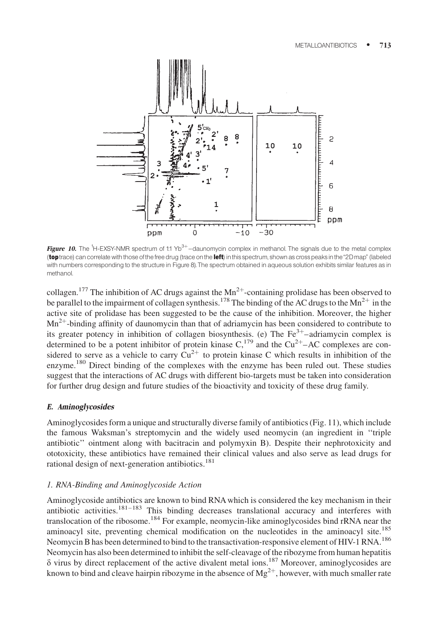

Figure 10. The <sup>1</sup>H-EXSY-NMR spectrum of 1:1 Yb<sup>3+</sup>-daunomycin complex in methanol. The signals due to the metal complex (toptrace) can correlate with those of the free drug (trace on the left) in this spectrum, shown as cross peaks in the "2D map" (labeled with numbers corresponding to the structure in Figure 8). The spectrum obtained in aqueous solution exhibits similar features as in methanol.

collagen.<sup>177</sup> The inhibition of AC drugs against the  $Mn^{2+}$ -containing prolidase has been observed to be parallel to the impairment of collagen synthesis.<sup>178</sup> The binding of the AC drugs to the Mn<sup>2+</sup> in the active site of prolidase has been suggested to be the cause of the inhibition. Moreover, the higher  $Mn^{2+}$ -binding affinity of daunomycin than that of adriamycin has been considered to contribute to its greater potency in inhibition of collagen biosynthesis. (e) The  $Fe<sup>3+</sup>$ -adriamycin complex is determined to be a potent inhibitor of protein kinase  $C<sub>1</sub><sup>179</sup>$  and the  $Cu<sup>2+</sup>-AC$  complexes are considered to serve as a vehicle to carry  $Cu^{2+}$  to protein kinase C which results in inhibition of the enzyme.<sup>180</sup> Direct binding of the complexes with the enzyme has been ruled out. These studies suggest that the interactions of AC drugs with different bio-targets must be taken into consideration for further drug design and future studies of the bioactivity and toxicity of these drug family.

#### E. Aminoglycosides

Aminoglycosides form a unique and structurally diverse family of antibiotics (Fig. 11), which include the famous Waksman's streptomycin and the widely used neomycin (an ingredient in ''triple antibiotic'' ointment along with bacitracin and polymyxin B). Despite their nephrotoxicity and ototoxicity, these antibiotics have remained their clinical values and also serve as lead drugs for rational design of next-generation antibiotics.<sup>181</sup>

# 1. RNA-Binding and Aminoglycoside Action

Aminoglycoside antibiotics are known to bind RNA which is considered the key mechanism in their antibiotic activities.<sup>181–183</sup> This binding decreases translational accuracy and interferes with translocation of the ribosome.<sup>184</sup> For example, neomycin-like aminoglycosides bind rRNA near the aminoacyl site, preventing chemical modification on the nucleotides in the aminoacyl site.<sup>185</sup> Neomycin B has been determined to bind to the transactivation-responsive element of HIV-1 RNA.<sup>186</sup> Neomycin has also been determined to inhibit the self-cleavage of the ribozyme from human hepatitis  $\delta$  virus by direct replacement of the active divalent metal ions.<sup>187</sup> Moreover, aminoglycosides are known to bind and cleave hairpin ribozyme in the absence of  $Mg^{2+}$ , however, with much smaller rate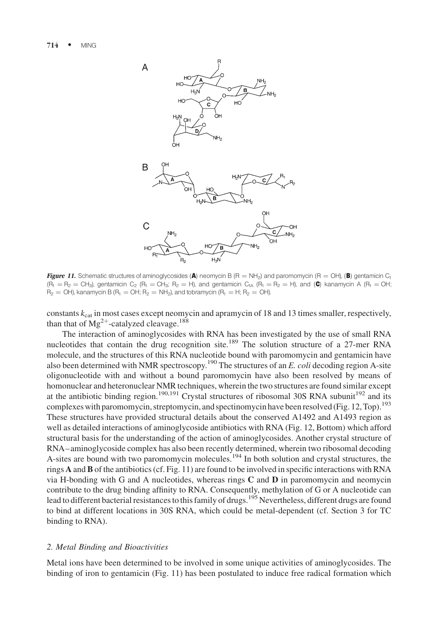

Figure 11. Schematic structures of aminoglycosides (A) neomycin B (R = NH<sub>2</sub>) and paromomycin (R = OH), (B) gentamicin C<sub>1</sub>  $(R_1 = R_2 = CH_3)$ , gentamicin C<sub>2</sub>  $(R_1 = CH_3; R_2 = H)$ , and gentamicin C<sub>1A</sub>  $(R_1 = R_2 = H)$ , and (C) kanamycin A  $(R_1 = OH; R_2 = CH_3)$  $R_2 = OH$ ), kanamycin B ( $R_1 = OH$ ;  $R_2 = NH_2$ ), and tobramycin ( $R_1 = H$ ;  $R_2 = OH$ ).

constants  $k_{cat}$  in most cases except neomycin and apramycin of 18 and 13 times smaller, respectively, than that of  $Mg^{2+}$ -catalyzed cleavage.<sup>188</sup>

The interaction of aminoglycosides with RNA has been investigated by the use of small RNA nucleotides that contain the drug recognition site.<sup>189</sup> The solution structure of a 27-mer RNA molecule, and the structures of this RNA nucleotide bound with paromomycin and gentamicin have also been determined with NMR spectroscopy.<sup>190</sup> The structures of an E. coli decoding region A-site oligonucleotide with and without a bound paromomycin have also been resolved by means of homonuclear and heteronuclear NMR techniques, wherein the two structures are found similar except at the antibiotic binding region.<sup>190,191</sup> Crystal structures of ribosomal 30S RNA subunit<sup>192</sup> and its complexes with paromomycin, streptomycin, and spectinomycin have been resolved (Fig. 12, Top).<sup>193</sup> These structures have provided structural details about the conserved A1492 and A1493 region as well as detailed interactions of aminoglycoside antibiotics with RNA (Fig. 12, Bottom) which afford structural basis for the understanding of the action of aminoglycosides. Another crystal structure of RNA–aminoglycoside complex has also been recently determined, wherein two ribosomal decoding A-sites are bound with two paromomycin molecules.<sup>194</sup> In both solution and crystal structures, the rings A and B of the antibiotics (cf. Fig. 11) are found to be involved in specific interactions with RNA via H-bonding with G and A nucleotides, whereas rings  $C$  and  $D$  in paromomycin and neomycin contribute to the drug binding affinity to RNA. Consequently, methylation of G or A nucleotide can lead to different bacterial resistances to this family of drugs.<sup>195</sup> Nevertheless, different drugs are found to bind at different locations in 30S RNA, which could be metal-dependent (cf. Section 3 for TC binding to RNA).

#### 2. Metal Binding and Bioactivities

Metal ions have been determined to be involved in some unique activities of aminoglycosides. The binding of iron to gentamicin (Fig. 11) has been postulated to induce free radical formation which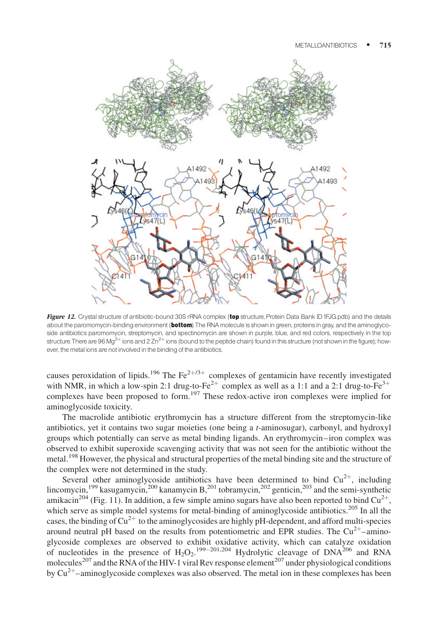

Figure 12. Crystal structure of antibiotic-bound 30S rRNA complex (top structure, Protein Data Bank ID 1FJG.pdb) and the details about the paromomycin-binding environment (bottom). The RNA molecule is shown in green, proteins in gray, and the aminoglycoside antibiotics paromomycin, streptomycin, and spectinomycin are shown in purple, blue, and red colors, respectively in the top structure. There are 96 Mg<sup>2+</sup> ions and 2 Zn<sup>2+</sup> ions (bound to the peptide chain) found in this structure (not shown in the figure); however, the metal ions are not involved in the binding of the antibiotics.

causes peroxidation of lipids.<sup>196</sup> The Fe<sup>2+/3+</sup> complexes of gentamicin have recently investigated with NMR, in which a low-spin 2:1 drug-to-Fe<sup>2+</sup> complex as well as a 1:1 and a 2:1 drug-to-Fe<sup>3+</sup> complexes have been proposed to form.<sup>197</sup> These redox-active iron complexes were implied for aminoglycoside toxicity.

The macrolide antibiotic erythromycin has a structure different from the streptomycin-like antibiotics, yet it contains two sugar moieties (one being a t-aminosugar), carbonyl, and hydroxyl groups which potentially can serve as metal binding ligands. An erythromycin–iron complex was observed to exhibit superoxide scavenging activity that was not seen for the antibiotic without the metal.<sup>198</sup> However, the physical and structural properties of the metal binding site and the structure of the complex were not determined in the study.

Several other aminoglycoside antibiotics have been determined to bind  $Cu^{2+}$ , including lincomycin,<sup>199</sup> kasugamycin,<sup>200</sup> kanamycin B,<sup>201</sup> tobramycin,<sup>202</sup> genticin,<sup>203</sup> and the semi-synthetic amikacin<sup>204</sup> (Fig. 11). In addition, a few simple amino sugars have also been reported to bind  $Cu^{2+}$ , which serve as simple model systems for metal-binding of aminoglycoside antibiotics.<sup>205</sup> In all the cases, the binding of  $Cu^{2+}$  to the aminoglycosides are highly pH-dependent, and afford multi-species around neutral pH based on the results from potentiometric and EPR studies. The  $Cu^{2+}$ –aminoglycoside complexes are observed to exhibit oxidative activity, which can catalyze oxidation of nucleotides in the presence of  $H_2O_2$ .<sup>199–201,204</sup> Hydrolytic cleavage of DNA<sup>206</sup> and RNA molecules<sup>207</sup> and the RNA of the HIV-1 viral Rev response element<sup>207</sup> under physiological conditions by  $Cu^{2+}$ –aminoglycoside complexes was also observed. The metal ion in these complexes has been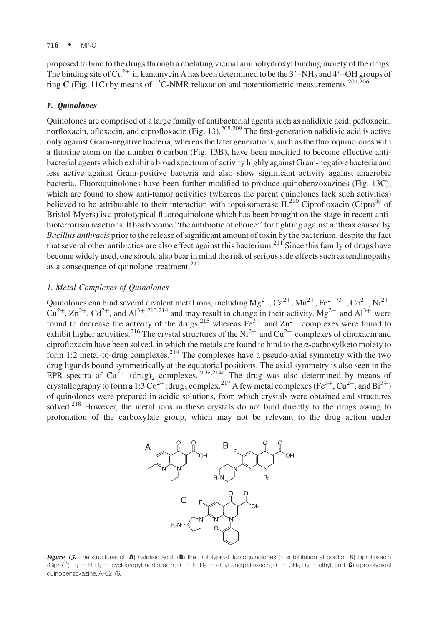proposed to bind to the drugs through a chelating vicinal aminohydroxyl binding moiety of the drugs. The binding site of Cu<sup>2+</sup> in kanamycin A has been determined to be the  $3'-NH_2$  and  $4'-OH$  groups of ring C (Fig. 11C) by means of <sup>13</sup>C-NMR relaxation and potentiometric measurements.<sup>201,206</sup>

# F. Quinolones

Quinolones are comprised of a large family of antibacterial agents such as nalidixic acid, pefloxacin, norfloxacin, ofloxacin, and ciprofloxacin (Fig. 13).<sup>208,209</sup> The first-generation nalidixic acid is active only against Gram-negative bacteria, whereas the later generations, such as the fluoroquinolones with a fluorine atom on the number 6 carbon (Fig. 13B), have been modified to become effective antibacterial agents which exhibit a broad spectrum of activity highly against Gram-negative bacteria and less active against Gram-positive bacteria and also show significant activity against anaerobic bacteria. Fluoroquinolones have been further modified to produce quinobenzoxazines (Fig. 13C), which are found to show anti-tumor activities (whereas the parent quinolones lack such activities) believed to be attributable to their interaction with topoisomerase  $II^{210}$  Ciprofloxacin (Cipro<sup>®</sup> of Bristol-Myers) is a prototypical fluoroquinolone which has been brought on the stage in recent antibioterrorism reactions. It has become ''the antibiotic of choice'' for fighting against anthrax caused by Bacillus anthracis prior to the release of significant amount of toxin by the bacterium, despite the fact that several other antibiotics are also effect against this bacterium.<sup>211</sup> Since this family of drugs have become widely used, one should also bear in mind the risk of serious side effects such as tendinopathy as a consequence of quinolone treatment.<sup>212</sup>

#### 1. Metal Complexes of Quinolones

Quinolones can bind several divalent metal ions, including  $Mg^{2+}$ ,  $Ca^{2+}$ ,  $Mn^{2+}$ ,  $Fe^{2+/3+}$ ,  $Co^{2+}$ ,  $Ni^{2+}$ ,  $Cu^{2+}$ ,  $Zn^{2+}$ ,  $Cd^{2+}$ , and  $Al^{3+}$ ,  $2^{13}$ ,  $2^{14}$  and may result in change in their activity. Mg<sup>2+</sup> and  $Al^{3+}$  were found to decrease the activity of the drugs,<sup>215</sup> whereas  $Fe^{3+}$  and  $Zn^{2+}$  complexes were found to exhibit higher activities.<sup>216</sup> The crystal structures of the Ni<sup>2+</sup> and Cu<sup>2+</sup> complexes of cinoxacin and ciprofloxacin have been solved, in which the metals are found to bind to the  $\alpha$ -carboxylketo moiety to form 1:2 metal-to-drug complexes.<sup>214</sup> The complexes have a pseudo-axial symmetry with the two drug ligands bound symmetrically at the equatorial positions. The axial symmetry is also seen in the EPR spectra of  $Cu^{2+}$ –(drug)<sub>2</sub> complexes.<sup>213e,214c</sup> The drug was also determined by means of crystallography to form a 1:3  $\overline{Co}^{2+}$ :drug<sub>3</sub> complex.<sup>217</sup> A few metal complexes (Fe<sup>3+</sup>, Cu<sup>2+</sup>, and Bi<sup>3+</sup>) of quinolones were prepared in acidic solutions, from which crystals were obtained and structures solved.<sup>218</sup> However, the metal ions in these crystals do not bind directly to the drugs owing to protonation of the carboxylate group, which may not be relevant to the drug action under



Figure 13. The structures of (A) nalidixic acid; (B) the prototypical fluoroquinolones (F substitution at position 6) ciprofloxacin (Cipro<sup>®</sup>); R<sub>1</sub> = H; R<sub>2</sub> = cyclopropyl, norflozacin; R<sub>1</sub> = H; R<sub>2</sub> = ethyl, and pefloxacin; R<sub>1</sub> = CH<sub>3</sub>; R<sub>2</sub> = ethyl; and (C) a prototypical quinobenzoxazine, A-62176.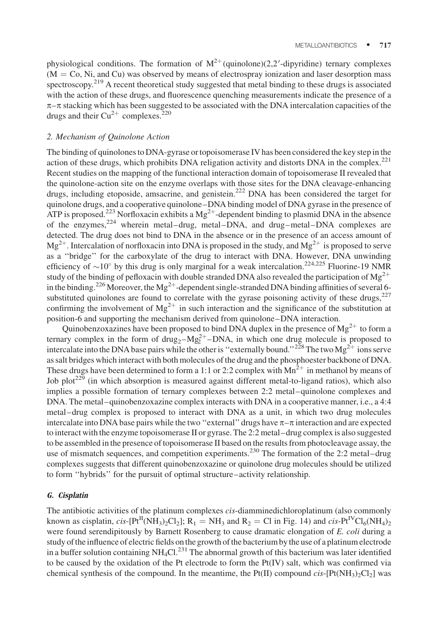physiological conditions. The formation of  $M^{2+}$  (quinolone)(2,2'-dipyridine) ternary complexes  $(M = Co, Ni, and Cu)$  was observed by means of electrospray ionization and laser desorption mass spectroscopy.<sup>219</sup> A recent theoretical study suggested that metal binding to these drugs is associated with the action of these drugs, and fluorescence quenching measurements indicate the presence of a  $\pi-\pi$  stacking which has been suggested to be associated with the DNA intercalation capacities of the drugs and their  $Cu^{2+}$  complexes.<sup>220</sup>

#### 2. Mechanism of Quinolone Action

The binding of quinolones to DNA-gyrase or topoisomerase IV has been considered the key step in the action of these drugs, which prohibits DNA religation activity and distorts DNA in the complex. $^{221}$ Recent studies on the mapping of the functional interaction domain of topoisomerase II revealed that the quinolone-action site on the enzyme overlaps with those sites for the DNA cleavage-enhancing drugs, including etoposide, amsacrine, and genistein.<sup>222</sup> DNA has been considered the target for quinolone drugs, and a cooperative quinolone–DNA binding model of DNA gyrase in the presence of ATP is proposed.<sup>223</sup> Norfloxacin exhibits a Mg<sup>2+</sup>-dependent binding to plasmid DNA in the absence of the enzymes, $224$  wherein metal–drug, metal–DNA, and drug–metal–DNA complexes are detected. The drug does not bind to DNA in the absence or in the presence of an access amount of  $Mg^{2+}$ . Intercalation of norfloxacin into DNA is proposed in the study, and  $Mg^{2+}$  is proposed to serve as a ''bridge'' for the carboxylate of the drug to interact with DNA. However, DNA unwinding efficiency of  $\sim$ 10° by this drug is only marginal for a weak intercalation.<sup>224,225</sup> Fluorine-19 NMR study of the binding of pefloxacin with double stranded DNA also revealed the participation of  $\text{Mg}^{2+}$ in the binding.<sup>226</sup> Moreover, the Mg<sup>2+</sup>-dependent single-stranded DNA binding affinities of several 6substituted quinolones are found to correlate with the gyrase poisoning activity of these drugs,  $227$ confirming the involvement of  $Mg^{2+}$  in such interaction and the significance of the substitution at position-6 and supporting the mechanism derived from quinolone–DNA interaction.

Quinobenzoxazines have been proposed to bind DNA duplex in the presence of  $Mg^{2+}$  to form a ternary complex in the form of  $d\text{rug}_2 - \text{Mg}_2^2$  – DNA, in which one drug molecule is proposed to intercalate into the DNA base pairs while the other is "externally bound."<sup>228</sup> The two Mg<sup>2+</sup> ions serve as salt bridges which interact with both molecules of the drug and the phosphoester backbone of DNA. These drugs have been determined to form a 1:1 or 2:2 complex with  $Mn^{2+}$  in methanol by means of Job plot<sup>229</sup> (in which absorption is measured against different metal-to-ligand ratios), which also implies a possible formation of ternary complexes between 2:2 metal–quinolone complexes and DNA. The metal–quinobenzoxazine complex interacts with DNA in a cooperative manner, i.e., a 4:4 metal–drug complex is proposed to interact with DNA as a unit, in which two drug molecules intercalate into DNA base pairs while the two "external" drugs have  $\pi-\pi$  interaction and are expected to interact with the enzyme topoisomerase II or gyrase. The 2:2 metal–drug complex is also suggested to be assembled in the presence of topoisomerase II based on the results from photocleavage assay, the use of mismatch sequences, and competition experiments.<sup>230</sup> The formation of the 2:2 metal–drug complexes suggests that different quinobenzoxazine or quinolone drug molecules should be utilized to form ''hybrids'' for the pursuit of optimal structure–activity relationship.

#### G. Cisplatin

The antibiotic activities of the platinum complexes cis-diamminedichloroplatinum (also commonly known as cisplatin,  $cis$ -[Pt<sup>II</sup>(NH<sub>3</sub>)<sub>2</sub>Cl<sub>2</sub>]; R<sub>1</sub> = NH<sub>3</sub> and R<sub>2</sub> = Cl in Fig. 14) and  $cis$ -Pt<sup>IV</sup>Cl<sub>6</sub>(NH<sub>4</sub>)<sub>2</sub> were found serendipitously by Barnett Rosenberg to cause dramatic elongation of E. coli during a study of the influence of electric fields on the growth of the bacterium by the use of a platinum electrode in a buffer solution containing  $NH_4Cl<sup>231</sup>$ . The abnormal growth of this bacterium was later identified to be caused by the oxidation of the Pt electrode to form the Pt(IV) salt, which was confirmed via chemical synthesis of the compound. In the meantime, the Pt(II) compound  $cis$ -[Pt(NH<sub>3</sub>)<sub>2</sub>Cl<sub>2</sub>] was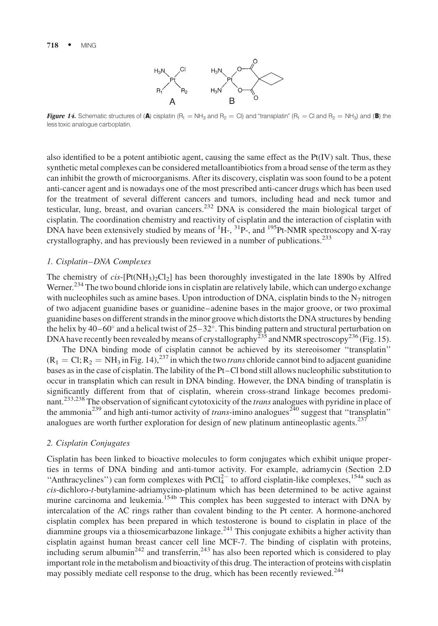#### 718 · MING



**Figure 14.** Schematic structures of (A) cisplatin (R<sub>1</sub> = NH<sub>3</sub> and R<sub>2</sub> = CI) and "transplatin" (R<sub>1</sub> = Cl and R<sub>2</sub> = NH<sub>3</sub>) and (B) the lesstoxic analogue carboplatin.

also identified to be a potent antibiotic agent, causing the same effect as the Pt(IV) salt. Thus, these synthetic metal complexes can be considered metalloantibiotics from a broad sense of the term as they can inhibit the growth of microorganisms. After its discovery, cisplatin was soon found to be a potent anti-cancer agent and is nowadays one of the most prescribed anti-cancer drugs which has been used for the treatment of several different cancers and tumors, including head and neck tumor and testicular, lung, breast, and ovarian cancers.<sup>232</sup> DNA is considered the main biological target of cisplatin. The coordination chemistry and reactivity of cisplatin and the interaction of cisplatin with DNA have been extensively studied by means of  ${}^{1}H_{2}$ ,  ${}^{31}P_{2}$ , and  ${}^{195}Pt$ -NMR spectroscopy and X-ray crystallography, and has previously been reviewed in a number of publications.<sup>233</sup>

#### 1. Cisplatin–DNA Complexes

The chemistry of  $cis$ -[Pt(NH<sub>3</sub>)<sub>2</sub>Cl<sub>2</sub>] has been thoroughly investigated in the late 1890s by Alfred Werner.<sup>234</sup> The two bound chloride ions in cisplatin are relatively labile, which can undergo exchange with nucleophiles such as amine bases. Upon introduction of DNA, cisplatin binds to the  $N<sub>7</sub>$  nitrogen of two adjacent guanidine bases or guanidine–adenine bases in the major groove, or two proximal guanidine bases on different strands in the minor groove which distorts the DNA structures by bending the helix by  $40-60^\circ$  and a helical twist of  $25-32^\circ$ . This binding pattern and structural perturbation on DNA have recently been revealed by means of crystallography<sup> $235$ </sup> and NMR spectroscopy<sup>236</sup> (Fig. 15).

The DNA binding mode of cisplatin cannot be achieved by its stereoisomer ''transplatin''  $(R_1 = C_1; R_2 = NH_3$  in Fig. 14),<sup>237</sup> in which the two *trans* chloride cannot bind to adjacent guanidine bases as in the case of cisplatin. The lability of the Pt–Cl bond still allows nucleophilic substitution to occur in transplatin which can result in DNA binding. However, the DNA binding of transplatin is significantly different from that of cisplatin, wherein cross-strand linkage becomes predominant.<sup>233,238</sup> The observation of significant cytotoxicity of the *trans* analogues with pyridine in place of the ammonia<sup>239</sup> and high anti-tumor activity of *trans*-imino analogues<sup>240</sup> suggest that "transplatin" analogues are worth further exploration for design of new platinum antineoplastic agents. $237$ 

#### 2. Cisplatin Conjugates

Cisplatin has been linked to bioactive molecules to form conjugates which exhibit unique properties in terms of DNA binding and anti-tumor activity. For example, adriamycin (Section 2.D "Anthracyclines") can form complexes with PtCl $^{2-}$  to afford cisplatin-like complexes,<sup>154a</sup> such as cis-dichloro-t-butylamine-adriamycino-platinum which has been determined to be active against murine carcinoma and leukemia.<sup>154b</sup> This complex has been suggested to interact with DNA by intercalation of the AC rings rather than covalent binding to the Pt center. A hormone-anchored cisplatin complex has been prepared in which testosterone is bound to cisplatin in place of the diammine groups via a thiosemicarbazone linkage.<sup>241</sup> This conjugate exhibits a higher activity than cisplatin against human breast cancer cell line MCF-7. The binding of cisplatin with proteins, including serum albumin<sup>242</sup> and transferrin,<sup>243</sup> has also been reported which is considered to play important role in the metabolism and bioactivity of this drug. The interaction of proteins with cisplatin may possibly mediate cell response to the drug, which has been recently reviewed.<sup>244</sup>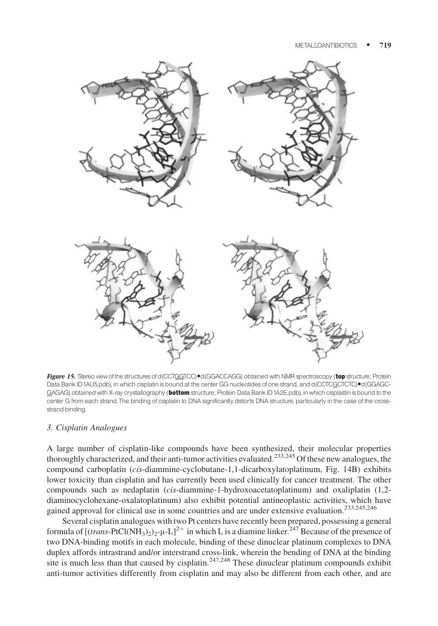

Figure 15. Stereo view of the structures of d(CCTGGTCC)<sup>®</sup>d(GGACCAGG) obtained with NMR spectroscopy (top structure; Protein Data Bank ID1AU5.pdb), in which cisplatin is bound at the center GG nucleotides of one strand, and d(CCTCGCTCTC)●d(GGAGC-GAGAG) obtained with X-ray crystallography (bottom structure; Protein Data Bank ID1A2E.pdb), in which cisplastin is bound to the center G from each strand.The binding of cisplatin to DNA significantly distorts DNA structure, particularly in the case of the crossstrand binding.

#### 3. Cisplatin Analogues

A large number of cisplatin-like compounds have been synthesized, their molecular properties thoroughly characterized, and their anti-tumor activities evaluated.<sup>233,245</sup> Of these new analogues, the compound carboplatin (cis-diammine-cyclobutane-1,1-dicarboxylatoplatinum, Fig. 14B) exhibits lower toxicity than cisplatin and has currently been used clinically for cancer treatment. The other compounds such as nedaplatin (cis-diammine-1-hydroxoacetatoplatinum) and oxaliplatin (1,2diaminocyclohexane-oxalatoplatinum) also exhibit potential antineoplastic activities, which have gained approval for clinical use in some countries and are under extensive evaluation.<sup>233,245,246</sup>

Several cisplatin analogues with two Pt centers have recently been prepared, possessing a general formula of  $[(trans-PtCl(NH<sub>3</sub>)<sub>2</sub>)<sub>2</sub>-µ-L]<sup>2+</sup>$  in which L is a diamine linker.<sup>247</sup> Because of the presence of two DNA-binding motifs in each molecule, binding of these dinuclear platinum complexes to DNA duplex affords intrastrand and/or interstrand cross-link, wherein the bending of DNA at the binding site is much less than that caused by cisplatin.<sup>247,248</sup> These dinuclear platinum compounds exhibit anti-tumor activities differently from cisplatin and may also be different from each other, and are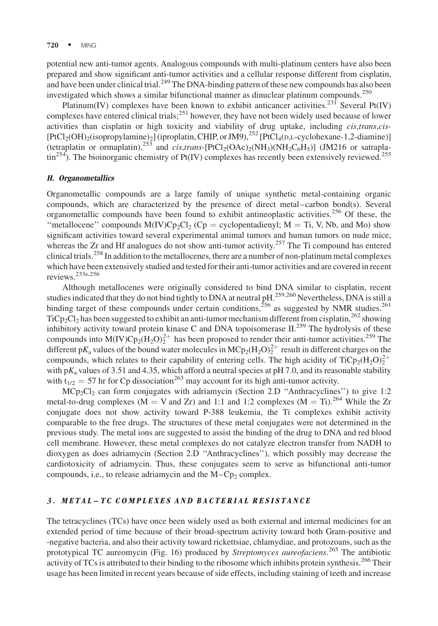potential new anti-tumor agents. Analogous compounds with multi-platinum centers have also been prepared and show significant anti-tumor activities and a cellular response different from cisplatin, and have been under clinical trial.<sup>249</sup> The DNA-binding pattern of these new compounds has also been investigated which shows a similar bifunctional manner as dinuclear platinum compounds. $^{250}$ 

Platinum(IV) complexes have been known to exhibit anticancer activities.<sup>231</sup> Several Pt(IV) complexes have entered clinical trials;<sup>251</sup> however, they have not been widely used because of lower activities than cisplatin or high toxicity and viability of drug uptake, including *cis,trans,cis-* $[PtCl<sub>2</sub>(OH)<sub>2</sub>(isopropylamine)<sub>2</sub>] (iproplatin, CHIP, or JM9)<sub>2</sub><sup>252</sup> [PtCl<sub>4</sub>(D,L-cyclohexane-1,2-diamine)]$ (tetraplatin or ormaplatin),<sup>253</sup> and *cis,trans*-[PtCl<sub>2</sub>(OAc)<sub>2</sub>(NH<sub>3</sub>)(NH<sub>2</sub>C<sub>6</sub>H<sub>5</sub>)] (JM216 or satraplatin<sup>254</sup>). The bioinorganic chemistry of Pt(IV) complexes has recently been extensively reviewed.<sup>255</sup>

#### H. Organometallics

Organometallic compounds are a large family of unique synthetic metal-containing organic compounds, which are characterized by the presence of direct metal–carbon bond(s). Several organometallic compounds have been found to exhibit antineoplastic activities.<sup>256</sup> Of these, the "metallocene" compounds  $M(IV)Cp_2Cl_2$  (Cp = cyclopentadienyl; M = Ti, V, Nb, and Mo) show significant activities toward several experimental animal tumors and human tumors on nude mice, whereas the Zr and Hf analogues do not show anti-tumor activity.<sup>257</sup> The Ti compound has entered clinical trials.<sup>258</sup> In addition to the metallocenes, there are a number of non-platinum metal complexes which have been extensively studied and tested for their anti-tumor activities and are covered in recent reviews.233e,256

Although metallocenes were originally considered to bind DNA similar to cisplatin, recent studies indicated that they do not bind tightly to DNA at neutral pH.259,260 Nevertheless, DNA is still a binding target of these compounds under certain conditions,  $256$  as suggested by NMR studies.<sup>261</sup> TiCp<sub>2</sub>Cl<sub>2</sub> has been suggested to exhibit an anti-tumor mechanism different from cisplatin,<sup>262</sup> showing inhibitory activity toward protein kinase C and DNA topoisomerase II.<sup>259</sup> The hydrolysis of these compounds into  $M(IV)Cp_2(H_2O)_2^{2+}$  has been proposed to render their anti-tumor activities.<sup>259</sup> The different p $K_a$  values of the bound water molecules in MCp<sub>2</sub>(H<sub>2</sub>O)<sup>2+</sup> result in different charges on the compounds, which relates to their capability of entering cells. The high acidity of TiCp<sub>2</sub>(H<sub>2</sub>O)<sub>2</sub><sup>2+</sup> with  $pK_a$  values of 3.51 and 4.35, which afford a neutral species at pH 7.0, and its reasonable stability with  $t_{1/2} = 57$  hr for Cp dissociation<sup>263</sup> may account for its high anti-tumor activity.

 $MCp_2Cl_2$  can form conjugates with adriamycin (Section 2.D "Anthracyclines") to give 1:2 metal-to-drug complexes ( $M = V$  and  $Zr$ ) and 1:1 and 1:2 complexes ( $M = Ti$ ).<sup>264</sup> While the Zr conjugate does not show activity toward P-388 leukemia, the Ti complexes exhibit activity comparable to the free drugs. The structures of these metal conjugates were not determined in the previous study. The metal ions are suggested to assist the binding of the drug to DNA and red blood cell membrane. However, these metal complexes do not catalyze electron transfer from NADH to dioxygen as does adriamycin (Section 2.D ''Anthracyclines''), which possibly may decrease the cardiotoxicity of adriamycin. Thus, these conjugates seem to serve as bifunctional anti-tumor compounds, i.e., to release adriamycin and the  $M - Cp_2$  complex.

# 3. METAL–TC COMPLEXES AND BACTERIAL RESISTANCE

The tetracyclines (TCs) have once been widely used as both external and internal medicines for an extended period of time because of their broad-spectrum activity toward both Gram-positive and -negative bacteria, and also their activity toward rickettsiae, chlamydiae, and protozoans, such as the prototypical TC aureomycin (Fig. 16) produced by Streptomyces aureofaciens.<sup>265</sup> The antibiotic activity of TCs is attributed to their binding to the ribosome which inhibits protein synthesis.<sup>266</sup> Their usage has been limited in recent years because of side effects, including staining of teeth and increase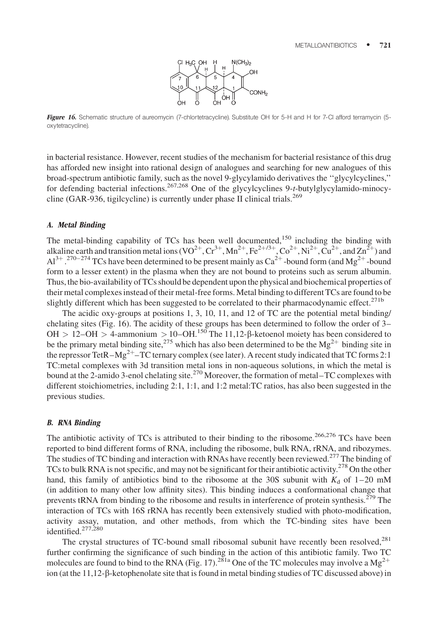

Figure 16. Schematic structure of aureomycin (7-chlortetracycline). Substitute OH for 5-H and H for 7-Cl afford terramycin (5oxytetracycline).

in bacterial resistance. However, recent studies of the mechanism for bacterial resistance of this drug has afforded new insight into rational design of analogues and searching for new analogues of this broad-spectrum antibiotic family, such as the novel 9-glycylamido derivatives the ''glycylcyclines,'' for defending bacterial infections.<sup>267,268</sup> One of the glycylcyclines 9-t-butylglycylamido-minocycline (GAR-936, tigilcycline) is currently under phase II clinical trials.<sup>269</sup>

#### A. Metal Binding

The metal-binding capability of TCs has been well documented,<sup>150</sup> including the binding with alkaline earth and transition metal ions (VO<sup>2+</sup>, Cr<sup>3+</sup>, Mn<sup>2+</sup>, Fe<sup>2+/3+</sup>, Co<sup>2+</sup>, Ni<sup>2+</sup>, Cu<sup>2+</sup>, and Zn<sup>2+</sup>) and  $Al^{3+}$ .<sup>270–274</sup> TCs have been determined to be present mainly as Ca<sup>2+</sup>-bound form (and Mg<sup>2+</sup>-bound form to a lesser extent) in the plasma when they are not bound to proteins such as serum albumin. Thus, the bio-availability of TCs should be dependent upon the physical and biochemical properties of their metal complexes instead of their metal-free forms. Metal binding to different TCs are found to be slightly different which has been suggested to be correlated to their pharmacodynamic effect.<sup>271b</sup>

The acidic oxy-groups at positions 1, 3, 10, 11, and 12 of TC are the potential metal binding/ chelating sites (Fig. 16). The acidity of these groups has been determined to follow the order of 3– OH > 12–OH > 4-ammonium > 10–OH.<sup>150</sup> The 11,12- $\beta$ -ketoenol moiety has been considered to be the primary metal binding site,<sup>275</sup> which has also been determined to be the Mg<sup>2+</sup> binding site in the repressor TetR–Mg<sup>2+</sup>–TC ternary complex (see later). A recent study indicated that TC forms 2:1 TC:metal complexes with 3d transition metal ions in non-aqueous solutions, in which the metal is bound at the 2-amido 3-enol chelating site.<sup>270</sup> Moreover, the formation of metal–TC complexes with different stoichiometries, including 2:1, 1:1, and 1:2 metal:TC ratios, has also been suggested in the previous studies.

#### B. RNA Binding

The antibiotic activity of TCs is attributed to their binding to the ribosome.<sup>266,276</sup> TCs have been reported to bind different forms of RNA, including the ribosome, bulk RNA, rRNA, and ribozymes. The studies of TC binding and interaction with RNAs have recently been reviewed.<sup>277</sup> The binding of TCs to bulk RNA is not specific, and may not be significant for their antibiotic activity.<sup>278</sup> On the other hand, this family of antibiotics bind to the ribosome at the 30S subunit with  $K_d$  of 1–20 mM (in addition to many other low affinity sites). This binding induces a conformational change that prevents tRNA from binding to the ribosome and results in interference of protein synthesis.<sup>279</sup> The interaction of TCs with 16S rRNA has recently been extensively studied with photo-modification, activity assay, mutation, and other methods, from which the TC-binding sites have been identified.<sup>277,280</sup>

The crystal structures of TC-bound small ribosomal subunit have recently been resolved,<sup>281</sup> further confirming the significance of such binding in the action of this antibiotic family. Two TC molecules are found to bind to the RNA (Fig. 17).<sup>281a</sup> One of the TC molecules may involve a  $Mg^{2+}$ ion (at the 11,12-β-ketophenolate site that is found in metal binding studies of TC discussed above) in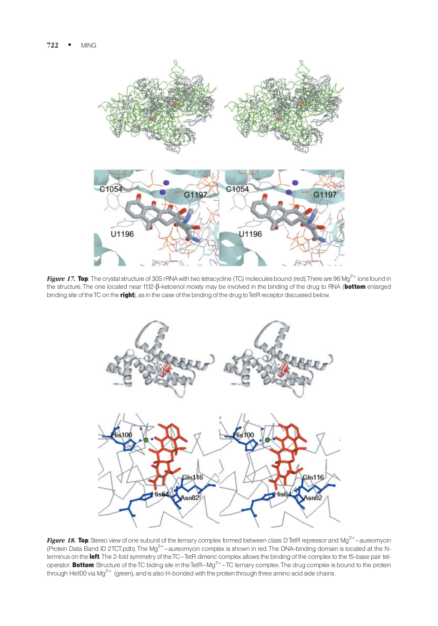

Figure 17. Top: The crystal structure of 30S rRNA with two tetracycline (TC) molecules bound (red). There are 96 Mg<sup>2+</sup> ions found in the structure. The one located near 11,12-B-ketoenol moiety may be involved in the binding of the drug to RNA (bottom enlarged binding site of the TC on the right), as in the case of the binding of the drug to TetR receptor discussed below.



Figure 18. Top: Stereo view of one subunit of the ternary complex formed between class DTetR repressor and Mg<sup>2+</sup>-aureomycin (Protein Data Band ID 2TCT.pdb). The Mg<sup>2+</sup>-aureomycin complex is shown in red. The DNA-binding domain is located at the Nterminus on the left. The 2-fold symmetry of the TC-TetR dimeric complex allows the binding of the complex to the 15-base pair tetoperator. Bottom: Structure of the TC biding site in the TetR-Mg<sup>2+</sup>-TC ternary complex. The drug complex is bound to the protein through His100 via Mg<sup>2+</sup> (green), and is also H-bonded with the protein through three amino acid side chains.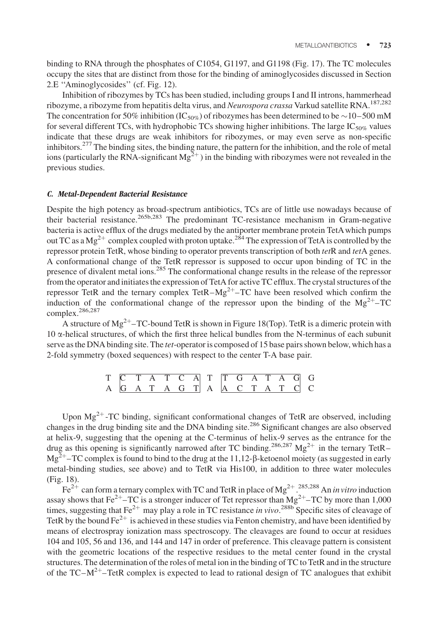binding to RNA through the phosphates of C1054, G1197, and G1198 (Fig. 17). The TC molecules occupy the sites that are distinct from those for the binding of aminoglycosides discussed in Section 2.E ''Aminoglycosides'' (cf. Fig. 12).

Inhibition of ribozymes by TCs has been studied, including groups I and II introns, hammerhead ribozyme, a ribozyme from hepatitis delta virus, and Neurospora crassa Varkud satellite RNA.<sup>187,282</sup> The concentration for 50% inhibition (IC<sub>50%</sub>) of ribozymes has been determined to be  $\sim$ 10–500 mM for several different TCs, with hydrophobic TCs showing higher inhibitions. The large  $IC_{50\%}$  values indicate that these drugs are weak inhibitors for ribozymes, or may even serve as non-specific inhibitors.<sup>277</sup> The binding sites, the binding nature, the pattern for the inhibition, and the role of metal ions (particularly the RNA-significant  $Mg^{2+}$ ) in the binding with ribozymes were not revealed in the previous studies.

#### C. Metal-Dependent Bacterial Resistance

Despite the high potency as broad-spectrum antibiotics, TCs are of little use nowadays because of their bacterial resistance.265b,283 The predominant TC-resistance mechanism in Gram-negative bacteria is active efflux of the drugs mediated by the antiporter membrane protein TetAwhich pumps out TC as a Mg<sup>2+</sup> complex coupled with proton uptake.<sup>284</sup> The expression of TetA is controlled by the repressor protein TetR, whose binding to operator prevents transcription of both tetR and tetA genes. A conformational change of the TetR repressor is supposed to occur upon binding of TC in the presence of divalent metal ions.<sup>285</sup> The conformational change results in the release of the repressor from the operator and initiates the expression of TetA for active TC efflux. The crystal structures of the repressor TetR and the ternary complex TetR–Mg<sup>2+</sup>–TC have been resolved which confirm the induction of the conformational change of the repressor upon the binding of the  $Mg^{2+}$ –TC complex.<sup>286,287</sup>

A structure of  $Mg^{2+}$ –TC-bound TetR is shown in Figure 18(Top). TetR is a dimeric protein with  $10 \alpha$ -helical structures, of which the first three helical bundles from the N-terminus of each subunit serve as the DNA binding site. The *tet*-operator is composed of 15 base pairs shown below, which has a 2-fold symmetry (boxed sequences) with respect to the center T-A base pair.

|  |  |  |  | T C T A T C A T T G A T A G G |  |  |  |
|--|--|--|--|-------------------------------|--|--|--|
|  |  |  |  | A G A T A G T A A C T A T C C |  |  |  |

Upon  $Mg^{2+}$ -TC binding, significant conformational changes of TetR are observed, including changes in the drug binding site and the DNA binding site.<sup>286</sup> Significant changes are also observed at helix-9, suggesting that the opening at the C-terminus of helix-9 serves as the entrance for the drug as this opening is significantly narrowed after TC binding.<sup>286,287</sup> Mg<sup>2+</sup> in the ternary TetR–  $Mg^{2+}$ –TC complex is found to bind to the drug at the 11,12- $\beta$ -ketoenol moiety (as suggested in early metal-binding studies, see above) and to TetR via His100, in addition to three water molecules (Fig. 18).

Fe<sup>2+</sup> can form a ternary complex with TC and TetR in place of Mg<sup>2+</sup>.<sup>285,288</sup> An in vitro induction assay shows that  $Fe^{2+}$ –TC is a stronger inducer of Tet repressor than  $Mg^{2+}$ –TC by more than 1,000 times, suggesting that Fe<sup>2+</sup> may play a role in TC resistance in vivo.<sup>288b</sup> Specific sites of cleavage of TetR by the bound Fe<sup>2+</sup> is achieved in these studies via Fenton chemistry, and have been identified by means of electrospray ionization mass spectroscopy. The cleavages are found to occur at residues 104 and 105, 56 and 136, and 144 and 147 in order of preference. This cleavage pattern is consistent with the geometric locations of the respective residues to the metal center found in the crystal structures. The determination of the roles of metal ion in the binding of TC to TetR and in the structure of the TC– $M^{2+}$ –TetR complex is expected to lead to rational design of TC analogues that exhibit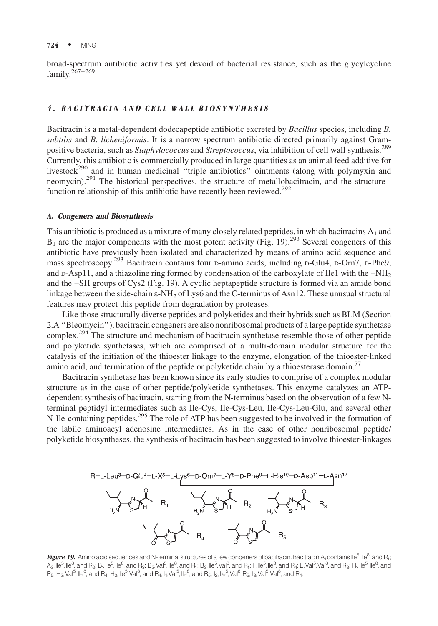broad-spectrum antibiotic activities yet devoid of bacterial resistance, such as the glycylcycline  $family.$ <sup>267–269</sup>

# 4. BACITRACIN AND CELL WALL BIOSYNTHESIS

Bacitracin is a metal-dependent dodecapeptide antibiotic excreted by Bacillus species, including B. subtilis and B. licheniformis. It is a narrow spectrum antibiotic directed primarily against Grampositive bacteria, such as Staphylococcus and Streptococcus, via inhibition of cell wall synthesis.<sup>289</sup> Currently, this antibiotic is commercially produced in large quantities as an animal feed additive for livestock<sup>290</sup> and in human medicinal "triple antibiotics" ointments (along with polymyxin and neomycin).<sup>291</sup> The historical perspectives, the structure of metallobacitracin, and the structure– function relationship of this antibiotic have recently been reviewed.<sup>292</sup>

#### A. Congeners and Biosynthesis

This antibiotic is produced as a mixture of many closely related peptides, in which bacitracins  $A_1$  and  $B_1$  are the major components with the most potent activity (Fig. 19).<sup>293</sup> Several congeners of this antibiotic have previously been isolated and characterized by means of amino acid sequence and mass spectroscopy.<sup>293</sup> Bacitracin contains four D-amino acids, including D-Glu4, D-Orn7, D-Phe9, and  $p-Asp11$ , and a thiazoline ring formed by condensation of the carboxylate of Ile1 with the  $-NH<sub>2</sub>$ and the –SH groups of Cys2 (Fig. 19). A cyclic heptapeptide structure is formed via an amide bond linkage between the side-chain  $\varepsilon$ -NH<sub>2</sub> of Lys6 and the C-terminus of Asn12. These unusual structural features may protect this peptide from degradation by proteases.

Like those structurally diverse peptides and polyketides and their hybrids such as BLM (Section 2.A ''Bleomycin''), bacitracin congeners are also nonribosomal products of a large peptide synthetase complex.<sup>294</sup> The structure and mechanism of bacitracin synthetase resemble those of other peptide and polyketide synthetases, which are comprised of a multi-domain modular structure for the catalysis of the initiation of the thioester linkage to the enzyme, elongation of the thioester-linked amino acid, and termination of the peptide or polyketide chain by a thioesterase domain.<sup>77</sup>

Bacitracin synthetase has been known since its early studies to comprise of a complex modular structure as in the case of other peptide/polyketide synthetases. This enzyme catalyzes an ATPdependent synthesis of bacitracin, starting from the N-terminus based on the observation of a few Nterminal peptidyl intermediates such as Ile-Cys, Ile-Cys-Leu, Ile-Cys-Leu-Glu, and several other N-Ile-containing peptides.<sup>295</sup> The role of ATP has been suggested to be involved in the formation of the labile aminoacyl adenosine intermediates. As in the case of other nonribosomal peptide/ polyketide biosyntheses, the synthesis of bacitracin has been suggested to involve thioester-linkages





**Figure 19.** Amino acid sequences and N-terminal structures of a few congeners of bacitracin. Bacitracin A<sub>1</sub> contains Ile<sup>5</sup>, Ile<sup>8</sup>, and R<sub>1</sub>; A<sub>2</sub>, Ile<sup>5</sup>, Ile<sup>8</sup>, and R<sub>2</sub>; B<sub>1</sub>, Ile<sup>5</sup>, Ile<sup>8</sup>, and R<sub>3</sub>; B<sub>2</sub>, Val<sup>5</sup>, Ile<sup>8</sup>, and R<sub>1</sub>; B<sub>3</sub>, Ile<sup>5</sup>, Val<sup>8</sup>, and R<sub>1</sub>; F, Ile<sup>6</sup>, Ile<sup>8</sup>, and R<sub>4</sub>; E, Val<sup>5</sup>, Val<sup>8</sup>, and R<sub>3</sub>; H<sub>1</sub>, Ile<sup>5</sup>, Ile<sup>8</sup>, and  $R_5$ ; H<sub>2</sub>, Val<sup>5</sup>, Ile<sup>8</sup>, and R<sub>4</sub>; H<sub>3</sub>, Ile<sup>5</sup>, Val<sup>8</sup>, and R<sub>4</sub>; I<sub>1</sub>, Val<sup>5</sup>, Ile<sup>8</sup>, and R<sub>5</sub>; I<sub>2</sub>, Ile<sup>5</sup>, Val<sup>8</sup>, R<sub>5</sub>; I<sub>3</sub>, Val<sup>5</sup>, Val<sup>8</sup>, and R<sub>4</sub>.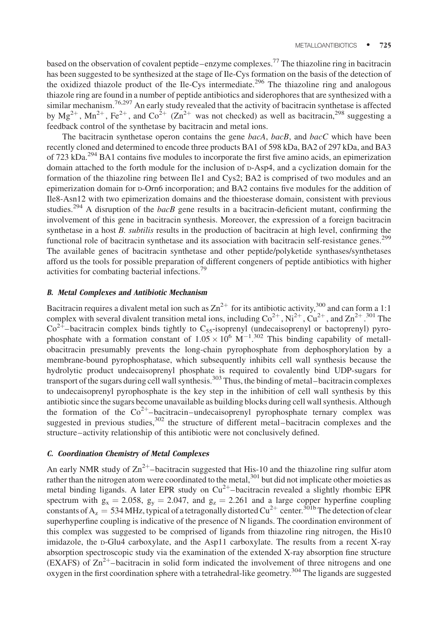based on the observation of covalent peptide–enzyme complexes.<sup>77</sup> The thiazoline ring in bacitracin has been suggested to be synthesized at the stage of Ile-Cys formation on the basis of the detection of the oxidized thiazole product of the Ile-Cys intermediate.<sup>296</sup> The thiazoline ring and analogous thiazole ring are found in a number of peptide antibiotics and siderophores that are synthesized with a similar mechanism.<sup>76,297</sup> An early study revealed that the activity of bacitracin synthetase is affected by  $Mg^{2+}$ ,  $Mn^{2+}$ ,  $Fe^{2+}$ , and  $Co^{2+}$  ( $Zn^{2+}$  was not checked) as well as bacitracin,<sup>298</sup> suggesting a feedback control of the synthetase by bacitracin and metal ions.

The bacitracin synthetase operon contains the gene bacA, bacB, and bacC which have been recently cloned and determined to encode three products BA1 of 598 kDa, BA2 of 297 kDa, and BA3 of 723 kDa.<sup>294</sup> BA1 contains five modules to incorporate the first five amino acids, an epimerization domain attached to the forth module for the inclusion of D-Asp4, and a cyclization domain for the formation of the thiazoline ring between Ile1 and Cys2; BA2 is comprised of two modules and an epimerization domain for D-Orn6 incorporation; and BA2 contains five modules for the addition of Ile8-Asn12 with two epimerization domains and the thioesterase domain, consistent with previous studies.<sup>294</sup> A disruption of the *bacB* gene results in a bacitracin-deficient mutant, confirming the involvement of this gene in bacitracin synthesis. Moreover, the expression of a foreign bacitracin synthetase in a host B. *subtilis* results in the production of bacitracin at high level, confirming the functional role of bacitracin synthetase and its association with bacitracin self-resistance genes.<sup>299</sup> The available genes of bacitracin synthetase and other peptide/polyketide synthases/synthetases afford us the tools for possible preparation of different congeners of peptide antibiotics with higher activities for combating bacterial infections.<sup>79</sup>

# B. Metal Complexes and Antibiotic Mechanism

Bacitracin requires a divalent metal ion such as  $Zn^{2+}$  for its antibiotic activity,  $300$  and can form a 1:1 complex with several divalent transition metal ions, including  $\text{Co}^{2+}$ ,  $\text{Ni}^{2+}$ ,  $\text{Cu}^{2+}$ , and  $\text{Zn}^{2+}$ .  $301$  The  $Co^{2+}$ –bacitracin complex binds tightly to  $C_{55}$ -isoprenyl (undecaisoprenyl or bactoprenyl) pyrophosphate with a formation constant of  $1.05 \times 10^6$  M<sup>-1</sup>.<sup>302</sup> This binding capability of metallobacitracin presumably prevents the long-chain pyrophosphate from dephosphorylation by a membrane-bound pyrophosphatase, which subsequently inhibits cell wall synthesis because the hydrolytic product undecaisoprenyl phosphate is required to covalently bind UDP-sugars for transport of the sugars during cell wall synthesis.<sup>303</sup> Thus, the binding of metal–bacitracin complexes to undecaisoprenyl pyrophosphate is the key step in the inhibition of cell wall synthesis by this antibiotic since the sugars become unavailable as building blocks during cell wall synthesis. Although the formation of the  $Co^{2+}$ -bacitracin–undecaisoprenyl pyrophosphate ternary complex was suggested in previous studies, $302$  the structure of different metal–bacitracin complexes and the structure–activity relationship of this antibiotic were not conclusively defined.

# C. Coordination Chemistry of Metal Complexes

An early NMR study of  $Zn^{2+}$ –bacitracin suggested that His-10 and the thiazoline ring sulfur atom rather than the nitrogen atom were coordinated to the metal,<sup>301</sup> but did not implicate other moieties as metal binding ligands. A later EPR study on  $Cu^{2+}$ -bacitracin revealed a slightly rhombic EPR spectrum with  $g_x = 2.058$ ,  $g_y = 2.047$ , and  $g_z = 2.261$  and a large copper hyperfine coupling constants of A<sub>z</sub> = 534 MHz, typical of a tetragonally distorted Cu<sup>2+</sup> center.<sup>301b</sup> The detection of clear superhyperfine coupling is indicative of the presence of N ligands. The coordination environment of this complex was suggested to be comprised of ligands from thiazoline ring nitrogen, the His10 imidazole, the D-Glu4 carboxylate, and the Asp11 carboxylate. The results from a recent X-ray absorption spectroscopic study via the examination of the extended X-ray absorption fine structure (EXAFS) of  $\text{Zn}^{2+}$ -bacitracin in solid form indicated the involvement of three nitrogens and one oxygen in the first coordination sphere with a tetrahedral-like geometry.<sup>304</sup> The ligands are suggested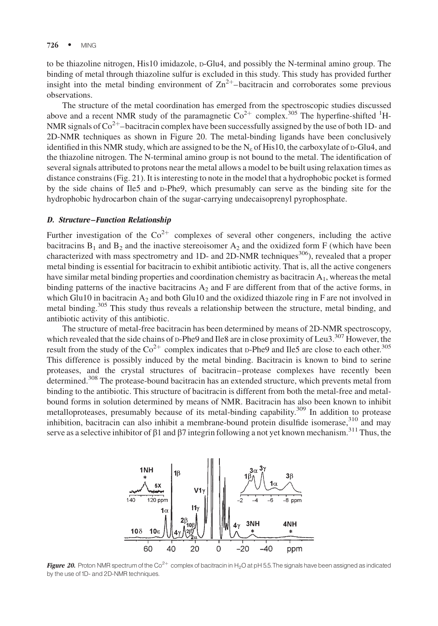to be thiazoline nitrogen, His10 imidazole, D-Glu4, and possibly the N-terminal amino group. The binding of metal through thiazoline sulfur is excluded in this study. This study has provided further insight into the metal binding environment of  $\text{Zn}^{2+}$ -bacitracin and corroborates some previous observations.

The structure of the metal coordination has emerged from the spectroscopic studies discussed above and a recent NMR study of the paramagnetic  $\text{Co}^{2+}$  complex.<sup>305</sup> The hyperfine-shifted <sup>1</sup>H-NMR signals of  $\text{Co}^{2+}$ -bacitracin complex have been successfully assigned by the use of both 1D- and 2D-NMR techniques as shown in Figure 20. The metal-binding ligands have been conclusively identified in this NMR study, which are assigned to be the  $N<sub>e</sub>$  of His10, the carboxylate of  $p-Glu4$ , and the thiazoline nitrogen. The N-terminal amino group is not bound to the metal. The identification of several signals attributed to protons near the metal allows a model to be built using relaxation times as distance constrains (Fig. 21). It is interesting to note in the model that a hydrophobic pocket is formed by the side chains of Ile5 and D-Phe9, which presumably can serve as the binding site for the hydrophobic hydrocarbon chain of the sugar-carrying undecaisoprenyl pyrophosphate.

#### D. Structure–Function Relationship

Further investigation of the  $Co^{2+}$  complexes of several other congeners, including the active bacitracins  $B_1$  and  $B_2$  and the inactive stereoisomer  $A_2$  and the oxidized form F (which have been characterized with mass spectrometry and 1D- and 2D-NMR techniques<sup>306</sup>), revealed that a proper metal binding is essential for bacitracin to exhibit antibiotic activity. That is, all the active congeners have similar metal binding properties and coordination chemistry as bacitracin A<sub>1</sub>, whereas the metal binding patterns of the inactive bacitracins  $A_2$  and F are different from that of the active forms, in which Glu10 in bacitracin  $A_2$  and both Glu10 and the oxidized thiazole ring in F are not involved in metal binding.<sup>305</sup> This study thus reveals a relationship between the structure, metal binding, and antibiotic activity of this antibiotic.

The structure of metal-free bacitracin has been determined by means of 2D-NMR spectroscopy, which revealed that the side chains of D-Phe9 and Ile8 are in close proximity of Leu3.<sup>307</sup> However, the result from the study of the  $Co^{2+}$  complex indicates that D-Phe9 and Ile5 are close to each other.<sup>305</sup> This difference is possibly induced by the metal binding. Bacitracin is known to bind to serine proteases, and the crystal structures of bacitracin–protease complexes have recently been determined.<sup>308</sup> The protease-bound bacitracin has an extended structure, which prevents metal from binding to the antibiotic. This structure of bacitracin is different from both the metal-free and metalbound forms in solution determined by means of NMR. Bacitracin has also been known to inhibit metalloproteases, presumably because of its metal-binding capability.<sup>309</sup> In addition to protease inhibition, bacitracin can also inhibit a membrane-bound protein disulfide isomerase, $310$  and may serve as a selective inhibitor of  $\beta$ 1 and  $\beta$ 7 integrin following a not yet known mechanism.<sup>311</sup> Thus, the



Figure 20. Proton NMR spectrum of the Co<sup>2+</sup> complex of bacitracin in H<sub>2</sub>O at pH 5.5. The signals have been assigned as indicated by the use of1D- and 2D-NMR techniques.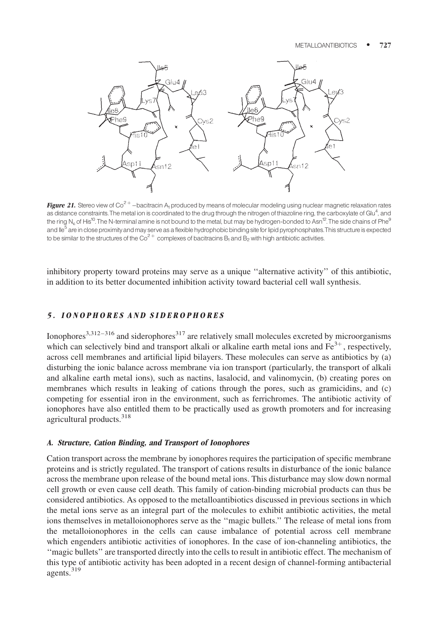

Figure 21. Stereo view of Co<sup>2+</sup>-bacitracin A<sub>1</sub> produced by means of molecular modeling using nuclear magnetic relaxation rates as distance constraints. The metal ion is coordinated to the drug through the nitrogen of thiazoline ring, the carboxylate of Glu<sup>4</sup>, and the ring N<sub>e</sub> of His<sup>10</sup>. The N-terminal amine is not bound to the metal, but may be hydrogen-bonded to Asn<sup>12</sup>. The side chains of Phe<sup>9</sup> and lle<sup>5</sup> are in close proximity and may serve as a flexible hydrophobic binding site for lipid pyrophosphates. This structure is expected to be similar to the structures of the  $\text{Co}^{2+}$  complexes of bacitracins B<sub>1</sub> and B<sub>2</sub> with high antibiotic activities.

inhibitory property toward proteins may serve as a unique ''alternative activity'' of this antibiotic, in addition to its better documented inhibition activity toward bacterial cell wall synthesis.

## 5. IONOPHORES AND SIDEROPHORES

Ionophores<sup>3,312–316</sup> and siderophores<sup>317</sup> are relatively small molecules excreted by microorganisms which can selectively bind and transport alkali or alkaline earth metal ions and  $Fe^{3+}$ , respectively, across cell membranes and artificial lipid bilayers. These molecules can serve as antibiotics by (a) disturbing the ionic balance across membrane via ion transport (particularly, the transport of alkali and alkaline earth metal ions), such as nactins, lasalocid, and valinomycin, (b) creating pores on membranes which results in leaking of cations through the pores, such as gramicidins, and (c) competing for essential iron in the environment, such as ferrichromes. The antibiotic activity of ionophores have also entitled them to be practically used as growth promoters and for increasing agricultural products.<sup>318</sup>

#### A. Structure, Cation Binding, and Transport of Ionophores

Cation transport across the membrane by ionophores requires the participation of specific membrane proteins and is strictly regulated. The transport of cations results in disturbance of the ionic balance across the membrane upon release of the bound metal ions. This disturbance may slow down normal cell growth or even cause cell death. This family of cation-binding microbial products can thus be considered antibiotics. As opposed to the metalloantibiotics discussed in previous sections in which the metal ions serve as an integral part of the molecules to exhibit antibiotic activities, the metal ions themselves in metalloionophores serve as the ''magic bullets.'' The release of metal ions from the metalloionophores in the cells can cause imbalance of potential across cell membrane which engenders antibiotic activities of ionophores. In the case of ion-channeling antibiotics, the ''magic bullets'' are transported directly into the cells to result in antibiotic effect. The mechanism of this type of antibiotic activity has been adopted in a recent design of channel-forming antibacterial agents.<sup>319</sup>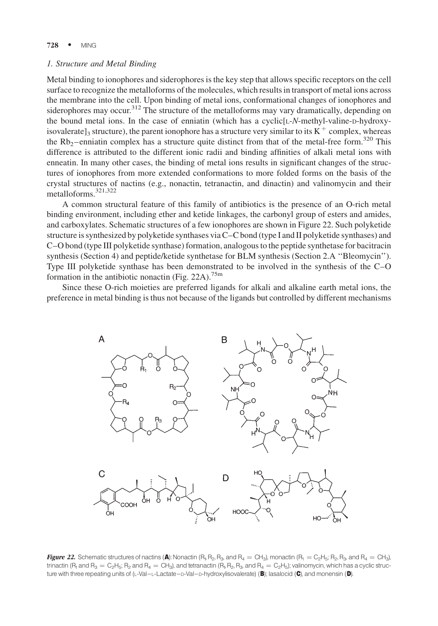#### 1. Structure and Metal Binding

Metal binding to ionophores and siderophores is the key step that allows specific receptors on the cell surface to recognize the metalloforms of the molecules, which results in transport of metal ions across the membrane into the cell. Upon binding of metal ions, conformational changes of ionophores and siderophores may occur.<sup>312</sup> The structure of the metalloforms may vary dramatically, depending on the bound metal ions. In the case of enniatin (which has a cyclic[L-N-methyl-valine-D-hydroxyisovalerate]<sub>3</sub> structure), the parent ionophore has a structure very similar to its  $K^+$  complex, whereas the  $Rb_2$ –enniatin complex has a structure quite distinct from that of the metal-free form.<sup>320</sup> This difference is attributed to the different ionic radii and binding affinities of alkali metal ions with enneatin. In many other cases, the binding of metal ions results in significant changes of the structures of ionophores from more extended conformations to more folded forms on the basis of the crystal structures of nactins (e.g., nonactin, tetranactin, and dinactin) and valinomycin and their metalloforms.321,322

A common structural feature of this family of antibiotics is the presence of an O-rich metal binding environment, including ether and ketide linkages, the carbonyl group of esters and amides, and carboxylates. Schematic structures of a few ionophores are shown in Figure 22. Such polyketide structure is synthesized by polyketide synthases via C–C bond (type I and II polyketide synthases) and C–O bond (type III polyketide synthase) formation, analogous to the peptide synthetase for bacitracin synthesis (Section 4) and peptide/ketide synthetase for BLM synthesis (Section 2.A ''Bleomycin''). Type III polyketide synthase has been demonstrated to be involved in the synthesis of the C–O formation in the antibiotic nonactin (Fig. 22A).<sup>75m</sup>

Since these O-rich moieties are preferred ligands for alkali and alkaline earth metal ions, the preference in metal binding is thus not because of the ligands but controlled by different mechanisms



Figure 22. Schematic structures of nactins (A): Nonactin  $(R_1, R_2, R_3,$  and  $R_4 = CH_3$ ), monactin  $(R_1 = C_2H_5, R_2, R_3,$  and  $R_4 = CH_3)$ , trinactin (R<sub>1</sub> and R<sub>3</sub> = C<sub>2</sub>H<sub>5</sub>; R<sub>2</sub> and R<sub>4</sub> = CH<sub>3</sub>), and tetranactin (R<sub>1</sub>, R<sub>2</sub>, R<sub>3</sub>, and R<sub>4</sub> = C<sub>2</sub>H<sub>5</sub>); valinomycin, which has a cyclic structure with three repeating units of  $(L-VaI-Lactate-D-VaI-D-Hydroxylisovalerate)$  (B); lasalocid (C), and monensin (D).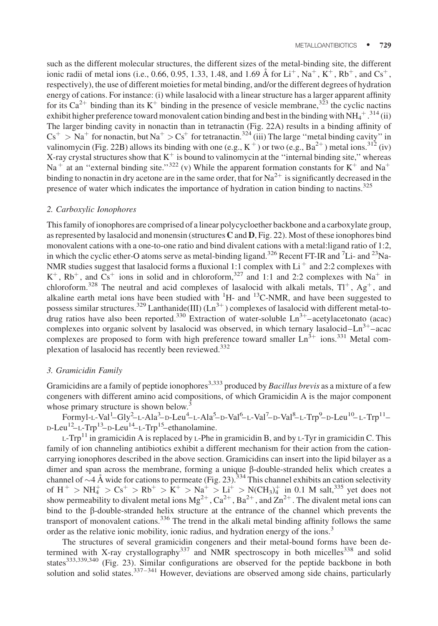such as the different molecular structures, the different sizes of the metal-binding site, the different ionic radii of metal ions (i.e., 0.66, 0.95, 1.33, 1.48, and 1.69 Å for Li<sup>+</sup>, Na<sup>+</sup>, K<sup>+</sup>, Rb<sup>+</sup>, and Cs<sup>+</sup>, respectively), the use of different moieties for metal binding, and/or the different degrees of hydration energy of cations. For instance: (i) while lasalocid with a linear structure has a larger apparent affinity for its  $Ca^{2+}$  binding than its K<sup>+</sup> binding in the presence of vesicle membrane,<sup>323</sup> the cyclic nactins exhibit higher preference toward monovalent cation binding and best in the binding with  $NH_4^+$ .<sup>314</sup> (ii) The larger binding cavity in nonactin than in tetranactin (Fig. 22A) results in a binding affinity of  $Cs^+ > Na^+$  for nonactin, but  $Na^+ > Cs^+$  for tetranactin.<sup>324</sup> (iii) The large "metal binding cavity" in valinomycin (Fig. 22B) allows its binding with one (e.g.,  $K^+$ ) or two (e.g., Ba<sup>2+</sup>) metal ions.<sup>312</sup> (iv) X-ray crystal structures show that  $K^+$  is bound to valinomycin at the "internal binding site," whereas Na<sup>+</sup> at an "external binding site."<sup>322</sup> (v) While the apparent formation constants for K<sup>+</sup> and Na<sup>+</sup> binding to nonactin in dry acetone are in the same order, that for  $Na^{2+}$  is significantly decreased in the presence of water which indicates the importance of hydration in cation binding to nactins.<sup>325</sup>

#### 2. Carboxylic Ionophores

This family of ionophores are comprised of a linear polycycloether backbone and a carboxylate group, as represented by lasalocid and monensin (structures  $C$  and  $D$ , Fig. 22). Most of these ionophores bind monovalent cations with a one-to-one ratio and bind divalent cations with a metal:ligand ratio of 1:2, in which the cyclic ether-O atoms serve as metal-binding ligand.<sup>326</sup> Recent FT-IR and <sup>7</sup>Li- and <sup>23</sup>Na-NMR studies suggest that lasalocid forms a fluxional 1:1 complex with Li<sup>+</sup> and 2:2 complexes with  $K^+$ ,  $Rb^+$ , and  $Cs^+$  ions in solid and in chloroform,<sup>327</sup> and 1:1 and 2:2 complexes with Na<sup>+</sup> in chloroform.<sup>328</sup> The neutral and acid complexes of lasalocid with alkali metals,  $TI^{+}$ , Ag<sup>+</sup>, and alkaline earth metal ions have been studied with  ${}^{1}H$ - and  ${}^{13}C$ -NMR, and have been suggested to possess similar structures.<sup>329</sup> Lanthanide(III)  $(Ln^{3+})$  complexes of lasalocid with different metal-todrug ratios have also been reported.<sup>330</sup> Extraction of water-soluble  $Ln^{3+}$ –acetylacetonato (acac) complexes into organic solvent by lasalocid was observed, in which ternary lasalocid– $Ln^{3+}$ –acac complexes are proposed to form with high preference toward smaller  $\text{Ln}^{3+}$  ions.<sup>331</sup> Metal complexation of lasalocid has recently been reviewed.<sup>332</sup>

# 3. Gramicidin Family

Gramicidins are a family of peptide ionophores<sup>3,333</sup> produced by *Bacillus brevis* as a mixture of a few congeners with different amino acid compositions, of which Gramicidin A is the major component whose primary structure is shown below. $3$ 

 $Formyl$ -L-Val<sup>1</sup>-Gly<sup>2</sup>-L-Ala<sup>3</sup>-D-Leu<sup>4</sup>-L-Ala<sup>5</sup>-D-Val<sup>6</sup>-L-Val<sup>7</sup>-D-Val<sup>8</sup>-L-Trp<sup>9</sup>-D-Leu<sup>10</sup>-L-Trp<sup>11</sup>- $D$ -Leu<sup>12</sup>–L-Trp<sup>13</sup>–D-Leu<sup>14</sup>–L-Trp<sup>15</sup>–ethanolamine.

L-Trp<sup>11</sup> in gramicidin A is replaced by L-Phe in gramicidin B, and by L-Tyr in gramicidin C. This family of ion channeling antibiotics exhibit a different mechanism for their action from the cationcarrying ionophores described in the above section. Gramicidins can insert into the lipid bilayer as a dimer and span across the membrane, forming a unique  $\beta$ -double-stranded helix which creates a channel of  $\sim$  4 Å wide for cations to permeate (Fig. 23).  $^{334}$  This channel exhibits an cation selectivity of  $H^+$  > NH<sub>4</sub><sup>+</sup> > Cs<sup>+</sup> > Rb<sup>+</sup> > K<sup>+</sup> > Na<sup>+</sup> > Li<sup>+</sup> > N(CH<sub>3</sub>)<sub>4</sub><sup>+</sup> in 0.1 M salt,<sup>335</sup> yet does not show permeability to divalent metal ions  $Mg^{2+}$ ,  $Ca^{2+}$ ,  $Ba^{2+}$ , and  $Zn^{2+}$ . The divalent metal ions can bind to the  $\beta$ -double-stranded helix structure at the entrance of the channel which prevents the transport of monovalent cations.<sup>336</sup> The trend in the alkali metal binding affinity follows the same order as the relative ionic mobility, ionic radius, and hydration energy of the ions.<sup>3</sup>

The structures of several gramicidin congeners and their metal-bound forms have been determined with X-ray crystallography<sup>337</sup> and NMR spectroscopy in both micelles<sup>338</sup> and solid states<sup>333,339,340</sup> (Fig. 23). Similar configurations are observed for the peptide backbone in both solution and solid states.<sup>337–341</sup> However, deviations are observed among side chains, particularly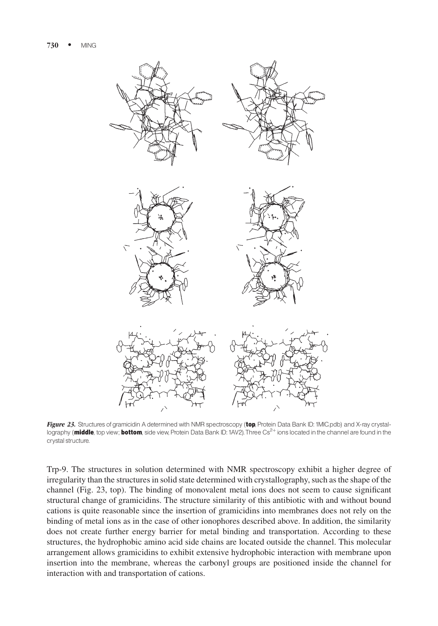

Figure 23. Structures of gramicidin A determined with NMR spectroscopy (top, Protein Data Bank ID: 1MIC.pdb) and X-ray crystallography (middle, top view; bottom, side view, Protein Data Bank ID: 1AV2). Three Cs<sup>2+</sup> ions located in the channel are found in the crystal structure.

Trp-9. The structures in solution determined with NMR spectroscopy exhibit a higher degree of irregularity than the structures in solid state determined with crystallography, such as the shape of the channel (Fig. 23, top). The binding of monovalent metal ions does not seem to cause significant structural change of gramicidins. The structure similarity of this antibiotic with and without bound cations is quite reasonable since the insertion of gramicidins into membranes does not rely on the binding of metal ions as in the case of other ionophores described above. In addition, the similarity does not create further energy barrier for metal binding and transportation. According to these structures, the hydrophobic amino acid side chains are located outside the channel. This molecular arrangement allows gramicidins to exhibit extensive hydrophobic interaction with membrane upon insertion into the membrane, whereas the carbonyl groups are positioned inside the channel for interaction with and transportation of cations.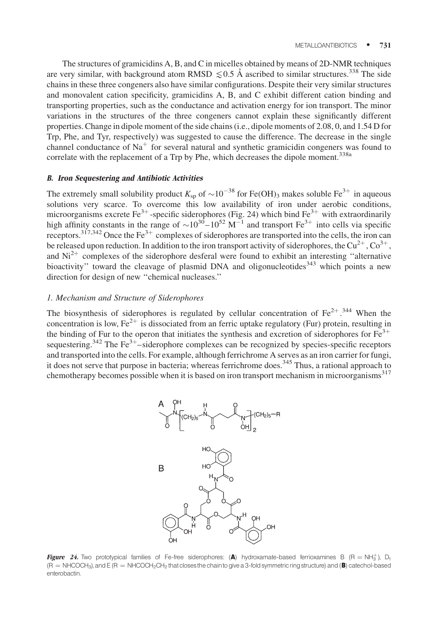The structures of gramicidins A, B, and C in micelles obtained by means of 2D-NMR techniques are very similar, with background atom RMSD  $\leq 0.5$  Å ascribed to similar structures.<sup>338</sup> The side chains in these three congeners also have similar configurations. Despite their very similar structures and monovalent cation specificity, gramicidins A, B, and C exhibit different cation binding and transporting properties, such as the conductance and activation energy for ion transport. The minor variations in the structures of the three congeners cannot explain these significantly different properties. Change in dipole moment of the side chains (i.e., dipole moments of 2.08, 0, and 1.54 D for Trp, Phe, and Tyr, respectively) was suggested to cause the difference. The decrease in the single channel conductance of  $Na<sup>+</sup>$  for several natural and synthetic gramicidin congeners was found to correlate with the replacement of a Trp by Phe, which decreases the dipole moment.<sup>338a</sup>

# B. Iron Sequestering and Antibiotic Activities

The extremely small solubility product  $K_{sp}$  of  $\sim$ 10<sup>-38</sup> for Fe(OH)<sub>3</sub> makes soluble Fe<sup>3+</sup> in aqueous solutions very scarce. To overcome this low availability of iron under aerobic conditions, microorganisms excrete Fe<sup>3+</sup>-specific siderophores (Fig. 24) which bind Fe<sup>3+</sup> with extraordinarily high affinity constants in the range of  $\sim 10^{30} - 10^{52}$  M<sup>-1</sup> and transport Fe<sup>3+</sup> into cells via specific receptors.<sup>317,342</sup> Once the Fe<sup>3+</sup> complexes of siderophores are transported into the cells, the iron can be released upon reduction. In addition to the iron transport activity of siderophores, the Cu<sup>2+</sup>, Co<sup>3+</sup>, and  $Ni<sup>2+</sup>$  complexes of the siderophore desferal were found to exhibit an interesting "alternative bioactivity" toward the cleavage of plasmid DNA and oligonucleotides<sup>343</sup> which points a new direction for design of new ''chemical nucleases.''

#### 1. Mechanism and Structure of Siderophores

The biosynthesis of siderophores is regulated by cellular concentration of  $Fe^{2+}$ .<sup>344</sup> When the concentration is low,  $Fe^{2+}$  is dissociated from an ferric uptake regulatory (Fur) protein, resulting in the binding of Fur to the operon that initiates the synthesis and excretion of siderophores for  $Fe<sup>3+</sup>$ sequestering.<sup>342</sup> The Fe<sup>3+</sup>-siderophore complexes can be recognized by species-specific receptors and transported into the cells. For example, although ferrichrome A serves as an iron carrier for fungi, it does not serve that purpose in bacteria; whereas ferrichrome does.<sup>345</sup> Thus, a rational approach to chemotherapy becomes possible when it is based on iron transport mechanism in microorganisms<sup>317</sup>



**Figure 24.** Two prototypical families of Fe-free siderophores: (A) hydroxamate-based ferrioxamines B (R = NH $_3^+$ ), D<sub>1</sub>  $(R = NHCOCH<sub>3</sub>)$ , and E  $(R = NHCOCH<sub>2</sub>CH<sub>2</sub>$  that closes the chain to give a 3-fold symmetric ring structure) and (B) catechol-based enterobactin.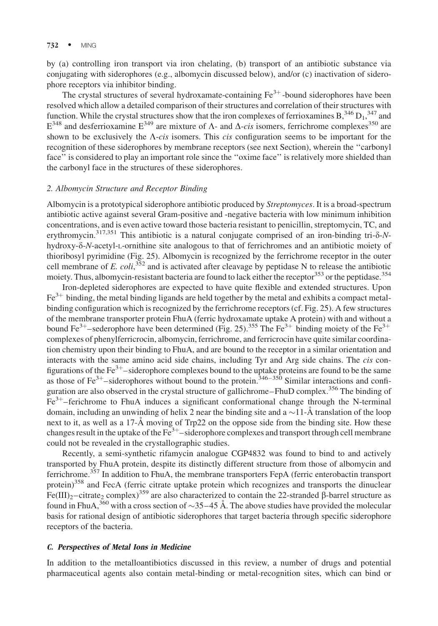by (a) controlling iron transport via iron chelating, (b) transport of an antibiotic substance via conjugating with siderophores (e.g., albomycin discussed below), and/or (c) inactivation of siderophore receptors via inhibitor binding.

The crystal structures of several hydroxamate-containing  $Fe<sup>3+</sup>$ -bound siderophores have been resolved which allow a detailed comparison of their structures and correlation of their structures with function. While the crystal structures show that the iron complexes of ferrioxamines  $B^{346} D_1^{347}$  and  $E^{348}$  and desferrioxamine  $E^{349}$  are mixture of  $\Lambda$ - and  $\Delta$ -cis isomers, ferrichrome complexes<sup>350</sup> are shown to be exclusively the  $\Lambda$ -cis isomers. This cis configuration seems to be important for the recognition of these siderophores by membrane receptors (see next Section), wherein the ''carbonyl face'' is considered to play an important role since the ''oxime face'' is relatively more shielded than the carbonyl face in the structures of these siderophores.

#### 2. Albomycin Structure and Receptor Binding

Albomycin is a prototypical siderophore antibiotic produced by Streptomyces. It is a broad-spectrum antibiotic active against several Gram-positive and -negative bacteria with low minimum inhibition concentrations, and is even active toward those bacteria resistant to penicillin, streptomycin, TC, and erythromycin.<sup>317,351</sup> This antibiotic is a natural conjugate comprised of an iron-binding tri- $\delta$ -Nhydroxy- $\delta$ -N-acetyl-L-ornithine site analogous to that of ferrichromes and an antibiotic moiety of thioribosyl pyrimidine (Fig. 25). Albomycin is recognized by the ferrichrome receptor in the outer cell membrane of E. coli,  $352$  and is activated after cleavage by peptidase N to release the antibiotic moiety. Thus, albomycin-resistant bacteria are found to lack either the receptor  $353$  or the peptidase.  $354$ 

Iron-depleted siderophores are expected to have quite flexible and extended structures. Upon  $Fe<sup>3+</sup>$  binding, the metal binding ligands are held together by the metal and exhibits a compact metalbinding configuration which is recognized by the ferrichrome receptors (cf. Fig. 25). A few structures of the membrane transporter protein FhuA (ferric hydroxamate uptake A protein) with and without a bound Fe<sup>3+</sup>–sederophore have been determined (Fig. 25).<sup>355</sup> The Fe<sup>3+</sup> binding moiety of the Fe<sup>3+</sup> complexes of phenylferricrocin, albomycin, ferrichrome, and ferricrocin have quite similar coordination chemistry upon their binding to FhuA, and are bound to the receptor in a similar orientation and interacts with the same amino acid side chains, including Tyr and Arg side chains. The *cis* configurations of the  $\text{Fe}^{3+}$ –siderophore complexes bound to the uptake proteins are found to be the same as those of Fe<sup>3+</sup>–siderophores without bound to the protein.<sup>346–350</sup> Similar interactions and configuration are also observed in the crystal structure of gallichrome–FhuD complex.<sup>356</sup> The binding of  $Fe<sup>3+</sup>$ -ferichrome to FhuA induces a significant conformational change through the N-terminal domain, including an unwinding of helix 2 near the binding site and a  $\sim$ 11-Å translation of the loop next to it, as well as a 17- $\AA$  moving of Trp22 on the oppose side from the binding site. How these changes result in the uptake of the  $Fe^{3+}$ –siderophore complexes and transport through cell membrane could not be revealed in the crystallographic studies.

Recently, a semi-synthetic rifamycin analogue CGP4832 was found to bind to and actively transported by FhuA protein, despite its distinctly different structure from those of albomycin and ferrichrome.<sup>357</sup> In addition to FhuA, the membrane transporters FepA (ferric enterobactin transport protein)<sup>358</sup> and FecA (ferric citrate uptake protein which recognizes and transports the dinuclear  $Fe(III)_2$ –citrate<sub>2</sub> complex)<sup>359</sup> are also characterized to contain the 22-stranded  $\beta$ -barrel structure as found in FhuA,<sup>360</sup> with a cross section of  $\sim$ 35–45 Å. The above studies have provided the molecular basis for rational design of antibiotic siderophores that target bacteria through specific siderophore receptors of the bacteria.

#### C. Perspectives of Metal Ions in Medicine

In addition to the metalloantibiotics discussed in this review, a number of drugs and potential pharmaceutical agents also contain metal-binding or metal-recognition sites, which can bind or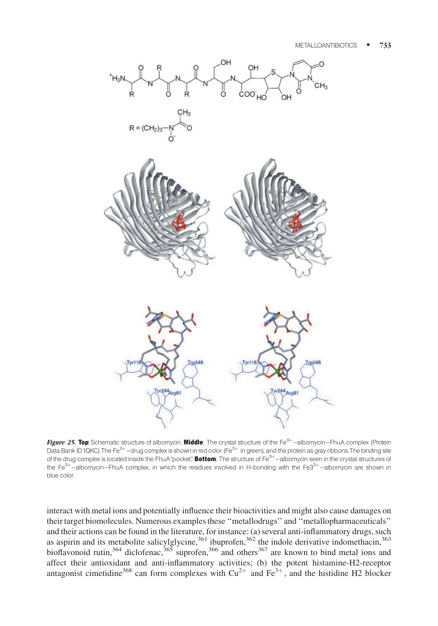

Figure 25. Top: Schematic structure of albomycin. Middle: The crystal structure of the Fe<sup>3+</sup>-albomycin-FhuA complex (Protein Data Bank ID1QKC).The Fe $^{3+}$ –drug complex is shown in red color (Fe $^{3+}$  in green), and the protein as gray ribbons.The binding site of the drug complex is located inside the FhuA"pocket." Bottom: The structure of Fe<sup>3+</sup>-albomycin seen in the crystal structures of the Fe $3+$ -albomycin-FhuA complex, in which the residues involved in H-bonding with the Fe $3+$ -albomycin are shown in blue color.

interact with metal ions and potentially influence their bioactivities and might also cause damages on their target biomolecules. Numerous examples these ''metallodrugs'' and ''metallopharmaceuticals'' and their actions can be found in the literature, for instance: (a) several anti-inflammatory drugs, such as aspirin and its metabolite salicylglycine,  $361$  ibuprofen,  $362$  the indole derivative indomethacin,  $363$ bioflavonoid rutin,<sup>364</sup> diclofenac,<sup>365</sup> suprofen,<sup>366</sup> and others<sup>367</sup> are known to bind metal ions and affect their antioxidant and anti-inflammatory activities; (b) the potent histamine-H2-receptor antagonist cimetidine<sup>368</sup> can form complexes with  $Cu^{2+}$  and  $Fe^{3+}$ , and the histidine H2 blocker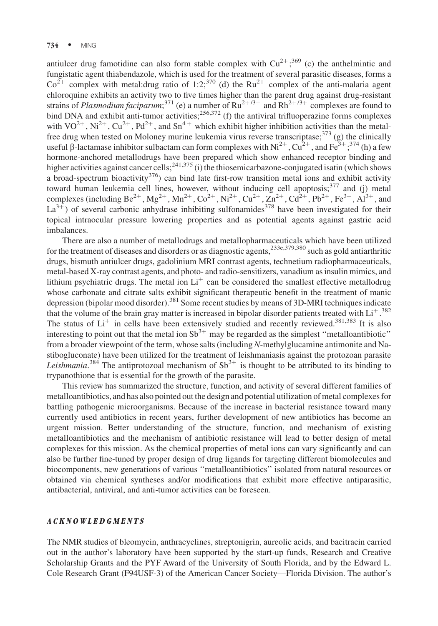antiulcer drug famotidine can also form stable complex with  $Cu^{2+}$ ; 369 (c) the anthelmintic and fungistatic agent thiabendazole, which is used for the treatment of several parasitic diseases, forms a  $Co^{2+}$  complex with metal:drug ratio of 1:2;<sup>370</sup> (d) the Ru<sup>2+</sup> complex of the anti-malaria agent chloroquine exhibits an activity two to five times higher than the parent drug against drug-resistant strains of *Plasmodium faciparum*;<sup>371</sup> (e) a number of  $Ru^{2+/3+}$  and  $Rh^{2+/3+}$  complexes are found to bind DNA and exhibit anti-tumor activities;  $256,372$  (f) the antiviral trifluoperazine forms complexes with  $VO^{2+}$ ,  $Ni^{2+}$ ,  $Cu^{2+}$ ,  $Pd^{2+}$ , and  $Sn^{4+}$  which exhibit higher inhibition activities than the metalfree drug when tested on Moloney murine leukemia virus reverse transcriptase; $373$  (g) the clinically useful  $\beta$ -lactamase inhibitor sulbactam can form complexes with Ni<sup>2+</sup>, Cu<sup>2+</sup>, and Fe<sup>3+</sup>;<sup>374</sup> (h) a few hormone-anchored metallodrugs have been prepared which show enhanced receptor binding and higher activities against cancer cells;<sup>241,375</sup> (i) the thiosemicarbazone-conjugated isatin (which shows a broad-spectrum bioactivity<sup>376</sup>) can bind late first-row transition metal ions and exhibit activity toward human leukemia cell lines, however, without inducing cell apoptosis;<sup>377</sup> and (j) metal complexes (including Be<sup>2+</sup>, Mg<sup>2+</sup>, Mn<sup>2+</sup>, Co<sup>2+</sup>, Ni<sup>2+</sup>, Cu<sup>2+</sup>, Zn<sup>2+</sup>, Cd<sup>2+</sup>, Pb<sup>2+</sup>, Fe<sup>3+</sup>, Al<sup>3+</sup>, and  $La^{3+}$ ) of several carbonic anhydrase inhibiting sulfonamides<sup>378</sup> have been investigated for their topical intraocular pressure lowering properties and as potential agents against gastric acid imbalances.

There are also a number of metallodrugs and metallopharmaceuticals which have been utilized for the treatment of diseases and disorders or as diagnostic agents,<sup>233e,379,380</sup> such as gold antiarthritic drugs, bismuth antiulcer drugs, gadolinium MRI contrast agents, technetium radiopharmaceuticals, metal-based X-ray contrast agents, and photo- and radio-sensitizers, vanadium as insulin mimics, and lithium psychiatric drugs. The metal ion  $Li<sup>+</sup>$  can be considered the smallest effective metallodrug whose carbonate and citrate salts exhibit significant therapeutic benefit in the treatment of manic depression (bipolar mood disorder).<sup>381</sup> Some recent studies by means of 3D-MRI techniques indicate that the volume of the brain gray matter is increased in bipolar disorder patients treated with  $Li<sup>+</sup>$ .<sup>382</sup> The status of  $Li<sup>+</sup>$  in cells have been extensively studied and recently reviewed.<sup>381,383</sup> It is also interesting to point out that the metal ion  $\text{Sb}^{3+}$  may be regarded as the simplest "metalloantibiotic" from a broader viewpoint of the term, whose salts (including N-methylglucamine antimonite and Nastibogluconate) have been utilized for the treatment of leishmaniasis against the protozoan parasite *Leishmania*.<sup>384</sup> The antiprotozoal mechanism of  $Sb^{3+}$  is thought to be attributed to its binding to trypanothione that is essential for the growth of the parasite.

This review has summarized the structure, function, and activity of several different families of metalloantibiotics, and has also pointed out the design and potential utilization of metal complexes for battling pathogenic microorganisms. Because of the increase in bacterial resistance toward many currently used antibiotics in recent years, further development of new antibiotics has become an urgent mission. Better understanding of the structure, function, and mechanism of existing metalloantibiotics and the mechanism of antibiotic resistance will lead to better design of metal complexes for this mission. As the chemical properties of metal ions can vary significantly and can also be further fine-tuned by proper design of drug ligands for targeting different biomolecules and biocomponents, new generations of various ''metalloantibiotics'' isolated from natural resources or obtained via chemical syntheses and/or modifications that exhibit more effective antiparasitic, antibacterial, antiviral, and anti-tumor activities can be foreseen.

#### ACKNOWLEDGMENTS

The NMR studies of bleomycin, anthracyclines, streptonigrin, aureolic acids, and bacitracin carried out in the author's laboratory have been supported by the start-up funds, Research and Creative Scholarship Grants and the PYF Award of the University of South Florida, and by the Edward L. Cole Research Grant (F94USF-3) of the American Cancer Society—Florida Division. The author's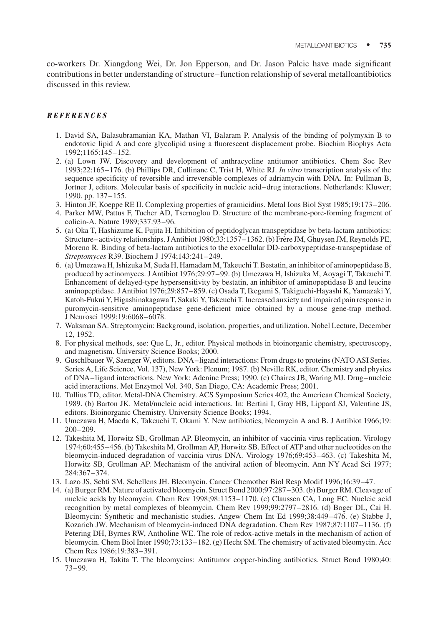co-workers Dr. Xiangdong Wei, Dr. Jon Epperson, and Dr. Jason Palcic have made significant contributions in better understanding of structure–function relationship of several metalloantibiotics discussed in this review.

# REFERENCES

- 1. David SA, Balasubramanian KA, Mathan VI, Balaram P. Analysis of the binding of polymyxin B to endotoxic lipid A and core glycolipid using a fluorescent displacement probe. Biochim Biophys Acta 1992;1165:145–152.
- 2. (a) Lown JW. Discovery and development of anthracycline antitumor antibiotics. Chem Soc Rev 1993;22:165–176. (b) Phillips DR, Cullinane C, Trist H, White RJ. In vitro transcription analysis of the sequence specificity of reversible and irreversible complexes of adriamycin with DNA. In: Pullman B, Jortner J, editors. Molecular basis of specificity in nucleic acid–drug interactions. Netherlands: Kluwer; 1990. pp. 137–155.
- 3. Hinton JF, Koeppe RE II. Complexing properties of gramicidins. Metal Ions Biol Syst 1985;19:173–206.
- 4. Parker MW, Pattus F, Tucher AD, Tsernoglou D. Structure of the membrane-pore-forming fragment of colicin-A. Nature 1989;337:93–96.
- 5. (a) Oka T, Hashizume K, Fujita H. Inhibition of peptidoglycan transpeptidase by beta-lactam antibiotics: Structure–activity relationships. J Antibiot 1980;33:1357–1362. (b) Frère JM, Ghuysen JM, Reynolds PE, Moreno R. Binding of beta-lactam antibiotics to the exocellular DD-carboxypeptidase-transpeptidase of Streptomyces R39. Biochem J 1974;143:241–249.
- 6. (a) Umezawa H, Ishizuka M, Suda H, Hamadam M, Takeuchi T. Bestatin, an inhibitor of aminopeptidase B, produced by actinomyces. J Antibiot 1976;29:97–99. (b) Umezawa H, Ishizuka M, Aoyagi T, Takeuchi T. Enhancement of delayed-type hypersensitivity by bestatin, an inhibitor of aminopeptidase B and leucine aminopeptidase. J Antibiot 1976;29:857–859. (c) Osada T, Ikegami S, Takiguchi-Hayashi K, Yamazaki Y, Katoh-Fukui Y, Higashinakagawa T, Sakaki Y, Takeuchi T. Increased anxiety and impaired pain response in puromycin-sensitive aminopeptidase gene-deficient mice obtained by a mouse gene-trap method. J Neurosci 1999;19:6068–6078.
- 7. Waksman SA. Streptomycin: Background, isolation, properties, and utilization. Nobel Lecture, December 12, 1952.
- 8. For physical methods, see: Que L, Jr., editor. Physical methods in bioinorganic chemistry, spectroscopy, and magnetism. University Science Books; 2000.
- 9. Guschlbauer W, Saenger W, editors. DNA–ligand interactions: From drugs to proteins (NATO ASI Series. Series A, Life Science, Vol. 137), New York: Plenum; 1987. (b) Neville RK, editor. Chemistry and physics of DNA–ligand interactions. New York: Adenine Press; 1990. (c) Chaires JB, Waring MJ. Drug–nucleic acid interactions. Met Enzymol Vol. 340, San Diego, CA: Academic Press; 2001.
- 10. Tullius TD, editor. Metal-DNA Chemistry. ACS Symposium Series 402, the American Chemical Society, 1989. (b) Barton JK. Metal/nucleic acid interactions. In: Bertini I, Gray HB, Lippard SJ, Valentine JS, editors. Bioinorganic Chemistry. University Science Books; 1994.
- 11. Umezawa H, Maeda K, Takeuchi T, Okami Y. New antibiotics, bleomycin A and B. J Antibiot 1966;19: 200–209.
- 12. Takeshita M, Horwitz SB, Grollman AP. Bleomycin, an inhibitor of vaccinia virus replication. Virology 1974;60:455–456. (b) Takeshita M, Grollman AP, Horwitz SB. Effect of ATP and other nucleotides on the bleomycin-induced degradation of vaccinia virus DNA. Virology 1976;69:453–463. (c) Takeshita M, Horwitz SB, Grollman AP. Mechanism of the antiviral action of bleomycin. Ann NY Acad Sci 1977; 284:367–374.
- 13. Lazo JS, Sebti SM, Schellens JH. Bleomycin. Cancer Chemother Biol Resp Modif 1996;16:39–47.
- 14. (a) Burger RM. Nature of activated bleomycin. Struct Bond 2000;97:287–303. (b) Burger RM. Cleavage of nucleic acids by bleomycin. Chem Rev 1998;98:1153–1170. (c) Claussen CA, Long EC. Nucleic acid recognition by metal complexes of bleomycin. Chem Rev 1999;99:2797–2816. (d) Boger DL, Cai H. Bleomycin: Synthetic and mechanistic studies. Angew Chem Int Ed 1999;38:449–476. (e) Stabbe J, Kozarich JW. Mechanism of bleomycin-induced DNA degradation. Chem Rev 1987;87:1107–1136. (f) Petering DH, Byrnes RW, Antholine WE. The role of redox-active metals in the mechanism of action of bleomycin. Chem Biol Inter 1990;73:133–182. (g) Hecht SM. The chemistry of activated bleomycin. Acc Chem Res 1986;19:383–391.
- 15. Umezawa H, Takita T. The bleomycins: Antitumor copper-binding antibiotics. Struct Bond 1980;40: 73–99.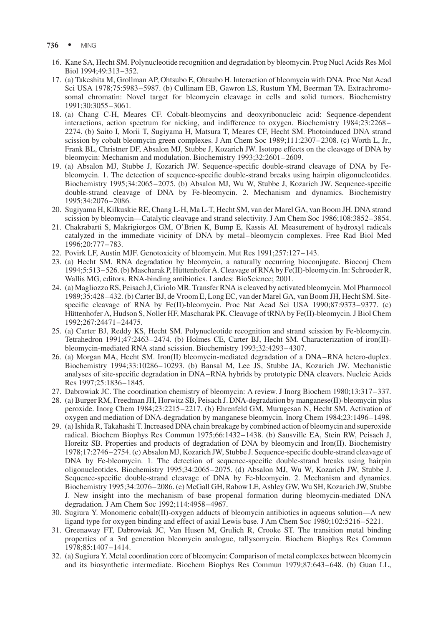- 736 · MING
	- 16. Kane SA, Hecht SM. Polynucleotide recognition and degradation by bleomycin. Prog Nucl Acids Res Mol Biol 1994;49:313–352.
	- 17. (a) Takeshita M, Grollman AP, Ohtsubo E, Ohtsubo H. Interaction of bleomycin with DNA. Proc Nat Acad Sci USA 1978;75:5983–5987. (b) Cullinam EB, Gawron LS, Rustum YM, Beerman TA. Extrachromosomal chromatin: Novel target for bleomycin cleavage in cells and solid tumors. Biochemistry 1991;30:3055–3061.
	- 18. (a) Chang C-H, Meares CF. Cobalt-bleomycins and deoxyribonucleic acid: Sequence-dependent interactions, action spectrum for nicking, and indifference to oxygen. Biochemistry 1984;23:2268– 2274. (b) Saito I, Morii T, Sugiyama H, Matsura T, Meares CF, Hecht SM. Photoinduced DNA strand scission by cobalt bleomycin green complexes. J Am Chem Soc 1989;111:2307–2308. (c) Worth L, Jr., Frank BL, Christner DF, Absalon MJ, Stubbe J, Kozarich JW. Isotope effects on the cleavage of DNA by bleomycin: Mechanism and modulation. Biochemistry 1993;32:2601–2609.
	- 19. (a) Absalon MJ, Stubbe J, Kozarich JW. Sequence-specific double-strand cleavage of DNA by Febleomycin. 1. The detection of sequence-specific double-strand breaks using hairpin oligonucleotides. Biochemistry 1995;34:2065–2075. (b) Absalon MJ, Wu W, Stubbe J, Kozarich JW. Sequence-specific double-strand cleavage of DNA by Fe-bleomycin. 2. Mechanism and dynamics. Biochemistry 1995;34:2076–2086.
	- 20. Sugiyama H, Kilkuskie RE, Chang L-H, Ma L-T, Hecht SM, van der Marel GA, van Boom JH. DNA strand scission by bleomycin—Catalytic cleavage and strand selectivity. J Am Chem Soc 1986;108:3852–3854.
	- 21. Chakrabarti S, Makrigiorgos GM, O'Brien K, Bump E, Kassis AI. Measurement of hydroxyl radicals catalyzed in the immediate vicinity of DNA by metal–bleomycin complexes. Free Rad Biol Med 1996;20:777–783.
	- 22. Povirk LF, Austin MJF. Genotoxicity of bleomycin. Mut Res 1991;257:127–143.
- 23. (a) Hecht SM. RNA degradation by bleomycin, a naturally occurring bioconjugate. Bioconj Chem 1994;5:513–526. (b) Mascharak P, Hüttenhofer A. Cleavage of RNA by Fe(II)-bleomycin. In: Schroeder R, Wallis MG, editors. RNA-binding antibiotics. Landes: BioScience; 2001.
- 24. (a) Magliozzo RS, Peisach J, Ciriolo MR. Transfer RNA is cleaved by activated bleomycin. Mol Pharmocol 1989;35:428–432. (b) Carter BJ, de Vroom E, Long EC, van der Marel GA, van Boom JH, Hecht SM. Sitespecific cleavage of RNA by Fe(II)-bleomycin. Proc Nat Acad Sci USA 1990;87:9373–9377. (c) Hüttenhofer A, Hudson S, Noller HF, Mascharak PK. Cleavage of tRNA by Fe(II)-bleomycin. J Biol Chem 1992;267:24471–24475.
- 25. (a) Carter BJ, Reddy KS, Hecht SM. Polynucleotide recognition and strand scission by Fe-bleomycin. Tetrahedron 1991;47:2463–2474. (b) Holmes CE, Carter BJ, Hecht SM. Characterization of iron(II) bleomycin-mediated RNA stand scission. Biochemistry 1993;32:4293–4307.
- 26. (a) Morgan MA, Hecht SM. Iron(II) bleomycin-mediated degradation of a DNA–RNA hetero-duplex. Biochemistry 1994;33:10286–10293. (b) Bansal M, Lee JS, Stubbe JA, Kozarich JW. Mechanistic analyses of site-specific degradation in DNA–RNA hybrids by prototypic DNA cleavers. Nucleic Acids Res 1997;25:1836–1845.
- 27. Dabrowiak JC. The coordination chemistry of bleomycin: A review. J Inorg Biochem 1980;13:317–337.
- 28. (a) Burger RM, Freedman JH, Horwitz SB, Peisach J. DNA-degradation by manganese(II)-bleomycin plus peroxide. Inorg Chem 1984;23:2215–2217. (b) Ehrenfeld GM, Murugesan N, Hecht SM. Activation of oxygen and mediation of DNA-degradation by manganese bleomycin. Inorg Chem 1984;23:1496–1498.
- 29. (a) Ishida R, Takahashi T. Increased DNA chain breakage by combined action of bleomycin and superoxide radical. Biochem Biophys Res Commun 1975;66:1432–1438. (b) Sausville EA, Stein RW, Peisach J, Horeitz SB. Properties and products of degradation of DNA by bleomycin and Iron(II). Biochemistry 1978;17:2746–2754. (c) Absalon MJ, Kozarich JW, Stubbe J. Sequence-specific double-strand cleavage of DNA by Fe-bleomycin. 1. The detection of sequence-specific double-strand breaks using hairpin oligonucleotides. Biochemistry 1995;34:2065–2075. (d) Absalon MJ, Wu W, Kozarich JW, Stubbe J. Sequence-specific double-strand cleavage of DNA by Fe-bleomycin. 2. Mechanism and dynamics. Biochemistry 1995;34:2076–2086. (e) McGall GH, Rabow LE, Ashley GW, Wu SH, Kozarich JW, Stubbe J. New insight into the mechanism of base propenal formation during bleomycin-mediated DNA degradation. J Am Chem Soc 1992;114:4958–4967.
- 30. Sugiura Y. Monomeric cobalt(II)-oxygen adducts of bleomycin antibiotics in aqueous solution—A new ligand type for oxygen binding and effect of axial Lewis base. J Am Chem Soc 1980;102:5216–5221.
- 31. Greenaway FT, Dabrowiak JC, Van Husen M, Grulich R, Crooke ST. The transition metal binding properties of a 3rd generation bleomycin analogue, tallysomycin. Biochem Biophys Res Commun 1978;85:1407–1414.
- 32. (a) Sugiura Y. Metal coordination core of bleomycin: Comparison of metal complexes between bleomycin and its biosynthetic intermediate. Biochem Biophys Res Commun 1979;87:643–648. (b) Guan LL,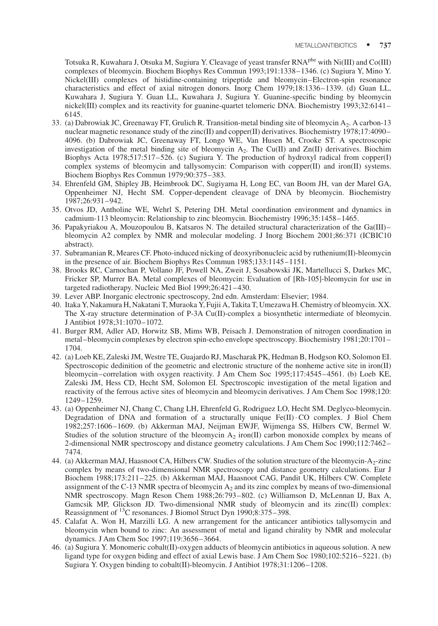Totsuka R, Kuwahara J, Otsuka M, Sugiura Y. Cleavage of yeast transfer RNAphe with Ni(III) and Co(III) complexes of bleomycin. Biochem Biophys Res Commun 1993;191:1338–1346. (c) Sugiura Y, Mino Y. Nickel(III) complexes of histidine-containing tripeptide and bleomycin–Electron-spin resonance characteristics and effect of axial nitrogen donors. Inorg Chem 1979;18:1336–1339. (d) Guan LL, Kuwahara J, Sugiura Y. Guan LL, Kuwahara J, Sugiura Y. Guanine-specific binding by bleomycin nickel(III) complex and its reactivity for guanine-quartet telomeric DNA. Biochemistry 1993;32:6141– 6145.

- 33. (a) Dabrowiak JC, Greenaway FT, Grulich R. Transition-metal binding site of bleomycin A2. A carbon-13 nuclear magnetic resonance study of the zinc(II) and copper(II) derivatives. Biochemistry 1978;17:4090– 4096. (b) Dabrowiak JC, Greenaway FT, Longo WE, Van Husen M, Crooke ST. A spectroscopic investigation of the metal binding site of bleomycin  $A_2$ . The Cu(II) and Zn(II) derivatives. Biochim Biophys Acta 1978;517:517–526. (c) Sugiura Y. The production of hydroxyl radical from copper(I) complex systems of bleomycin and tallysomycin: Comparison with copper(II) and iron(II) systems. Biochem Biophys Res Commun 1979;90:375–383.
- 34. Ehrenfeld GM, Shipley JB, Heimbrook DC, Sugiyama H, Long EC, van Boom JH, van der Marel GA, Oppenheimer NJ, Hecht SM. Copper-dependent cleavage of DNA by bleomycin. Biochemistry 1987;26:931–942.
- 35. Otvos JD, Antholine WE, Wehrl S, Petering DH. Metal coordination environment and dynamics in cadmium-113 bleomycin: Relationship to zinc bleomycin. Biochemistry 1996;35:1458–1465.
- 36. Papakyriakou A, Mouzopoulou B, Katsaros N. The detailed structural characterization of the Ga(III)– bleomycin A2 complex by NMR and molecular modeling. J Inorg Biochem 2001;86:371 (ICBIC10 abstract).
- 37. Subramanian R, Meares CF. Photo-induced nicking of deoxyribonucleic acid by ruthenium(II)-bleomycin in the presence of air. Biochem Biophys Res Commun 1985;133:1145–1151.
- 38. Brooks RC, Carnochan P, Vollano JF, Powell NA, Zweit J, Sosabowski JK, Martellucci S, Darkes MC, Fricker SP, Murrer BA. Metal complexes of bleomycin: Evaluation of [Rh-105]-bleomycin for use in targeted radiotherapy. Nucleic Med Biol 1999;26:421–430.
- 39. Lever ABP. Inorganic electronic spectroscopy, 2nd edn. Amsterdam: Elsevier; 1984.
- 40. Itaka Y, Nakamura H, Nakatani T, Muraoka Y, Fujii A, Takita T, Umezawa H. Chemistry of bleomycin. XX. The X-ray structure determination of P-3A Cu(II)-complex a biosynthetic intermediate of bleomycin. J Antibiot 1978;31:1070–1072.
- 41. Burger RM, Adler AD, Horwitz SB, Mims WB, Peisach J. Demonstration of nitrogen coordination in metal–bleomycin complexes by electron spin-echo envelope spectroscopy. Biochemistry 1981;20:1701– 1704.
- 42. (a) Loeb KE, Zaleski JM, Westre TE, Guajardo RJ, Mascharak PK, Hedman B, Hodgson KO, Solomon EI. Spectroscopic dedinition of the geometric and electronic structure of the nonheme active site in iron(II) bleomycin–correlation with oxygen reactivity. J Am Chem Soc 1995;117:4545–4561. (b) Loeb KE, Zaleski JM, Hess CD, Hecht SM, Solomon EI. Spectroscopic investigation of the metal ligation and reactivity of the ferrous active sites of bleomycin and bleomycin derivatives. J Am Chem Soc 1998;120: 1249–1259.
- 43. (a) Oppenheimer NJ, Chang C, Chang LH, Ehrenfeld G, Rodriguez LO, Hecht SM. Deglyco-bleomycin. Degradation of DNA and formation of a structurally unique Fe(II) CO complex. J Biol Chem 1982;257:1606–1609. (b) Akkerman MAJ, Neijman EWJF, Wijmenga SS, Hilbers CW, Bermel W. Studies of the solution structure of the bleomycin  $A_2$  iron(II) carbon monoxide complex by means of 2-dimensional NMR spectroscopy and distance geometry calculations. J Am Chem Soc 1990;112:7462– 7474.
- 44. (a) Akkerman MAJ, Haasnoot CA, Hilbers CW. Studies of the solution structure of the bleomycin-A<sub>2</sub>-zinc complex by means of two-dimensional NMR spectroscopy and distance geometry calculations. Eur J Biochem 1988;173:211–225. (b) Akkerman MAJ, Haasnoot CAG, Pandit UK, Hilbers CW. Complete assignment of the C-13 NMR spectra of bleomycin  $A_2$  and its zinc complex by means of two-dimensional NMR spectroscopy. Magn Reson Chem 1988;26:793–802. (c) Williamson D, McLennan IJ, Bax A, Gamcsik MP, Glickson JD. Two-dimensional NMR study of bleomycin and its zinc(II) complex: Reassignment of 13C resonances. J Biomol Struct Dyn 1990;8:375–398.
- 45. Calafat A. Won H, Marzilli LG. A new arrangement for the anticancer antibiotics tallysomycin and bleomycin when bound to zinc: An assessment of metal and ligand chirality by NMR and molecular dynamics. J Am Chem Soc 1997;119:3656–3664.
- 46. (a) Sugiura Y. Monomeric cobalt(II)-oxygen adducts of bleomycin antibiotics in aqueous solution. A new ligand type for oxygen biding and effect of axial Lewis base. J Am Chem Soc 1980;102:5216–5221. (b) Sugiura Y. Oxygen binding to cobalt(II)-bleomycin. J Antibiot 1978;31:1206–1208.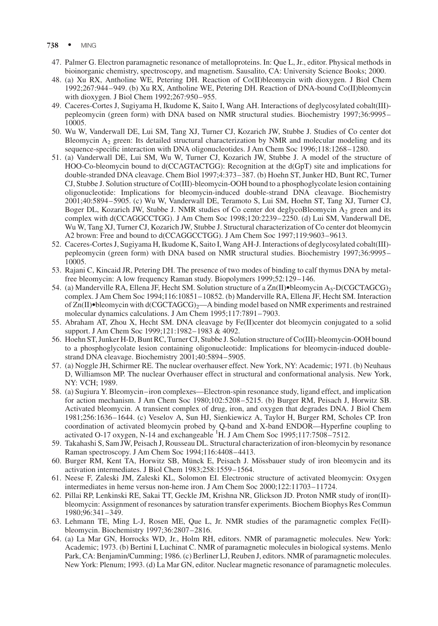- 738 · MING
- 47. Palmer G. Electron paramagnetic resonance of metalloproteins. In: Que L, Jr., editor. Physical methods in bioinorganic chemistry, spectroscopy, and magnetism. Sausalito, CA: University Science Books; 2000.
- 48. (a) Xu RX, Antholine WE, Petering DH. Reaction of Co(II)bleomycin with dioxygen. J Biol Chem 1992;267:944–949. (b) Xu RX, Antholine WE, Petering DH. Reaction of DNA-bound Co(II)bleomycin with dioxygen. J Biol Chem 1992;267:950–955.
- 49. Caceres-Cortes J, Sugiyama H, Ikudome K, Saito I, Wang AH. Interactions of deglycosylated cobalt(III) pepleomycin (green form) with DNA based on NMR structural studies. Biochemistry 1997;36:9995– 10005.
- 50. Wu W, Vanderwall DE, Lui SM, Tang XJ, Turner CJ, Kozarich JW, Stubbe J. Studies of Co center dot Bleomycin  $A_2$  green: Its detailed structural characterization by NMR and molecular modeling and its sequence-specific interaction with DNA oligonucleotides. J Am Chem Soc 1996;118:1268–1280.
- 51. (a) Vanderwall DE, Lui SM, Wu W, Turner CJ, Kozarich JW, Stubbe J. A model of the structure of HOO-Co-bleomycin bound to d(CCAGTACTGG): Recognition at the d(GpT) site and implications for double-stranded DNA cleavage. Chem Biol 1997;4:373–387. (b) Hoehn ST, Junker HD, Bunt RC, Turner CJ, Stubbe J. Solution structure of Co(III)-bleomycin-OOH bound to a phosphoglycolate lesion containing oligonucleotide: Implications for bleomycin-induced double-strand DNA cleavage. Biochemistry 2001;40:5894–5905. (c) Wu W, Vanderwall DE, Teramoto S, Lui SM, Hoehn ST, Tang XJ, Turner CJ, Boger DL, Kozarich JW, Stubbe J. NMR studies of Co center dot deglycoBleomycin  $A_2$  green and its complex with d(CCAGGCCTGG). J Am Chem Soc 1998;120:2239–2250. (d) Lui SM, Vanderwall DE, Wu W, Tang XJ, Turner CJ, Kozarich JW, Stubbe J. Structural characterization of Co center dot bleomycin A2 brown: Free and bound to d(CCAGGCCTGG). J Am Chem Soc 1997;119:9603–9613.
- 52. Caceres-Cortes J, Sugiyama H, Ikudome K, Saito I, Wang AH-J. Interactions of deglycosylated cobalt(III) pepleomycin (green form) with DNA based on NMR structural studies. Biochemistry 1997;36:9995– 10005.
- 53. Rajani C, Kincaid JR, Petering DH. The presence of two modes of binding to calf thymus DNA by metalfree bleomycin: A low frequency Raman study. Biopolymers 1999;52:129–146.
- 54. (a) Manderville RA, Ellena JF, Hecht SM. Solution structure of a  $\text{Zn(II)}\bullet$ bleomycin A<sub>5</sub>-D(CGCTAGCG)<sub>2</sub> complex. J Am Chem Soc 1994;116:10851–10852. (b) Manderville RA, Ellena JF, Hecht SM. Interaction of  $Zn(\Pi)$ •bleomycin with d(CGCTAGCG)<sub>2</sub>—A binding model based on NMR experiments and restrained molecular dynamics calculations. J Am Chem 1995;117:7891–7903.
- 55. Abraham AT, Zhou X, Hecht SM. DNA cleavage by Fe(II)center dot bleomycin conjugated to a solid support. J Am Chem Soc 1999;121:1982–1983 & 4092.
- 56. Hoehn ST, Junker H-D, Bunt RC, Turner CJ, Stubbe J. Solution structure of Co(III)-bleomycin-OOH bound to a phosphoglycolate lesion containing oligonucleotide: Implications for bleomycin-induced doublestrand DNA cleavage. Biochemistry 2001;40:5894–5905.
- 57. (a) Noggle JH, Schirmer RE. The nuclear overhauser effect. New York, NY: Academic; 1971. (b) Neuhaus D, Williamson MP. The nuclear Overhauser effect in structural and conformational analysis. New York, NY: VCH; 1989.
- 58. (a) Sugiura Y. Bleomycin–iron complexes—Electron-spin resonance study, ligand effect, and implication for action mechanism. J Am Chem Soc 1980;102:5208–5215. (b) Burger RM, Peisach J, Horwitz SB. Activated bleomycin. A transient complex of drug, iron, and oxygen that degrades DNA. J Biol Chem 1981;256:1636–1644. (c) Veselov A, Sun HJ, Sienkiewicz A, Taylor H, Burger RM, Scholes CP. Iron coordination of activated bleomycin probed by Q-band and X-band ENDOR—Hyperfine coupling to activated O-17 oxygen, N-14 and exchangeable <sup>1</sup>H. J Am Chem Soc 1995;117:7508-7512.
- 59. Takahashi S, Sam JW, Peisach J, Rousseau DL. Structural characterization of iron-bleomycin by resonance Raman spectroscopy. J Am Chem Soc 1994;116:4408–4413.
- 60. Burger RM, Kent TA, Horwitz SB, Münck E, Peisach J. Mössbauer study of iron bleomycin and its activation intermediates. J Biol Chem 1983;258:1559–1564.
- 61. Neese F, Zaleski JM, Zaleski KL, Solomon EI. Electronic structure of activated bleomycin: Oxygen intermediates in heme versus non-heme iron. J Am Chem Soc 2000;122:11703–11724.
- 62. Pillai RP, Lenkinski RE, Sakai TT, Geckle JM, Krishna NR, Glickson JD. Proton NMR study of iron(II) bleomycin: Assignment of resonances by saturation transfer experiments. Biochem Biophys Res Commun 1980;96:341–349.
- 63. Lehmann TE, Ming L-J, Rosen ME, Que L, Jr. NMR studies of the paramagnetic complex Fe(II) bleomycin. Biochemistry 1997;36:2807–2816.
- 64. (a) La Mar GN, Horrocks WD, Jr., Holm RH, editors. NMR of paramagnetic molecules. New York: Academic; 1973. (b) Bertini I, Luchinat C. NMR of paramagnetic molecules in biological systems. Menlo Park, CA: Benjamin/Cumming; 1986. (c) Berliner LJ, Reuben J, editors. NMR of paramagnetic molecules. New York: Plenum; 1993. (d) La Mar GN, editor. Nuclear magnetic resonance of paramagnetic molecules.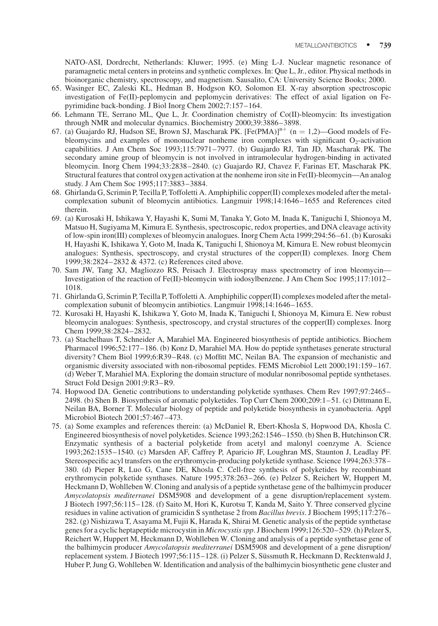NATO-ASI, Dordrecht, Netherlands: Kluwer; 1995. (e) Ming L-J. Nuclear magnetic resonance of paramagnetic metal centers in proteins and synthetic complexes. In: Que L, Jr., editor. Physical methods in bioinorganic chemistry, spectroscopy, and magnetism. Sausalito, CA: University Science Books; 2000.

- 65. Wasinger EC, Zaleski KL, Hedman B, Hodgson KO, Solomon EI. X-ray absorption spectroscopic investigation of Fe(II)-peplomycin and peplomycin derivatives: The effect of axial ligation on Fepyrimidine back-bonding. J Biol Inorg Chem 2002;7:157–164.
- 66. Lehmann TE, Serrano ML, Que L, Jr. Coordination chemistry of Co(II)-bleomycin: Its investigation through NMR and molecular dynamics. Biochemistry 2000;39:3886–3898.
- 67. (a) Guajardo RJ, Hudson SE, Brown SJ, Mascharak PK.  $[Fe(PMA)]^{n+}$  (n = 1,2)—Good models of Febleomycins and examples of mononuclear nonheme iron complexes with significant  $O<sub>2</sub>$ -activation capabilities. J Am Chem Soc 1993;115:7971–7977. (b) Guajardo RJ, Tan JD, Mascharak PK. The secondary amine group of bleomycin is not involved in intramolecular hydrogen-binding in activated bleomycin. Inorg Chem 1994;33:2838–2840. (c) Guajardo RJ, Chavez F, Farinas ET, Mascharak PK. Structural features that control oxygen activation at the nonheme iron site in Fe(II)-bleomycin—An analog study. J Am Chem Soc 1995;117:3883–3884.
- 68. Ghirlanda G, Scrimin P, Tecilla P, Toffoletti A. Amphiphilic copper(II) complexes modeled after the metalcomplexation subunit of bleomycin antibiotics. Langmuir 1998;14:1646–1655 and References cited therein.
- 69. (a) Kurosaki H, Ishikawa Y, Hayashi K, Sumi M, Tanaka Y, Goto M, Inada K, Taniguchi I, Shionoya M, Matsuo H, Sugiyama M, Kimura E. Synthesis, spectroscopic, redox properties, and DNA cleavage activity of low-spin iron(III) complexes of bleomycin analogues. Inorg Chem Acta 1999;294:56–61. (b) Kurosaki H, Hayashi K, Ishikawa Y, Goto M, Inada K, Taniguchi I, Shionoya M, Kimura E. New robust bleomycin analogues: Synthesis, spectroscopy, and crystal structures of the copper(II) complexes. Inorg Chem 1999;38:2824–2832 & 4372. (c) References cited above.
- 70. Sam JW, Tang XJ, Magliozzo RS, Peisach J. Electrospray mass spectrometry of iron bleomycin— Investigation of the reaction of Fe(II)-bleomycin with iodosylbenzene. J Am Chem Soc 1995;117:1012– 1018.
- 71. Ghirlanda G, Scrimin P, Tecilla P, Toffoletti A. Amphiphilic copper(II) complexes modeled after the metalcomplexation subunit of bleomycin antibiotics. Langmuir 1998;14:1646–1655.
- 72. Kurosaki H, Hayashi K, Ishikawa Y, Goto M, Inada K, Taniguchi I, Shionoya M, Kimura E. New robust bleomycin analogues: Synthesis, spectroscopy, and crystal structures of the copper(II) complexes. Inorg Chem 1999;38:2824–2832.
- 73. (a) Stachelhaus T, Schneider A, Marahiel MA. Engineered biosynthesis of peptide antibiotics. Biochem Pharmacol 1996;52:177–186. (b) Konz D, Marahiel MA. How do peptide synthetases generate structural diversity? Chem Biol 1999;6:R39–R48. (c) Moffitt MC, Neilan BA. The expansion of mechanistic and organismic diversity associated with non-ribosomal peptides. FEMS Microbiol Lett 2000;191:159–167. (d) Weber T, Marahiel MA. Exploring the domain structure of modular nonribosomal peptide synthetases. Struct Fold Design 2001;9:R3–R9.
- 74. Hopwood DA. Genetic contributions to understanding polyketide synthases. Chem Rev 1997;97:2465– 2498. (b) Shen B. Biosynthesis of aromatic polyketides. Top Curr Chem 2000;209:1–51. (c) Dittmann E, Neilan BA, Borner T. Molecular biology of peptide and polyketide biosynthesis in cyanobacteria. Appl Microbiol Biotech 2001;57:467–473.
- 75. (a) Some examples and references therein: (a) McDaniel R, Ebert-Khosla S, Hopwood DA, Khosla C. Engineered biosynthesis of novel polyketides. Science 1993;262:1546–1550. (b) Shen B, Hutchinson CR. Enzymatic synthesis of a bacterial polyketide from acetyl and malonyl coenzyme A. Science 1993;262:1535–1540. (c) Marsden AF, Caffrey P, Aparicio JF, Loughran MS, Staunton J, Leadlay PF. Stereospecific acyl transfers on the erythromycin-producing polyketide synthase. Science 1994;263:378– 380. (d) Pieper R, Luo G, Cane DE, Khosla C. Cell-free synthesis of polyketides by recombinant erythromycin polyketide synthases. Nature 1995;378:263–266. (e) Pelzer S, Reichert W, Huppert M, Heckmann D, Wohlleben W. Cloning and analysis of a peptide synthetase gene of the balhimycin producer Amycolatopsis mediterranei DSM5908 and development of a gene disruption/replacement system. J Biotech 1997;56:115–128. (f) Saito M, Hori K, Kurotsu T, Kanda M, Saito Y. Three conserved glycine residues in valine activation of gramicidin S synthetase 2 from Bacillus brevis. J Biochem 1995;117:276– 282. (g) Nishizawa T, Asayama M, Fujii K, Harada K, Shirai M. Genetic analysis of the peptide synthetase genes for a cyclic heptapeptide microcystin in Microcystis spp. J Biochem 1999;126:520–529. (h) Pelzer S, Reichert W, Huppert M, Heckmann D, Wohlleben W. Cloning and analysis of a peptide synthetase gene of the balhimycin producer Amycolatopsis mediterranei DSM5908 and development of a gene disruption/ replacement system. J Biotech 1997;56:115–128. (i) Pelzer S, Süssmuth R, Heckmann D, Recktenwald J, Huber P, Jung G, Wohlleben W. Identification and analysis of the balhimycin biosynthetic gene cluster and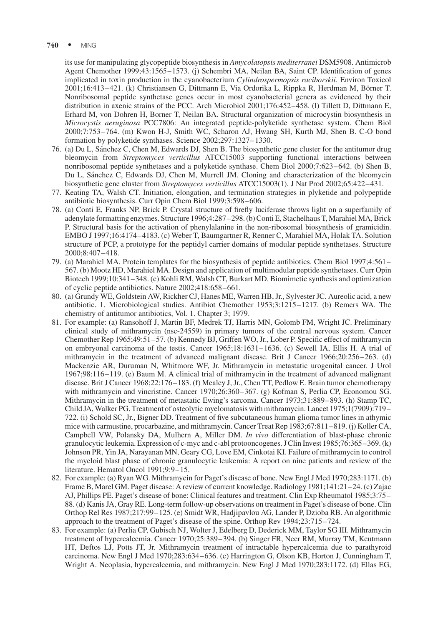its use for manipulating glycopeptide biosynthesis in Amycolatopsis mediterranei DSM5908. Antimicrob Agent Chemother 1999;43:1565–1573. (j) Schembri MA, Neilan BA, Saint CP. Identification of genes implicated in toxin production in the cyanobacterium Cylindrospermopsis raciborskii. Environ Toxicol 2001;16:413–421. (k) Christiansen G, Dittmann E, Via Ordorika L, Rippka R, Herdman M, Börner T. Nonribosomal peptide synthetase genes occur in most cyanobacterial genera as evidenced by their distribution in axenic strains of the PCC. Arch Microbiol 2001;176:452–458. (l) Tillett D, Dittmann E, Erhard M, von Dohren H, Borner T, Neilan BA. Structural organization of microcystin biosynthesis in Microcystis aeruginosa PCC7806: An integrated peptide-polyketide synthetase system. Chem Biol 2000;7:753–764. (m) Kwon H-J, Smith WC, Scharon AJ, Hwang SH, Kurth MJ, Shen B. C-O bond formation by polyketide synthases. Science 2002;297:1327–1330.

- 76. (a) Du L, Sánchez C, Chen M, Edwards DJ, Shen B. The biosynthetic gene cluster for the antitumor drug bleomycin from Streptomyces verticillus ATCC15003 supporting functional interactions between nonribosomal peptide synthetases and a polyketide synthase. Chem Biol 2000;7:623–642. (b) Shen B, Du L, Sánchez C, Edwards DJ, Chen M, Murrell JM. Cloning and characterization of the bleomycin biosynthetic gene cluster from Streptomyces verticillus ATCC15003(1). J Nat Prod 2002;65:422–431.
- 77. Keating TA, Walsh CT. Initiation, elongation, and termination strategies in plyketide and polypeptide antibiotic biosynthesis. Curr Opin Chem Biol 1999;3:598–606.
- 78. (a) Conti E, Franks NP, Brick P. Crystal structure of firefly luciferase throws light on a superfamily of adenylate formatting enzymes. Structure 1996;4:287–298. (b) Conti E, Stachelhaus T, Marahiel MA, Brick P. Structural basis for the activation of phenylalanine in the non-ribosomal biosynthesis of gramicidin. EMBO J 1997;16:4174–4183. (c) Weber T, Baumgartner R, Renner C, Marahiel MA, Holak TA. Solution structure of PCP, a prototype for the peptidyl carrier domains of modular peptide synthetases. Structure 2000;8:407–418.
- 79. (a) Marahiel MA. Protein templates for the biosynthesis of peptide antibiotics. Chem Biol 1997;4:561– 567. (b) Mootz HD, Marahiel MA. Design and application of multimodular peptide synthetases. Curr Opin Biotech 1999;10:341–348. (c) Kohli RM, Walsh CT, Burkart MD. Biomimetic synthesis and optimization of cyclic peptide antibiotics. Nature 2002;418:658–661.
- 80. (a) Grundy WE, Goldstein AW, Rickher CJ, Hanes ME, Warren HB, Jr., Sylvester JC. Aureolic acid, a new antibiotic. 1. Microbiological studies. Antibiot Chemother 1953;3:1215–1217. (b) Remers WA. The chemistry of antitumor antibiotics, Vol. 1. Chapter 3; 1979.
- 81. For example: (a) Ransohoff J, Martin BF, Medrek TJ, Harris MN, Golomb FM, Wright JC. Preliminary clinical study of mithramycin (nsc-24559) in primary tumors of the central nervous system. Cancer Chemother Rep 1965;49:51–57. (b) Kennedy BJ, Griffen WO, Jr., Lober P. Specific effect of mithramycin on embryonal carcinoma of the testis. Cancer 1965;18:1631–1636. (c) Sewell IA, Ellis H. A trial of mithramycin in the treatment of advanced malignant disease. Brit J Cancer 1966;20:256–263. (d) Mackenzie AR, Duruman N, Whitmore WF, Jr. Mithramycin in metastatic urogenital cancer. J Urol 1967;98:116–119. (e) Baum M. A clinical trial of mithramycin in the treatment of advanced malignant disease. Brit J Cancer 1968;22:176–183. (f) Mealey J, Jr., Chen TT, Pedlow E. Brain tumor chemotherapy with mithramycin and vincristine. Cancer 1970;26:360–367. (g) Kofman S, Perlia CP, Economou SG. Mithramycin in the treatment of metastatic Ewing's sarcoma. Cancer 1973;31:889–893. (h) Stamp TC, Child JA, Walker PG. Treatment of osteolytic myelomatosis with mithramycin. Lancet 1975;1(7909):719– 722. (i) Schold SC, Jr., Bigner DD. Treatment of five subcutaneous human glioma tumor lines in athymic mice with carmustine, procarbazine, and mithramycin. Cancer Treat Rep 1983;67:811–819. (j) Koller CA, Campbell VW, Polansky DA, Mulhern A, Miller DM. In vivo differentiation of blast-phase chronic granulocytic leukemia. Expression of c-myc and c-abl protooncogenes. J Clin Invest 1985;76:365–369. (k) Johnson PR, Yin JA, Narayanan MN, Geary CG, Love EM, Cinkotai KI. Failure of mithramycin to control the myeloid blast phase of chronic granulocytic leukemia: A report on nine patients and review of the literature. Hematol Oncol 1991;9:9–15.
- 82. For example: (a) Ryan WG. Mithramycin for Paget's disease of bone. New Engl J Med 1970;283:1171. (b) Frame B, Marel GM. Paget disease: A review of current knowledge. Radiology 1981;141:21–24. (c) Zajac AJ, Phillips PE. Paget's disease of bone: Clinical features and treatment. Clin Exp Rheumatol 1985;3:75– 88. (d) Kanis JA, Gray RE. Long-term follow-up observations on treatment in Paget's disease of bone. Clin Orthop Rel Res 1987;217:99–125. (e) Smidt WR, Hadjipavlou AG, Lander P, Dzioba RB. An algorithmic approach to the treatment of Paget's disease of the spine. Orthop Rev 1994;23:715–724.
- 83. For example: (a) Perlia CP, Gubisch NJ, Wolter J, Edelberg D, Dederick MM, Taylor SG III. Mithramycin treatment of hypercalcemia. Cancer 1970;25:389–394. (b) Singer FR, Neer RM, Murray TM, Keutmann HT, Deftos LJ, Potts JT, Jr. Mithramycin treatment of intractable hypercalcemia due to parathyroid carcinoma. New Engl J Med 1970;283:634–636. (c) Harrington G, Olson KB, Horton J, Cunningham T, Wright A. Neoplasia, hypercalcemia, and mithramycin. New Engl J Med 1970;283:1172. (d) Ellas EG,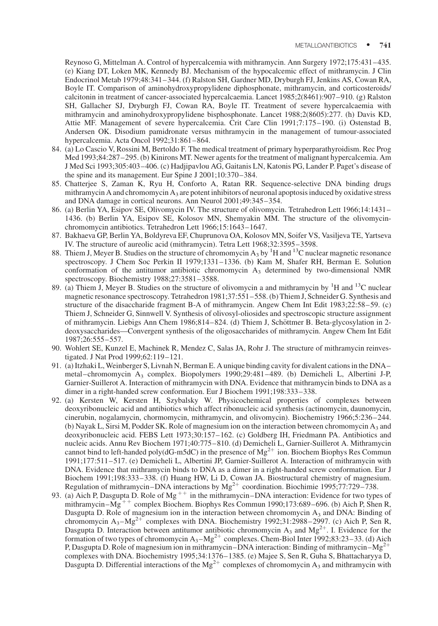Reynoso G, Mittelman A. Control of hypercalcemia with mithramycin. Ann Surgery 1972;175:431–435. (e) Kiang DT, Loken MK, Kennedy BJ. Mechanism of the hypocalcemic effect of mithramycin. J Clin Endocrinol Metab 1979;48:341–344. (f) Ralston SH, Gardner MD, Dryburgh FJ, Jenkins AS, Cowan RA, Boyle IT. Comparison of aminohydroxypropylidene diphosphonate, mithramycin, and corticosteroids/ calcitonin in treatment of cancer-associated hypercalcaemia. Lancet 1985;2(8461):907–910. (g) Ralston SH, Gallacher SJ, Dryburgh FJ, Cowan RA, Boyle IT. Treatment of severe hypercalcaemia with mithramycin and aminohydroxypropylidene bisphosphonate. Lancet 1988;2(8605):277. (h) Davis KD, Attie MF. Management of severe hypercalcemia. Crit Care Clin 1991;7:175–190. (i) Ostenstad B, Andersen OK. Disodium pamidronate versus mithramycin in the management of tumour-associated hypercalcemia. Acta Oncol 1992;31:861–864.

- 84. (a) Lo Cascio V, Rossini M, Bertoldo F. The medical treatment of primary hyperparathyroidism. Rec Prog Med 1993;84:287–295. (b) Kinirons MT. Newer agents for the treatment of malignant hypercalcemia. Am J Med Sci 1993;305:403–406. (c) Hadjipavlou AG, Gaitanis LN, Katonis PG, Lander P. Paget's disease of the spine and its management. Eur Spine J 2001;10:370–384.
- 85. Chatterjee S, Zaman K, Ryu H, Conforto A, Ratan RR. Sequence-selective DNA binding drugs mithramycin A and chromomycin  $A_3$  are potent inhibitors of neuronal apoptosis induced by oxidative stress and DNA damage in cortical neurons. Ann Neurol 2001;49:345–354.
- 86. (a) Berlin YA, Esipov SE, Olivomycin IV. The structure of olivomycin. Tetrahedron Lett 1966;14:1431– 1436. (b) Berlin YA, Esipov SE, Kolosov MN, Shemyakin MM. The structure of the olivomycinchromomycin antibiotics. Tetrahedron Lett 1966;15:1643–1647.
- 87. Bakhaeva GP, Berlin YA, Boldyreva EF, Chuprunova OA, Kolosov MN, Soifer VS, Vasiljeva TE, Yartseva IV. The structure of aureolic acid (mithramycin). Tetra Lett 1968;32:3595–3598.
- 88. Thiem J, Meyer B. Studies on the structure of chromomycin  $A_3$  by <sup>1</sup>H and <sup>13</sup>C nuclear magnetic resonance spectroscopy. J Chem Soc Perkin II 1979;1331–1336. (b) Kam M, Shafer RH, Berman E. Solution conformation of the antitumor antibiotic chromomycin  $A_3$  determined by two-dimensional NMR spectroscopy. Biochemistry 1988;27:3581–3588.
- 89. (a) Thiem J, Meyer B. Studies on the structure of olivomycin a and mithramycin by  ${}^{1}H$  and  ${}^{13}C$  nuclear magnetic resonance spectroscopy. Tetrahedron 1981;37:551–558. (b) Thiem J, Schneider G. Synthesis and structure of the disaccharide fragment B-A of mithramycin. Angew Chem Int Edit 1983;22:58–59. (c) Thiem J, Schneider G, Sinnwell V. Synthesis of olivosyl-oliosides and spectroscopic structure assignment of mithramycin. Liebigs Ann Chem 1986;814–824. (d) Thiem J, Schöttmer B. Beta-glycosylation in 2deoxysaccharides—Convergent synthesis of the oligosaccharides of mithramycin. Angew Chem Int Edit 1987;26:555–557.
- 90. Wohlert SE, Kunzel E, Machinek R, Mendez C, Salas JA, Rohr J. The structure of mithramycin reinvestigated. J Nat Prod 1999;62:119–121.
- 91. (a) Itzhaki L, Weinberger S, Livnah N, Berman E. A unique binding cavity for divalent cations in the DNA– metal–chromomycin A3 complex. Biopolymers 1990;29:481–489. (b) Demicheli L, Albertini J-P, Garnier-Suillerot A. Interaction of mithramycin with DNA. Evidence that mithramycin binds to DNA as a dimer in a right-handed screw conformation. Eur J Biochem 1991;198:333–338.
- 92. (a) Kersten W, Kersten H, Szybalsky W. Physicochemical properties of complexes between deoxyribonucleic acid and antibiotics which affect ribonucleic acid synthesis (actinomycin, daunomycin, cinerubin, nogalamycin, chormomycin, mithramycin, and olivomycin). Biochemistry 1966;5:236–244. (b) Nayak L, Sirsi M, Podder SK. Role of magnesium ion on the interaction between chromomycin A3 and deoxyribonucleic acid. FEBS Lett 1973;30:157–162. (c) Goldberg IH, Friedmann PA. Antibiotics and nucleic acids. Annu Rev Biochem 1971;40:775–810. (d) Demicheli L, Garnier-Suillerot A. Mithramycin cannot bind to left-handed poly(dG-m5dC) in the presence of  $Mg^{2+}$  ion. Biochem Biophys Res Commun 1991;177:511–517. (e) Demicheli L, Albertini JP, Garnier-Suillerot A. Interaction of mithramycin with DNA. Evidence that mithramycin binds to DNA as a dimer in a right-handed screw conformation. Eur J Biochem 1991;198:333–338. (f) Huang HW, Li D, Cowan JA. Biostructural chemistry of magnesium. Regulation of mithramycin–DNA interactions by  $Mg^{2+}$  coordination. Biochimie 1995;77:729–738.
- 93. (a) Aich P, Dasgupta D. Role of Mg<sup>++</sup> in the mithramycin–DNA interaction: Evidence for two types of mithramycin–Mg<sup>++</sup> complex Biochem. Biophys Res Commun 1990;173:689–696. (b) Aich P, Shen R, Dasgupta D. Role of magnesium ion in the interaction between chromomycin  $A_3$  and DNA: Binding of chromomycin A<sub>3</sub>–Mg<sup>2+</sup> complexes with DNA. Biochemistry 1992;31:2988–2997. (c) Aich P, Sen R, Dasgupta D. Interaction between antitumor antibiotic chromomycin  $A_3$  and  $Mg^{2+}$ . I. Evidence for the formation of two types of chromomycin  $A_3-Mg^{2+}$  complexes. Chem-Biol Inter 1992;83:23–33. (d) Aich P, Dasgupta D. Role of magnesium ion in mithramycin–DNA interaction: Binding of mithramycin–Mg<sup>2+</sup> complexes with DNA. Biochemistry 1995;34:1376–1385. (e) Majee S, Sen R, Guha S, Bhattacharyya D, Dasgupta D. Differential interactions of the Mg<sup>2+</sup> complexes of chromomycin A<sub>3</sub> and mithramycin with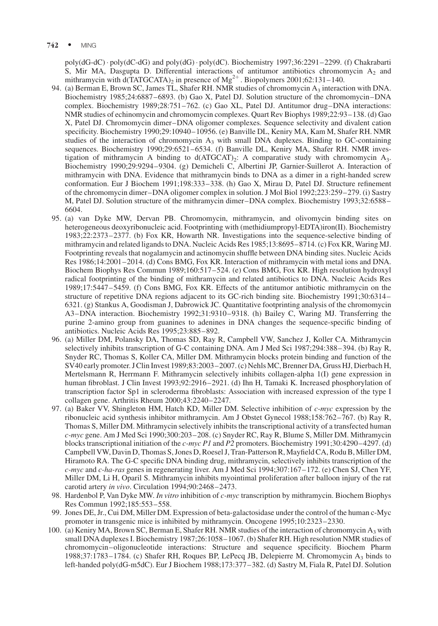poly(dG-dC) poly(dC-dG) and poly(dG) poly(dC). Biochemistry 1997;36:2291–2299. (f) Chakrabarti S, Mir MA, Dasgupta D. Differential interactions of antitumor antibiotics chromomycin  $A_2$  and mithramycin with d(TATGCATA)<sub>2</sub> in presence of Mg<sup>2+</sup>. Biopolymers 2001;62:131-140.

- 94. (a) Berman E, Brown SC, James TL, Shafer RH. NMR studies of chromomycin  $A_3$  interaction with DNA. Biochemistry 1985;24:6887–6893. (b) Gao X, Patel DJ. Solution structure of the chromomycin–DNA complex. Biochemistry 1989;28:751–762. (c) Gao XL, Patel DJ. Antitumor drug–DNA interactions: NMR studies of echinomycin and chromomycin complexes. Quart Rev Biophys 1989;22:93–138. (d) Gao X, Patel DJ. Chromomycin dimer–DNA oligomer complexes. Sequence selectivity and divalent cation specificity. Biochemistry 1990;29:10940–10956. (e) Banville DL, Keniry MA, Kam M, Shafer RH. NMR studies of the interaction of chromomycin  $A_3$  with small DNA duplexes. Binding to GC-containing sequences. Biochemistry 1990;29:6521–6534. (f) Banville DL, Keniry MA, Shafer RH. NMR investigation of mithramycin A binding to  $d(ATGCAT)$ 2: A comparative study with chromomycin A<sub>3</sub>. Biochemistry 1990;29:9294–9304. (g) Demicheli C, Albertini JP, Garnier-Suillerot A. Interaction of mithramycin with DNA. Evidence that mithramycin binds to DNA as a dimer in a right-handed screw conformation. Eur J Biochem 1991;198:333–338. (h) Gao X, Mirau D, Patel DJ. Structure refinement of the chromomycin dimer–DNA oligomer complex in solution. J Mol Biol 1992;223:259–279. (i) Sastry M, Patel DJ. Solution structure of the mithramycin dimer–DNA complex. Biochemistry 1993;32:6588– 6604.
- 95. (a) van Dyke MW, Dervan PB. Chromomycin, mithramycin, and olivomycin binding sites on heterogeneous deoxyribonucleic acid. Footprinting with (methidiumpropyl-EDTA)iron(II). Biochemistry 1983;22:2373–2377. (b) Fox KR, Howarth NR. Investigations into the sequence-selective binding of mithramycin and related ligands to DNA. Nucleic Acids Res 1985;13:8695–8714. (c) Fox KR, Waring MJ. Footprinting reveals that nogalamycin and actinomycin shuffle between DNA binding sites. Nucleic Acids Res 1986;14:2001–2014. (d) Cons BMG, Fox KR. Interaction of mithramycin with metal ions and DNA. Biochem Biophys Res Commun 1989;160:517–524. (e) Cons BMG, Fox KR. High resolution hydroxyl radical footprinting of the binding of mithramycin and related antibiotics to DNA. Nucleic Acids Res 1989;17:5447–5459. (f) Cons BMG, Fox KR. Effects of the antitumor antibiotic mithramycin on the structure of repetitive DNA regions adjacent to its GC-rich binding site. Biochemistry 1991;30:6314– 6321. (g) Stankus A, Goodisman J, Dabrowick JC. Quantitative footprinting analysis of the chromomycin A3–DNA interaction. Biochemistry 1992;31:9310–9318. (h) Bailey C, Waring MJ. Transferring the purine 2-amino group from guanines to adenines in DNA changes the sequence-specific binding of antibiotics. Nucleic Acids Res 1995;23:885–892.
- 96. (a) Miller DM, Polansky DA, Thomas SD, Ray R, Campbell VW, Sanchez J, Koller CA. Mithramycin selectively inhibits transcription of G-C containing DNA. Am J Med Sci 1987;294:388–394. (b) Ray R, Snyder RC, Thomas S, Koller CA, Miller DM. Mithramycin blocks protein binding and function of the SV40 early promoter. J Clin Invest 1989;83:2003–2007. (c) Nehls MC, Brenner DA, Gruss HJ, Dierbach H, Mertelsmann R, Herrmann F. Mithramycin selectively inhibits collagen-alpha 1(I) gene expression in human fibroblast. J Clin Invest 1993;92:2916–2921. (d) Ihn H, Tamaki K. Increased phosphorylation of transcription factor Sp1 in scleroderma fibroblasts: Association with increased expression of the type I collagen gene. Arthritis Rheum 2000;43:2240–2247.
- 97. (a) Baker VV, Shingleton HM, Hatch KD, Miller DM. Selective inhibition of  $c\text{-}mvc$  expression by the ribonucleic acid synthesis inhibitor mithramycin. Am J Obstet Gynecol 1988;158:762–767. (b) Ray R, Thomas S, Miller DM. Mithramycin selectively inhibits the transcriptional activity of a transfected human c-myc gene. Am J Med Sci 1990;300:203–208. (c) Snyder RC, Ray R, Blume S, Miller DM. Mithramycin blocks transcriptional initiation of the c-myc P1 and P2 promoters. Biochemistry 1991;30:4290–4297. (d) Campbell VW, Davin D, Thomas S, Jones D, Roesel J, Tran-Patterson R, Mayfield CA, Rodu B, Miller DM, Hiramoto RA. The G-C specific DNA binding drug, mithramycin, selectively inhibits transcription of the  $c$ -myc and  $c$ -ha-ras genes in regenerating liver. Am J Med Sci 1994;307:167–172. (e) Chen SJ, Chen YF, Miller DM, Li H, Oparil S. Mithramycin inhibits myointimal proliferation after balloon injury of the rat carotid artery in vivo. Circulation 1994;90:2468–2473.
- 98. Hardenbol P, Van Dyke MW. In vitro inhibition of c-myc transcription by mithramycin. Biochem Biophys Res Commun 1992;185:553–558.
- 99. Jones DE, Jr., Cui DM, Miller DM. Expression of beta-galactosidase under the control of the human c-Myc promoter in transgenic mice is inhibited by mithramycin. Oncogene 1995;10:2323–2330.
- 100. (a) Keniry MA, Brown SC, Berman E, Shafer RH. NMR studies of the interaction of chromomycin A<sub>3</sub> with small DNA duplexes I. Biochemistry 1987;26:1058–1067. (b) Shafer RH. High resolution NMR studies of chromomycin–oligonucleotide interactions: Structure and sequence specificity. Biochem Pharm 1988;37:1783–1784. (c) Shafer RH, Roques BP, LePecq JB, Delepierre M. Chromomycin A3 binds to left-handed poly(dG-m5dC). Eur J Biochem 1988;173:377–382. (d) Sastry M, Fiala R, Patel DJ. Solution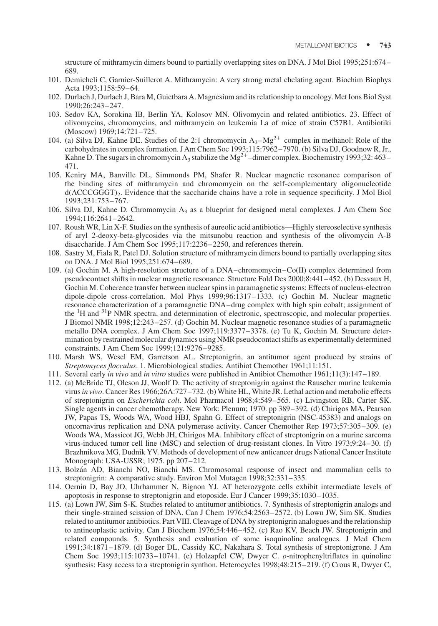structure of mithramycin dimers bound to partially overlapping sites on DNA. J Mol Biol 1995;251:674– 689.

- 101. Demicheli C, Garnier-Suillerot A. Mithramycin: A very strong metal chelating agent. Biochim Biophys Acta 1993;1158:59–64.
- 102. Durlach J, Durlach J, Bara M, Guietbara A. Magnesium and its relationship to oncology. Met Ions Biol Syst 1990;26:243–247.
- 103. Sedov KA, Sorokina IB, Berlin YA, Kolosov MN. Olivomycin and related antibiotics. 23. Effect of olivomycins, chromomycins, and mithramycin on leukemia La of mice of strain C57B1. Antibiotiki (Moscow) 1969;14:721–725.
- 104. (a) Silva DJ, Kahne DE. Studies of the 2:1 chromomycin  $A_3-Mg^{2+}$  complex in methanol: Role of the carbohydrates in complex formation. J Am Chem Soc 1993;115:7962–7970. (b) Silva DJ, Goodnow R, Jr., Kahne D. The sugars in chromomycin A<sub>3</sub> stabilize the Mg<sup>2+</sup>-dimer complex. Biochemistry 1993;32: 463– 471.
- 105. Keniry MA, Banville DL, Simmonds PM, Shafer R. Nuclear magnetic resonance comparison of the binding sites of mithramycin and chromomycin on the self-complementary oligonucleotide d(ACCCGGGT)<sub>2</sub>. Evidence that the saccharide chains have a role in sequence specificity. J Mol Biol 1993;231:753–767.
- 106. Silva DJ, Kahne D. Chromomycin  $A_3$  as a blueprint for designed metal complexes. J Am Chem Soc 1994;116:2641–2642.
- 107. Roush WR, Lin X-F. Studies on the synthesis of aureolic acid antibiotics—Highly stereoselective synthesis of aryl 2-deoxy-beta-glycosides via the mitsunobu reaction and synthesis of the olivomycin A-B disaccharide. J Am Chem Soc 1995;117:2236–2250, and references therein.
- 108. Sastry M, Fiala R, Patel DJ. Solution structure of mithramycin dimers bound to partially overlapping sites on DNA. J Mol Biol 1995;251:674–689.
- 109. (a) Gochin M. A high-resolution structure of a DNA–chromomycin–Co(II) complex determined from pseudocontact shifts in nuclear magnetic resonance. Structure Fold Des 2000;8:441–452. (b) Desvaux H, Gochin M. Coherence transfer between nuclear spins in paramagnetic systems: Effects of nucleus-electron dipole-dipole cross-correlation. Mol Phys 1999;96:1317–1333. (c) Gochin M. Nuclear magnetic resonance characterization of a paramagnetic DNA–drug complex with high spin cobalt; assignment of the <sup>1</sup>H and <sup>31</sup>P NMR spectra, and determination of electronic, spectroscopic, and molecular properties. J Biomol NMR 1998;12:243–257. (d) Gochin M. Nuclear magnetic resonance studies of a paramagnetic metallo DNA complex. J Am Chem Soc 1997;119:3377–3378. (e) Tu K, Gochin M. Structure determination by restrained molecular dynamics using NMR pseudocontact shifts as experimentally determined constraints. J Am Chem Soc 1999;121:9276–9285.
- 110. Marsh WS, Wesel EM, Garretson AL. Streptonigrin, an antitumor agent produced by strains of Streptomyces flocculus. 1. Microbiological studies. Antibiot Chemother 1961;11:151.
- 111. Several early in vivo and in vitro studies were published in Antibiot Chemother 1961;11(3):147–189.
- 112. (a) McBride TJ, Oleson JJ, Woolf D. The activity of streptonigrin against the Rauscher murine leukemia virusin vivo. Cancer Res 1966;26A:727–732. (b) White HL, White JR. Lethal action and metabolic effects of streptonigrin on Escherichia coli. Mol Pharmacol 1968;4:549–565. (c) Livingston RB, Carter SK. Single agents in cancer chemotherapy. New York: Plenum; 1970. pp 389–392. (d) Chirigos MA, Pearson JW, Papas TS, Woods WA, Wood HBJ, Spahn G. Effect of streptonigrin (NSC-45383) and analogs on oncornavirus replication and DNA polymerase activity. Cancer Chemother Rep 1973;57:305–309. (e) Woods WA, Massicot JG, Webb JH, Chirigos MA. Inhibitory effect of streptonigrin on a murine sarcoma virus-induced tumor cell line (MSC) and selection of drug-resistant clones. In Vitro 1973;9:24–30. (f) Brazhnikova MG, Dudnik YV. Methods of development of new anticancer drugs National Cancer Institute Monograph: USA-USSR; 1975. pp 207–212.
- 113. Bolza´n AD, Bianchi NO, Bianchi MS. Chromosomal response of insect and mammalian cells to streptonigrin: A comparative study. Environ Mol Mutagen 1998;32:331–335.
- 114. Oernin D, Bay JO, Uhrhammer N, Bignon YJ. AT heterozygote cells exhibit intermediate levels of apoptosis in response to streptonigrin and etoposide. Eur J Cancer 1999;35:1030–1035.
- 115. (a) Lown JW, Sim S-K. Studies related to antitumor antibiotics. 7. Synthesis of streptonigrin analogs and their single-strained scission of DNA. Can J Chem 1976;54:2563–2572. (b) Lown JW, Sim SK. Studies related to antitumor antibiotics. Part VIII. Cleavage of DNA by streptonigrin analogues and the relationship to antineoplastic activity. Can J Biochem 1976;54:446–452. (c) Rao KV, Beach JW. Streptonigrin and related compounds. 5. Synthesis and evaluation of some isoquinoline analogues. J Med Chem 1991;34:1871–1879. (d) Boger DL, Cassidy KC, Nakahara S. Total synthesis of streptonigrone. J Am Chem Soc 1993;115:10733–10741. (e) Holzapfel CW, Dwyer C. o-nitrophenyltriflates in quinoline synthesis: Easy access to a streptonigrin synthon. Heterocycles 1998;48:215–219. (f) Crous R, Dwyer C,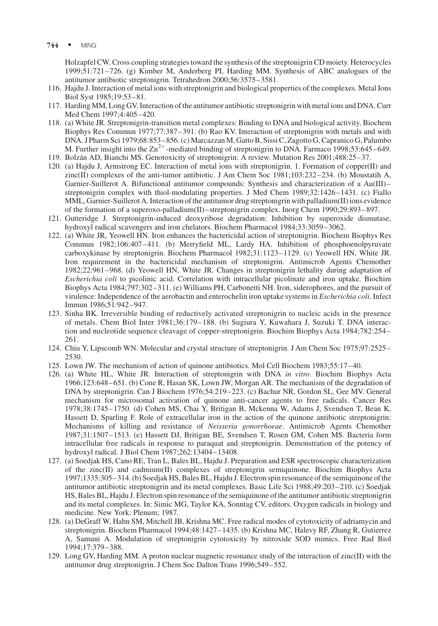744 • MING

Holzapfel CW. Cross coupling strategies toward the synthesis of the streptonigrin CD moiety. Heterocycles 1999;51:721–726. (g) Kimber M, Anderberg PI, Harding MM. Synthesis of ABC analogues of the antitumor antibiotic streptonigrin. Tetrahedron 2000;56:3575–3581.

- 116. Hajdu J. Interaction of metal ions with streptonigrin and biological properties of the complexes. Metal Ions Biol Syst 1985;19:53–81.
- 117. Harding MM, Long GV. Interaction of the antitumor antibiotic streptonigrin with metal ions and DNA. Curr Med Chem 1997;4:405–420.
- 118. (a) White JR. Streptonigrin-transition metal complexes: Binding to DNA and biological activity. Biochem Biophys Res Commun 1977;77:387–391. (b) Rao KV. Interaction of streptonigrin with metals and with DNA. J Pharm Sci 1979;68:853–856. (c) Marcazzan M, Gatto B, Sissi C, Zagotto G, Capranico G, Palumbo M. Further insight into the  $\text{Zn}^{2+}$ -mediated binding of streptonigrin to DNA. Farmaco 1998;53:645–649.
- 119. Bolza´n AD, Bianchi MS. Genotoxicity of streptonigrin: A review. Mutation Res 2001;488:25–37.
- 120. (a) Hajdu J, Armstrong EC. Interaction of metal ions with streptonigrin. 1. Formation of copper(II) and zinc(II) complexes of the anti-tumor antibiotic. J Am Chem Soc 1981;103:232–234. (b) Moustatih A, Garnier-Suillerot A. Bifunctional antitumor compounds: Synthesis and characterization of a Au(III)– streptonigrin complex with thiol-modulating properties. J Med Chem 1989;32:1426–1431. (c) Fiallo MML, Garnier-Suillerot A. Interaction of the antitumor drug streptonigrin with palladium(II) ions evidence of the formation of a superoxo-palladium(II)–streptonigrin complex. Inorg Chem 1990;29:893–897.
- 121. Gutteridge J. Streptonigrin-induced deoxyribose degradation: Inhibition by superoxide dismutase, hydroxyl radical scavengers and iron chelators. Biochem Pharmacol 1984;33:3059–3062.
- 122. (a) White JR, Yeowell HN. Iron enhances the bactericidal action of streptonigrin. Biochem Biophys Res Commun 1982;106:407–411. (b) Merryfield ML, Lardy HA. Inhibition of phosphoenolpyruvate carboxykinase by streptonigrin. Biochem Pharmacol 1982;31:1123–1129. (c) Yeowell HN, White JR. Iron requirement in the bactericidal mechanism of streptonigrin. Antimicrob Agents Chemother 1982;22:961–968. (d) Yeowell HN, White JR. Changes in streptonigrin lethality during adaptation of Escherichia coli to picolinic acid. Correlation with intracellular picolinate and iron uptake. Biochim Biophys Acta 1984;797:302–311. (e) Williams PH, Carbonetti NH. Iron, siderophores, and the pursuit of virulence: Independence of the aerobactin and enterochelin iron uptake systems in Escherichia coli. Infect Immun 1986;51:942–947.
- 123. Sinha BK. Irreversible binding of reductively activated streptonigrin to nucleic acids in the presence of metals. Chem Biol Inter 1981;36:179–188. (b) Sugiura Y, Kuwahara J, Suzuki T. DNA interaction and nucleotide sequence cleavage of copper-streptonigrin. Biochim Biophys Acta 1984;782:254– 261.
- 124. Chiu Y, Lipscomb WN. Molecular and crystal structure of streptonigrin. J Am Chem Soc 1975;97:2525– 2530.
- 125. Lown JW. The mechanism of action of quinone antibiotics. Mol Cell Biochem 1983;55:17–40.
- 126. (a) White HL, White JR. Interaction of streptonigrin with DNA in vitro. Biochim Biophys Acta 1966;123:648–651. (b) Cone R, Hasan SK, Lown JW, Morgan AR. The mechanism of the degradation of DNA by streptonigrin. Can J Biochem 1976;54:219–223. (c) Bachur NR, Gordon SL, Gee MV. General mechanism for microsomal activation of quinone anti-cancer agents to free radicals. Cancer Res 1978;38:1745–1750. (d) Cohen MS, Chai Y, Britigan B, Mckenna W, Adams J, Svendsen T, Bean K, Hassett D, Sparling F. Role of extracellular iron in the action of the quinone antibiotic streptonigrin: Mechanisms of killing and resistance of Neisseria gonorrhoeae. Antimicrob Agents Chemother 1987;31:1507–1513. (e) Hassett DJ, Britigan BE, Svendsen T, Rosen GM, Cohen MS. Bacteria form intracellular free radicals in response to paraquat and streptonigrin. Demonstration of the potency of hydroxyl radical. J Biol Chem 1987;262:13404–13408.
- 127. (a) Soedjak HS, Cano RE, Tran L, Bales BL, Hajdu J. Preparation and ESR spectroscopic characterization of the zinc(II) and cadmium(II) complexes of streptonigrin semiquinone. Biochim Biophys Acta 1997;1335:305–314. (b) Soedjak HS, Bales BL, Hajdu J. Electron spin resonance of the semiquinone of the antitumor antibiotic streptonigrin and its metal complexes. Basic Life Sci 1988;49:203–210. (c) Soedjak HS, Bales BL, Hajdu J. Electron spin resonance of the semiquinone of the antitumor antibiotic streptonigrin and its metal complexes. In: Simic MG, Taylor KA, Sonntag CV, editors. Oxygen radicals in biology and medicine. New York: Plenum; 1987.
- 128. (a) DeGraff W, Hahn SM, Mitchell JB, Krishna MC. Free radical modes of cytotoxicity of adriamycin and streptonigrin. Biochem Pharmacol 1994;48:1427–1435. (b) Krishna MC, Halevy RF, Zhang R, Gutierrez A, Samuni A. Modulation of streptonigrin cytotoxicity by nitroxide SOD mimics. Free Rad Biol 1994;17:379–388.
- 129. Long GV, Harding MM. A proton nuclear magnetic resonance study of the interaction of zinc(II) with the antitumor drug streptonigrin. J Chem Soc Dalton Trans 1996;549–552.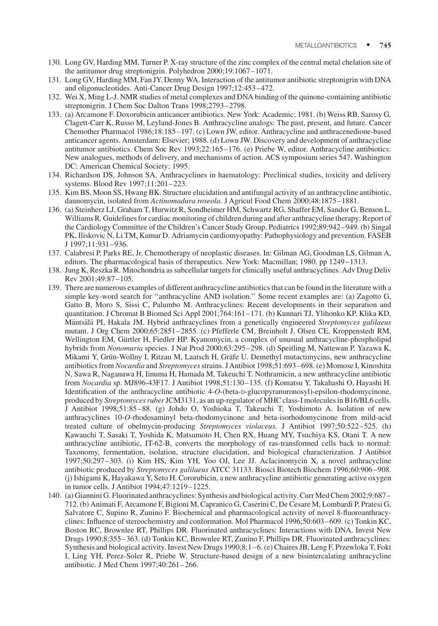- 130. Long GV, Harding MM, Turner P. X-ray structure of the zinc complex of the central metal chelation site of the antitumor drug streptonigrin. Polyhedron 2000;19:1067–1071.
- 131. Long GV, Harding MM, Fan JY, Denny WA. Interaction of the antitumor antibiotic streptonigrin with DNA and oligonucleotides. Anti-Cancer Drug Design 1997;12:453–472.
- 132. Wei X, Ming L-J. NMR studies of metal complexes and DNA binding of the quinone-containing antibiotic streptonigrin. J Chem Soc Dalton Trans 1998;2793–2798.
- 133. (a) Arcamone F. Doxorubicin anticancer antibiotics. New York: Academic; 1981. (b) Weiss RB, Sarosy G, Clagett-Carr K, Russo M, Leyland-Jones B. Anthracycline analogs: The past, present, and future. Cancer Chemother Pharmacol 1986;18:185–197. (c) Lown JW, editor. Anthracycline and anthracenedione-based anticancer agents. Amsterdam: Elsevier; 1988. (d) Lown JW. Discovery and development of anthracycline antitumor antibiotics. Chem Soc Rev 1993;22:165–176. (e) Priebe W, editor. Anthracycline antibiotics: New analogues, methods of delivery, and mechanisms of action. ACS symposium series 547. Washington DC: American Chemical Society; 1995.
- 134. Richardson DS, Johnson SA. Anthracyclines in haematology: Preclinical studies, toxicity and delivery systems. Blood Rev 1997;11:201–223.
- 135. Kim BS, Moon SS, Hwang BK. Structure elucidation and antifungal activity of an anthracycline antibiotic, daunomycin, isolated from Actinomadura roseola. J Agricul Food Chem 2000;48:1875–1881.
- 136. (a) Steinherz LJ, Graham T, Hurwitz R, Sondheimer HM, Schwartz RG, Shaffer EM, Sandor G, Benson L, Williams R. Guidelines for cardiac monitoring of children during and after anthracycline therapy: Report of the Cardiology Committee of the Children's Cancer Study Group. Pediatrics 1992;89:942–949. (b) Singal PK, Iliskovic N, Li TM, Kumar D. Adriamycin cardiomyopathy: Pathophysiology and prevention. FASEB J 1997;11:931–936.
- 137. Calabresi P, Parks RE, Jr. Chemotherapy of neoplastic diseases. In: Gilman AG, Goodman LS, Gilman A, editors. The pharmacological basis of therapeutics. New York: Macmillan; 1980. pp 1249–1313.
- 138. Jung K, Reszka R. Mitochondria as subcellular targets for clinically useful anthracyclines. Adv Drug Deliv Rev 2001;49:87–105.
- 139. There are numerous examples of different anthracycline antibiotics that can be found in the literature with a simple key-word search for ''anthracycline AND isolation.'' Some recent examples are: (a) Zagotto G, Gatto B, Moro S, Sissi C, Palumbo M. Anthracyclines: Recent developments in their separation and quantitation. J Chromat B Biomed Sci Appl 2001;764:161–171. (b) Kunnari TJ, Ylihonko KP, Klika KD, Mäntsälä PI, Hakala JM. Hybrid anthracyclines from a genetically engineered Streptomyces galilaeus mutant. J Org Chem 2000;65:2851–2855. (c) Pfefferle CM, Breinholt J, Olsen CE, Kroppenstedt RM, Wellington EM, Gürtler H, Fiedler HP. Kyanomycin, a complex of unusual anthracycline-phospholipid hybrids from Nonomuria species. J Nat Prod 2000;63:295–298. (d) Speitling M, Nattewan P, Yazawa K, Mikami Y, Grün-Wollny I, Ritzau M, Laatsch H, Gräfe U. Demethyl mutactimycins, new anthracycline antibiotics from Nocardia and Streptomyces strains. J Antibiot 1998;51:693-698. (e) Momose I, Kinoshita N, Sawa R, Naganawa H, Iinuma H, Hamada M, Takeuchi T. Nothramicin, a new anthracycline antibiotic from Nocardia sp. MJ896-43F17. J Antibiot 1998;51:130–135. (f) Komatsu Y, Takahashi O, Hayashi H. Identification of the anthracycline antibiotic 4-O-(beta-D-glucopyranuronosyl)-epsilon-rhodomycinone, produced by Streptomyces ruberJCM3131, as an up-regulator of MHC class-I molecules in B16/BL6 cells. J Antibiot 1998;51:85–88. (g) Johdo O, Yoshioka T, Takeuchi T, Yoshimoto A. Isolation of new anthracyclines 10-O-rhodosaminyl beta-rhodomycinone and beta-isorhodomycinone from mild-acid treated culture of obelmycin-producing Streptomyces violaceus. J Antibiot 1997;50:522–525. (h) Kawauchi T, Sasaki T, Yoshida K, Matsumoto H, Chen RX, Huang MY, Tsuchiya KS, Otani T. A new anthracycline antibiotic, IT-62-B, converts the morphology of ras-transformed cells back to normal: Taxonomy, fermentation, isolation, structure elucidation, and biological characterization. J Antibiot 1997;50:297–303. (i) Kim HS, Kim YH, Yoo OJ, Lee JJ. Aclacinomycin X, a novel anthracycline antibiotic produced by Streptomyces galilaeus ATCC 31133. Biosci Biotech Biochem 1996;60:906–908. (j) Ishigami K, Hayakawa Y, Seto H. Cororubicin, a new anthracycline antibiotic generating active oxygen in tumor cells. J Antibiot 1994;47:1219–1225.
- 140. (a) Giannini G. Fluorinated anthracyclines: Synthesis and biological activity. Curr Med Chem 2002;9:687– 712. (b) Animati F, Arcamone F, Bigioni M, Capranico G, Caserini C, De Cesare M, Lombardi P, Pratesi G, Salvatore C, Supino R, Zunino F. Biochemical and pharmacological activity of novel 8-fluoroanthracyclines: Influence of stereochemistry and conformation. Mol Pharmacol 1996;50:603–609. (c) Tonkin KC, Boston RC, Brownlee RT, Phillips DR. Fluorinated anthracyclines: Interactions with DNA. Invest New Drugs 1990;8:355–363. (d) Tonkin KC, Brownlee RT, Zunino F, Phillips DR. Fluorinated anthracyclines: Synthesis and biological activity. Invest New Drugs 1990;8:1–6. (e) Chaires JB, Leng F, Przewloka T, Fokt I, Ling YH, Perez-Soler R, Priebe W. Structure-based design of a new bisintercalating anthracycline antibiotic. J Med Chem 1997;40:261–266.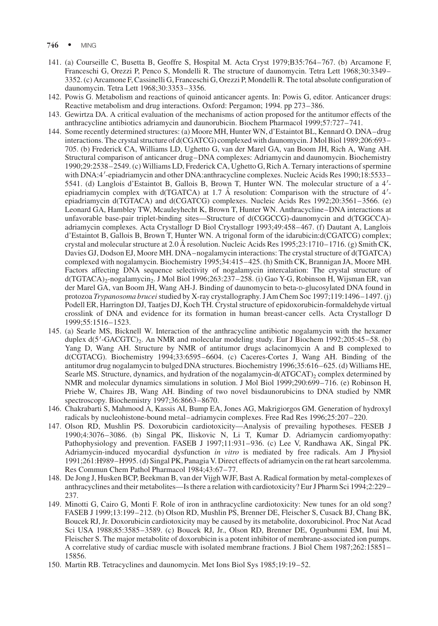- $746$  MING
- 141. (a) Courseille C, Busetta B, Geoffre S, Hospital M. Acta Cryst 1979;B35:764–767. (b) Arcamone F, Franceschi G, Orezzi P, Penco S, Mondelli R. The structure of daunomycin. Tetra Lett 1968;30:3349– 3352. (c) Arcamone F, Cassinelli G, Franceschi G, Orezzi P, Mondelli R. The total absolute configuration of daunomycin. Tetra Lett 1968;30:3353–3356.
- 142. Powis G. Metabolism and reactions of quinoid anticancer agents. In: Powis G, editor. Anticancer drugs: Reactive metabolism and drug interactions. Oxford: Pergamon; 1994. pp 273–386.
- 143. Gewirtza DA. A critical evaluation of the mechanisms of action proposed for the antitumor effects of the anthracycline antibiotics adriamycin and daunorubicin. Biochem Pharmacol 1999;57:727–741.
- 144. Some recently determined structures: (a) Moore MH, Hunter WN, d'Estaintot BL, Kennard O. DNA–drug interactions. The crystal structure of d(CGATCG) complexed with daunomycin. J Mol Biol 1989;206:693– 705. (b) Frederick CA, Williams LD, Ughetto G, van der Marel GA, van Boom JH, Rich A, Wang AH. Structural comparison of anticancer drug–DNA complexes: Adriamycin and daunomycin. Biochemistry 1990;29:2538–2549. (c) Williams LD, Frederick CA, Ughetto G, Rich A. Ternary interactions of spermine with DNA:4'-epiadriamycin and other DNA:anthracycline complexes. Nucleic Acids Res 1990;18:5533-5541. (d) Langlois d'Estaintot B, Gallois B, Brown T, Hunter WN. The molecular structure of a 4'epiadriamycin complex with d(TGATCA) at 1.7 Å resolution: Comparison with the structure of  $4'$ epiadriamycin d(TGTACA) and d(CGATCG) complexes. Nucleic Acids Res 1992;20:3561–3566. (e) Leonard GA, Hambley TW, Mcauleyhecht K, Brown T, Hunter WN. Anthracycline–DNA interactions at unfavorable base-pair triplet-binding sites—Structure of d(CGGCCG)-daunomycin and d(TGGCCA) adriamycin complexes. Acta Crystallogr D Biol Crystallogr 1993;49:458–467. (f) Dautant A, Langlois d'Estaintot B, Gallois B, Brown T, Hunter WN. A trigonal form of the idarubicin:d(CGATCG) complex; crystal and molecular structure at 2.0 Å resolution. Nucleic Acids Res 1995;23:1710–1716. (g) Smith CK, Davies GJ, Dodson EJ, Moore MH. DNA–nogalamycin interactions: The crystal structure of d(TGATCA) complexed with nogalamycin. Biochemistry 1995;34:415–425. (h) Smith CK, Brannigan JA, Moore MH. Factors affecting DNA sequence selectivity of nogalamycin intercalation: The crystal structure of d(TGTACA)<sub>2</sub>-nogalamycin<sub>2</sub>. J Mol Biol 1996;263:237–258. (i) Gao Y-G, Robinson H, Wijsman ER, van der Marel GA, van Boom JH, Wang AH-J. Binding of daunomycin to beta-D-glucosylated DNA found in protozoa Trypanosoma brucei studied by X-ray crystallography. JAm Chem Soc 1997;119:1496–1497. (j) Podell ER, Harrington DJ, Taatjes DJ, Koch TH. Crystal structure of epidoxorubicin-formaldehyde virtual crosslink of DNA and evidence for its formation in human breast-cancer cells. Acta Crystallogr D 1999;55:1516–1523.
- 145. (a) Searle MS, Bicknell W. Interaction of the anthracycline antibiotic nogalamycin with the hexamer duplex d(5'-GACGTC)<sub>2</sub>. An NMR and molecular modeling study. Eur J Biochem 1992;205:45–58. (b) Yang D, Wang AH. Structure by NMR of antitumor drugs aclacinomycin A and B complexed to d(CGTACG). Biochemistry 1994;33:6595–6604. (c) Caceres-Cortes J, Wang AH. Binding of the antitumor drug nogalamycin to bulged DNA structures. Biochemistry 1996;35:616–625. (d) Williams HE, Searle MS. Structure, dynamics, and hydration of the nogalamycin-d(ATGCAT)<sub>2</sub> complex determined by NMR and molecular dynamics simulations in solution. J Mol Biol 1999;290:699–716. (e) Robinson H, Priebe W, Chaires JB, Wang AH. Binding of two novel bisdaunorubicins to DNA studied by NMR spectroscopy. Biochemistry 1997;36:8663–8670.
- 146. Chakrabarti S, Mahmood A, Kassis AI, Bump EA, Jones AG, Makrigiorgos GM. Generation of hydroxyl radicals by nucleohistone-bound metal–adriamycin complexes. Free Rad Res 1996;25:207–220.
- 147. Olson RD, Mushlin PS. Doxorubicin cardiotoxicity—Analysis of prevailing hypotheses. FESEB J 1990;4:3076–3086. (b) Singal PK, Iliskovic N, Li T, Kumar D. Adriamycin cardiomyopathy: Pathophysiology and prevention. FASEB J 1997;11:931–936. (c) Lee V, Randhawa AK, Singal PK. Adriamycin-induced myocardial dysfunction in vitro is mediated by free radicals. Am J Physiol 1991;261:H989–H995. (d) Singal PK, Panagia V. Direct effects of adriamycin on the rat heart sarcolemma. Res Commun Chem Pathol Pharmacol 1984;43:67–77.
- 148. De Jong J, Husken BCP, Beekman B, van der Vijgh WJF, Bast A. Radical formation by metal-complexes of anthracyclines and their metabolites—Is there a relation with cardiotoxicity? Eur J Pharm Sci 1994;2:229– 237.
- 149. Minotti G, Cairo G, Monti F. Role of iron in anthracycline cardiotoxicity: New tunes for an old song? FASEB J 1999;13:199–212. (b) Olson RD, Mushlin PS, Brenner DE, Fleischer S, Cusack BJ, Chang BK, Boucek RJ, Jr. Doxorubicin cardiotoxicity may be caused by its metabolite, doxorubicinol. Proc Nat Acad Sci USA 1988;85:3585–3589. (c) Boucek RJ, Jr., Olson RD, Brenner DE, Ogunbunmi EM, Inui M, Fleischer S. The major metabolite of doxorubicin is a potent inhibitor of membrane-associated ion pumps. A correlative study of cardiac muscle with isolated membrane fractions. J Biol Chem 1987;262:15851– 15856.
- 150. Martin RB. Tetracyclines and daunomycin. Met Ions Biol Sys 1985;19:19–52.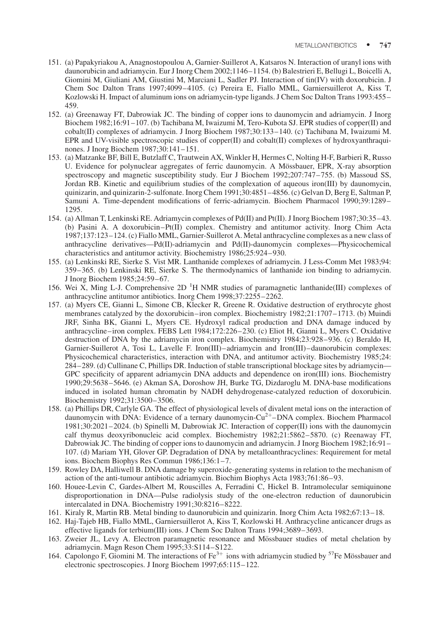- 151. (a) Papakyriakou A, Anagnostopoulou A, Garnier-Suillerot A, Katsaros N. Interaction of uranyl ions with daunorubicin and adriamycin. Eur J Inorg Chem 2002;1146–1154. (b) Balestrieri E, Bellugi L, Boicelli A, Giomini M, Giuliani AM, Giustini M, Marciani L, Sadler PJ. Interaction of tin(IV) with doxorubicin. J Chem Soc Dalton Trans 1997;4099–4105. (c) Pereira E, Fiallo MML, Garniersuillerot A, Kiss T, Kozlowski H. Impact of aluminum ions on adriamycin-type ligands. J Chem Soc Dalton Trans 1993:455– 459.
- 152. (a) Greenaway FT, Dabrowiak JC. The binding of copper ions to daunomycin and adriamycin. J Inorg Biochem 1982;16:91–107. (b) Tachibana M, Iwaizumi M, Tero-Kubota SJ. EPR studies of copper(II) and cobalt(II) complexes of adriamycin. J Inorg Biochem 1987;30:133–140. (c) Tachibana M, Iwaizumi M. EPR and UV-visible spectroscopic studies of copper(II) and cobalt(II) complexes of hydroxyanthraquinones. J Inorg Biochem 1987;30:141–151.
- 153. (a) Matzanke BF, Bill E, Butzlaff C, Trautwein AX, Winkler H, Hermes C, Nolting H-F, Barbieri R, Russo U. Evidence for polynuclear aggregates of ferric daunomycin. A Mössbauer, EPR, X-ray absorption spectroscopy and magnetic susceptibility study. Eur J Biochem 1992;207:747–755. (b) Massoud SS, Jordan RB. Kinetic and equilibrium studies of the complexation of aqueous iron(III) by daunomycin, quinizarin, and quinizarin-2-sulfonate. Inorg Chem 1991;30:4851–4856. (c) Gelvan D, Berg E, Saltman P, Samuni A. Time-dependent modifications of ferric-adriamycin. Biochem Pharmacol 1990;39:1289– 1295.
- 154. (a) Allman T, Lenkinski RE. Adriamycin complexes of Pd(II) and Pt(II). J Inorg Biochem 1987;30:35–43. (b) Pasini A. A doxorubicin–Pt(II) complex. Chemistry and antitumor activity. Inorg Chim Acta 1987;137:123–124. (c) Fiallo MML, Garnier-Suillerot A. Metal anthracycline complexes as a new class of anthracycline derivatives—Pd(II)-adriamycin and Pd(II)-daunomycin complexes—Physicochemical characteristics and antitumor activity. Biochemistry 1986;25:924–930.
- 155. (a) Lenkinski RE, Sierke S. Vist MR. Lanthanide complexes of adriamycin. J Less-Comm Met 1983;94: 359–365. (b) Lenkinski RE, Sierke S. The thermodynamics of lanthanide ion binding to adriamycin. J Inorg Biochem 1985;24:59–67.
- 156. Wei X, Ming L-J. Comprehensive 2D<sup>1</sup>H NMR studies of paramagnetic lanthanide(III) complexes of anthracycline antitumor antibiotics. Inorg Chem 1998;37:2255–2262.
- 157. (a) Myers CE, Gianni L, Simone CB, Klecker R, Greene R. Oxidative destruction of erythrocyte ghost membranes catalyzed by the doxorubicin–iron complex. Biochemistry 1982;21:1707–1713. (b) Muindi JRF, Sinha BK, Gianni L, Myers CE. Hydroxyl radical production and DNA damage induced by anthracycline–iron complex. FEBS Lett 1984;172:226–230. (c) Eliot H, Gianni L, Myers C. Oxidative destruction of DNA by the adriamycin iron complex. Biochemistry 1984;23:928–936. (c) Beraldo H, Garnier-Suillerot A, Tosi L, Lavelle F. Iron(III)–adriamycin and Iron(III)–daunorubicin complexes: Physicochemical characteristics, interaction with DNA, and antitumor activity. Biochemistry 1985;24: 284–289. (d) Cullinane C, Phillips DR. Induction of stable transcriptional blockage sites by adriamycin— GPC specificity of apparent adriamycin DNA adducts and dependence on iron(III) ions. Biochemistry 1990;29:5638–5646. (e) Akman SA, Doroshow JH, Burke TG, Dizdaroglu M. DNA-base modifications induced in isolated human chromatin by NADH dehydrogenase-catalyzed reduction of doxorubicin. Biochemistry 1992;31:3500–3506.
- 158. (a) Phillips DR, Carlyle GA. The effect of physiological levels of divalent metal ions on the interaction of daunomycin with DNA: Evidence of a ternary daunomycin- $Cu<sup>2+</sup>-DNA$  complex. Biochem Pharmacol 1981;30:2021–2024. (b) Spinelli M, Dabrowiak JC. Interaction of copper(II) ions with the daunomycin calf thymus deoxyribonucleic acid complex. Biochemistry 1982;21:5862–5870. (c) Reenaway FT, Dabrowiak JC. The binding of copper ions to daunomycin and adriamycin. J Inorg Biochem 1982;16:91– 107. (d) Mariam YH, Glover GP. Degradation of DNA by metalloanthracyclines: Requirement for metal ions. Biochem Biophys Res Commun 1986;136:1–7.
- 159. Rowley DA, Halliwell B. DNA damage by superoxide-generating systems in relation to the mechanism of action of the anti-tumour antibiotic adriamycin. Biochim Biophys Acta 1983;761:86–93.
- 160. Houee-Levin C, Gardes-Albert M, Rouscilles A, Ferradini C, Hickel B. Intramolecular semiquinone disproportionation in DNA—Pulse radiolysis study of the one-electron reduction of daunorubicin intercalated in DNA. Biochemistry 1991;30:8216–8222.
- 161. Kiraly R, Martin RB. Metal binding to daunorubicin and quinizarin. Inorg Chim Acta 1982;67:13–18.
- 162. Haj-Tajeb HB, Fiallo MML, Garniersuillerot A, Kiss T, Kozlowski H. Anthracycline anticancer drugs as effective ligands for terbium(III) ions. J Chem Soc Dalton Trans 1994;3689–3693.
- 163. Zweier JL, Levy A. Electron paramagnetic resonance and Mössbauer studies of metal chelation by adriamycin. Magn Reson Chem 1995;33:S114–S122.
- 164. Capolongo F, Giomini M. The interactions of Fe<sup>3+</sup> ions with adriamycin studied by <sup>57</sup>Fe Mössbauer and electronic spectroscopies. J Inorg Biochem 1997;65:115–122.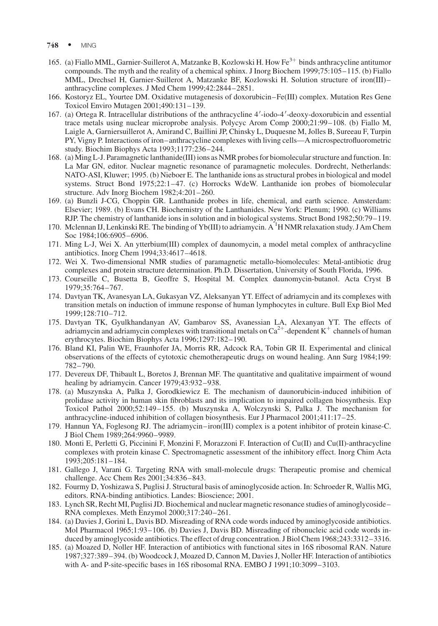- 748 MING
- 165. (a) Fiallo MML, Garnier-Suillerot A, Matzanke B, Kozlowski H. How Fe<sup>3+</sup> binds anthracycline antitumor compounds. The myth and the reality of a chemical sphinx. J Inorg Biochem 1999;75:105–115. (b) Fiallo MML, Drechsel H, Garnier-Suillerot A, Matzanke BF, Kozlowski H. Solution structure of iron(III)– anthracycline complexes. J Med Chem 1999;42:2844–2851.
- 166. Kostoryz EL, Yourtee DM. Oxidative mutagenesis of doxorubicin–Fe(III) complex. Mutation Res Gene Toxicol Enviro Mutagen 2001;490:131–139.
- 167. (a) Ortega R. Intracellular distributions of the anthracycline 4'-iodo-4'-deoxy-doxorubicin and essential trace metals using nuclear microprobe analysis. Polycyc Arom Comp 2000;21:99–108. (b) Fiallo M, Laigle A, Garniersuillerot A, Amirand C, Baillini JP, Chinsky L, Duquesne M, Jolles B, Sureeau F, Turpin PY, Vigny P. Interactions of iron–anthracycline complexes with living cells—A microspectrofluorometric study. Biochim Biophys Acta 1993;1177:236–244.
- 168. (a) Ming L-J. Paramagnetic lanthanide(III) ions as NMR probes for biomolecular structure and function. In: La Mar GN, editor. Nuclear magnetic resonance of paramagnetic molecules. Dordrecht, Netherlands: NATO-ASI, Kluwer; 1995. (b) Nieboer E. The lanthanide ions as structural probes in biological and model systems. Struct Bond 1975;22:1–47. (c) Horrocks WdeW. Lanthanide ion probes of biomolecular structure. Adv Inorg Biochem 1982;4:201–260.
- 169. (a) Bunzli J-CG, Choppin GR. Lanthanide probes in life, chemical, and earth science. Amsterdam: Elsevier; 1989. (b) Evans CH. Biochemistry of the Lanthanides. New York: Plenum; 1990. (c) Williams RJP. The chemistry of lanthanide ions in solution and in biological systems. Struct Bond 1982;50:79–119.
- 170. Mclennan IJ, Lenkinski RE. The binding of Yb(III) to adriamycin. A<sup>1</sup>H NMR relaxation study. J Am Chem Soc 1984;106:6905–6906.
- 171. Ming L-J, Wei X. An ytterbium(III) complex of daunomycin, a model metal complex of anthracycline antibiotics. Inorg Chem 1994;33:4617–4618.
- 172. Wei X. Two-dimensional NMR studies of paramagnetic metallo-biomolecules: Metal-antibiotic drug complexes and protein structure determination. Ph.D. Dissertation, University of South Florida, 1996.
- 173. Courseille C, Busetta B, Geoffre S, Hospital M. Complex daunomycin-butanol. Acta Cryst B 1979;35:764–767.
- 174. Davtyan TK, Avanesyan LA, Gukasyan VZ, Aleksanyan YT. Effect of adriamycin and its complexes with transition metals on induction of immune response of human lymphocytes in culture. Bull Exp Biol Med 1999;128:710–712.
- 175. Davtyan TK, Gyulkhandanyan AV, Gambarov SS, Avanessian LA, Alexanyan YT. The effects of adriamycin and adriamycin complexes with transitional metals on  $Ca^{2+}$ -dependent K<sup>+</sup> channels of human erythrocytes. Biochim Biophys Acta 1996;1297:182–190.
- 176. Bland KI, Palin WE, Fraunhofer JA, Morris RR, Adcock RA, Tobin GR II. Experimental and clinical observations of the effects of cytotoxic chemotherapeutic drugs on wound healing. Ann Surg 1984;199: 782–790.
- 177. Devereux DF, Thibault L, Boretos J, Brennan MF. The quantitative and qualitative impairment of wound healing by adriamycin. Cancer 1979;43:932–938.
- 178. (a) Muszynska A, Palka J, Gorodkiewicz E. The mechanism of daunorubicin-induced inhibition of prolidase activity in human skin fibroblasts and its implication to impaired collagen biosynthesis. Exp Toxicol Pathol 2000;52:149–155. (b) Muszynska A, Wolczynski S, Palka J. The mechanism for anthracycline-induced inhibition of collagen biosynthesis. Eur J Pharmacol 2001;411:17–25.
- 179. Hannun YA, Foglesong RJ. The adriamycin–iron(III) complex is a potent inhibitor of protein kinase-C. J Biol Chem 1989;264:9960–9989.
- 180. Monti E, Perletti G, Piccinini F, Monzini F, Morazzoni F. Interaction of Cu(II) and Cu(II)-anthracycline complexes with protein kinase C. Spectromagnetic assessment of the inhibitory effect. Inorg Chim Acta 1993;205:181–184.
- 181. Gallego J, Varani G. Targeting RNA with small-molecule drugs: Therapeutic promise and chemical challenge. Acc Chem Res 2001;34:836–843.
- 182. Fourmy D, Yoshizawa S, Puglisi J. Structural basis of aminoglycoside action. In: Schroeder R, Wallis MG, editors. RNA-binding antibiotics. Landes: Bioscience; 2001.
- 183. Lynch SR, Recht MI, Puglisi JD. Biochemical and nuclear magnetic resonance studies of aminoglycoside– RNA complexes. Meth Enzymol 2000;317:240–261.
- 184. (a) Davies J, Gorini L, Davis BD. Misreading of RNA code words induced by aminoglycoside antibiotics. Mol Pharmacol 1965;1:93–106. (b) Davies J, Davis BD. Misreading of ribonucleic acid code words induced by aminoglycoside antibiotics. The effect of drug concentration. J Biol Chem 1968;243:3312-3316.
- 185. (a) Moazed D, Noller HF. Interaction of antibiotics with functional sites in 16S ribosomal RAN. Nature 1987;327:389–394. (b) Woodcock J, Moazed D, Cannon M, Davies J, Noller HF. Interaction of antibiotics with A- and P-site-specific bases in 16S ribosomal RNA. EMBO J 1991;10:3099–3103.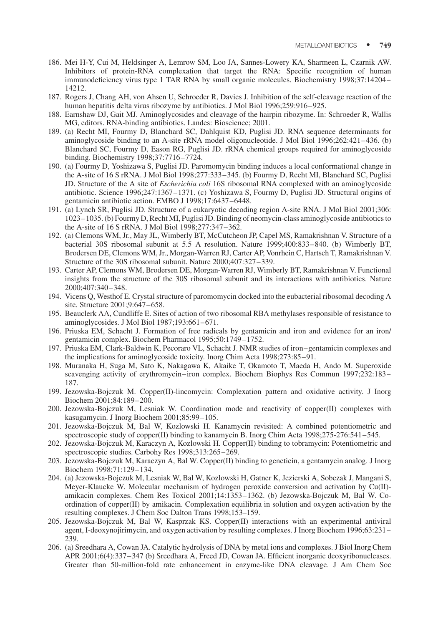- 186. Mei H-Y, Cui M, Heldsinger A, Lemrow SM, Loo JA, Sannes-Lowery KA, Sharmeen L, Czarnik AW. Inhibitors of protein-RNA complexation that target the RNA: Specific recognition of human immunodeficiency virus type 1 TAR RNA by small organic molecules. Biochemistry 1998;37:14204– 14212.
- 187. Rogers J, Chang AH, von Ahsen U, Schroeder R, Davies J. Inhibition of the self-cleavage reaction of the human hepatitis delta virus ribozyme by antibiotics. J Mol Biol 1996;259:916–925.
- 188. Earnshaw DJ, Gait MJ. Aminoglycosides and cleavage of the hairpin ribozyme. In: Schroeder R, Wallis MG, editors. RNA-binding antibiotics. Landes: Bioscience; 2001.
- 189. (a) Recht MI, Fourmy D, Blanchard SC, Dahlquist KD, Puglisi JD. RNA sequence determinants for aminoglycoside binding to an A-site rRNA model oligonucleotide. J Mol Biol 1996;262:421–436. (b) Blanchard SC, Fourmy D, Eason RG, Puglisi JD. rRNA chemical groups required for aminoglycoside binding. Biochemistry 1998;37:7716–7724.
- 190. (a) Fourmy D, Yoshizawa S, Puglisi JD. Paromomycin binding induces a local conformational change in the A-site of 16 S rRNA. J Mol Biol 1998;277:333–345. (b) Fourmy D, Recht MI, Blanchard SC, Puglisi JD. Structure of the A site of Escherichia coli 16S ribosomal RNA complexed with an aminoglycoside antibiotic. Science 1996;247:1367–1371. (c) Yoshizawa S, Fourmy D, Puglisi JD. Structural origins of gentamicin antibiotic action. EMBO J 1998;17:6437–6448.
- 191. (a) Lynch SR, Puglisi JD. Structure of a eukaryotic decoding region A-site RNA. J Mol Biol 2001;306: 1023–1035. (b) Fourmy D, Recht MI, Puglisi JD. Binding of neomycin-class aminoglycoside antibiotics to the A-site of 16 S rRNA. J Mol Biol 1998;277:347–362.
- 192. (a) Clemons WM, Jr., May JL, Wimberly BT, McCutcheon JP, Capel MS, Ramakrishnan V. Structure of a bacterial 30S ribosomal subunit at 5.5 A resolution. Nature 1999;400:833–840. (b) Wimberly BT, Brodersen DE, Clemons WM, Jr., Morgan-Warren RJ, Carter AP, Vonrhein C, Hartsch T, Ramakrishnan V. Structure of the 30S ribosomal subunit. Nature 2000;407:327–339.
- 193. Carter AP, Clemons WM, Brodersen DE, Morgan-Warren RJ, Wimberly BT, Ramakrishnan V. Functional insights from the structure of the 30S ribosomal subunit and its interactions with antibiotics. Nature 2000;407:340–348.
- 194. Vicens Q, Westhof E. Crystal structure of paromomycin docked into the eubacterial ribosomal decoding A site. Structure 2001;9:647–658.
- 195. Beauclerk AA, Cundliffe E. Sites of action of two ribosomal RBA methylases responsible of resistance to aminoglycosides. J Mol Biol 1987;193:661–671.
- 196. Priuska EM, Schacht J. Formation of free radicals by gentamicin and iron and evidence for an iron/ gentamicin complex. Biochem Pharmacol 1995;50:1749–1752.
- 197. Priuska EM, Clark-Baldwin K, Pecoraro VL, Schacht J. NMR studies of iron–gentamicin complexes and the implications for aminoglycoside toxicity. Inorg Chim Acta 1998;273:85–91.
- 198. Muranaka H, Suga M, Sato K, Nakagawa K, Akaike T, Okamoto T, Maeda H, Ando M. Superoxide scavenging activity of erythromycin–iron complex. Biochem Biophys Res Commun 1997;232:183– 187.
- 199. Jezowska-Bojczuk M. Copper(II)-lincomycin: Complexation pattern and oxidative activity. J Inorg Biochem 2001;84:189–200.
- 200. Jezowska-Bojczuk M, Lesniak W. Coordination mode and reactivity of copper(II) complexes with kasugamycin. J Inorg Biochem 2001;85:99–105.
- 201. Jezowska-Bojczuk M, Bal W, Kozlowski H. Kanamycin revisited: A combined potentiometric and spectroscopic study of copper(II) binding to kanamycin B. Inorg Chim Acta 1998;275-276:541–545.
- 202. Jezowska-Bojczuk M, Karaczyn A, Kozlowski H. Copper(II) binding to tobramycin: Potentiometric and spectroscopic studies. Carbohy Res 1998;313:265–269.
- 203. Jezowska-Bojczuk M, Karaczyn A, Bal W. Copper(II) binding to geneticin, a gentamycin analog. J Inorg Biochem 1998;71:129–134.
- 204. (a) Jezowska-Bojczuk M, Lesniak W, Bal W, Kozlowski H, Gatner K, Jezierski A, Sobczak J, Mangani S, Meyer-Klaucke W. Molecular mechanism of hydrogen peroxide conversion and activation by Cu(II) amikacin complexes. Chem Res Toxicol 2001;14:1353–1362. (b) Jezowska-Bojczuk M, Bal W. Coordination of copper(II) by amikacin. Complexation equilibria in solution and oxygen activation by the resulting complexes. J Chem Soc Dalton Trans 1998;153–159.
- 205. Jezowska-Bojczuk M, Bal W, Kasprzak KS. Copper(II) interactions with an experimental antiviral agent, I-deoxynojirimycin, and oxygen activation by resulting complexes. J Inorg Biochem 1996;63:231– 239.
- 206. (a) Sreedhara A, Cowan JA. Catalytic hydrolysis of DNA by metal ions and complexes. J Biol Inorg Chem APR 2001;6(4):337–347 (b) Sreedhara A, Freed JD, Cowan JA. Efficient inorganic deoxyribonucleases. Greater than 50-million-fold rate enhancement in enzyme-like DNA cleavage. J Am Chem Soc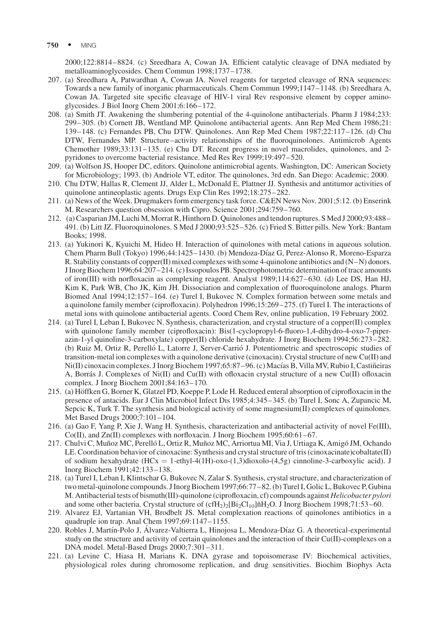750 • MING

2000;122:8814–8824. (c) Sreedhara A, Cowan JA. Efficient catalytic cleavage of DNA mediated by metalloaminoglycosides. Chem Commun 1998;1737–1738.

- 207. (a) Sreedhara A, Patwardhan A, Cowan JA. Novel reagents for targeted cleavage of RNA sequences: Towards a new family of inorganic pharmaceuticals. Chem Commun 1999;1147–1148. (b) Sreedhara A, Cowan JA. Targeted site specific cleavage of HIV-1 viral Rev responsive element by copper aminoglycosides. J Biol Inorg Chem 2001;6:166–172.
- 208. (a) Smith JT. Awakening the slumbering potential of the 4-quinolone antibacterials. Pharm J 1984;233: 299–305. (b) Cornett JB, Wentland MP. Quinolone antibacterial agents. Ann Rep Med Chem 1986;21: 139–148. (c) Fernandes PB, Chu DTW. Quinolones. Ann Rep Med Chem 1987;22:117–126. (d) Chu DTW, Fernandes MP. Structure–activity relationships of the fluoroquinolones. Antimicrob Agents Chemother 1989;33:131–135. (e) Chu DT. Recent progress in novel macrolides, quinolones, and 2 pyridones to overcome bacterial resistance. Med Res Rev 1999;19:497–520.
- 209. (a) Wolfson JS, Hooper DC, editors. Quinolone antimicrobial agents. Washington, DC: American Society for Microbiology; 1993. (b) Andriole VT, editor. The quinolones, 3rd edn. San Diego: Academic; 2000.
- 210. Chu DTW, Hallas R, Clement JJ, Alder L, McDonald E, Plattner JJ. Synthesis and antitumor activities of quinolone antineoplastic agents. Drugs Exp Clin Res 1992;18:275–282.
- 211. (a) News of the Week. Drugmakers form emergency task force. C&EN News Nov. 2001;5:12. (b) Enserink M. Researchers question obsession with Cipro. Science 2001;294:759–760.
- 212. (a) Casparian JM, Luchi M, Morrat R, Hinthorn D. Quinolones and tendon ruptures. S Med J 2000;93:488– 491. (b) Litt JZ. Fluoroquinolones. S Med J 2000;93:525–526. (c) Fried S. Bitter pills. New York: Bantam Books; 1998.
- 213. (a) Yukinori K, Kyuichi M, Hideo H. Interaction of quinolones with metal cations in aqueous solution. Chem Pharm Bull (Tokyo) 1996;44:1425–1430. (b) Mendoza-Dı´az G, Perez-Alonso R, Moreno-Esparza R. Stability constants of copper(II) mixed complexes with some 4-quinolone antibiotics and (N–N) donors. J Inorg Biochem 1996;64:207–214. (c) Issopoulos PB. Spectrophotometric determination of trace amounts of iron(III) with norfloxacin as complexing reagent. Analyst 1989;114:627–630. (d) Lee DS, Han HJ, Kim K, Park WB, Cho JK, Kim JH. Dissociation and complexation of fluoroquinolone analogs. Pharm Biomed Anal 1994;12:157–164. (e) Turel I, Bukovec N. Complex formation between some metals and a quinolone family member (ciprofloxacin). Polyhedron 1996;15:269–275. (f) Turel I. The interactions of metal ions with quinolone antibacterial agents. Coord Chem Rev, online publication, 19 February 2002.
- 214. (a) Turel I, Leban I, Bukovec N. Synthesis, characterization, and crystal structure of a copper(II) complex with quinolone family member (ciprofloxacin): Bis(1-cyclopropyl-6-fluoro-1,4-dihydro-4-oxo-7-piperazin-1-yl quinoline-3-carboxylate) copper(II) chloride hexahydrate. J Inorg Biochem 1994;56:273–282. (b) Ruiz M, Ortiz R, Perello´ L, Latorre J, Server-Carrio´ J. Potentiometric and spectroscopic studies of transition-metal ion complexes with a quinolone derivative (cinoxacin). Crystal structure of new Cu(II) and Ni(II) cinoxacin complexes. J Inorg Biochem 1997;65:87–96. (c) Macías B, Villa MV, Rubio I, Castiñeiras A, Borra´s J. Complexes of Ni(II) and Cu(II) with ofloxacin crystal structure of a new Cu(II) ofloxacin complex. J Inorg Biochem 2001;84:163–170.
- 215. (a) Höffken G, Borner K, Glatzel PD, Koeppe P, Lode H. Reduced enteral absorption of ciprofloxacin in the presence of antacids. Eur J Clin Microbiol Infect Dis 1985;4:345–345. (b) Turel I, Sonc A, Zupancic M, Sepcic K, Turk T. The synthesis and biological activity of some magnesium(II) complexes of quinolones. Met Based Drugs 2000;7:101–104.
- 216. (a) Gao F, Yang P, Xie J, Wang H. Synthesis, characterization and antibacterial activity of novel Fe(III),  $Co(II)$ , and  $Zn(II)$  complexes with norfloxacin. J Inorg Biochem 1995;60:61–67.
- 217. Chulvi C, Muñoz MC, Perelló L, Ortiz R, Muñoz MC, Arriortua MI, Via J, Urtiaga K, Amigó JM, Ochando LE. Coordination behavior of cinoxacine: Synthesis and crystal structure of tris (cinoxacinate)cobaltate(II) of sodium hexahydrate (HCx = 1-ethyl-4(1H)-oxo-(1,3)dioxolo-(4,5g) cinnoline-3-carboxylic acid). J Inorg Biochem 1991;42:133–138.
- 218. (a) Turel I, Leban I, Klintschar G, Bukovec N, Zalar S. Synthesis, crystal structure, and characterization of two metal-quinolone compounds. J Inorg Biochem 1997;66:77–82. (b) Turel I, Golic L, Bukovec P, Gubina M. Antibacterial tests of bismuth(III)-quinolone (ciprofloxacin, cf) compounds against Helicobacter pylori and some other bacteria. Crystal structure of  $(cfH<sub>2</sub>)<sub>2</sub>[Bi<sub>2</sub>Cl<sub>10</sub>]ñH<sub>2</sub>O$ . J Inorg Biochem 1998;71:53–60.
- 219. Alvarez EJ, Vartanian VH, Brodbelt JS. Metal complexation reactions of quinolones antibiotics in a quadruple ion trap. Anal Chem 1997;69:1147–1155.
- 220. Robles J, Martín-Polo J, Álvarez-Valtierra L, Hinojosa L, Mendoza-Díaz G. A theoretical-experimental study on the structure and activity of certain quinolones and the interaction of their Cu(II)-complexes on a DNA model. Metal-Based Drugs 2000;7:301–311.
- 221. (a) Levine C, Hiasa H, Marians K. DNA gyrase and topoisomerase IV: Biochemical activities, physiological roles during chromosome replication, and drug sensitivities. Biochim Biophys Acta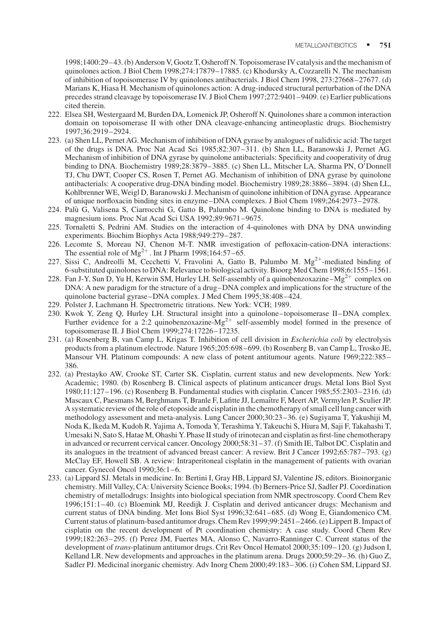1998;1400:29–43. (b) Anderson V, Gootz T, Osheroff N. Topoisomerase IV catalysis and the mechanism of quinolones action. J Biol Chem 1998;274:17879–17885. (c) Khodursky A, Cozzarelli N. The mechanism of inhibition of topoisomerase IV by quinolones antibacterials. J Biol Chem 1998, 273:27668–27677. (d) Marians K, Hiasa H. Mechanism of quinolones action: A drug-induced structural perturbation of the DNA precedes strand cleavage by topoisomerase IV. J Biol Chem 1997;272:9401–9409. (e) Earlier publications cited therein.

- 222. Elsea SH, Westergaard M, Burden DA, Lomenick JP, Osheroff N. Quinolones share a common interaction domain on topoisomerase II with other DNA cleavage-enhancing antineoplastic drugs. Biochemistry 1997;36:2919–2924.
- 223. (a) Shen LL, Pernet AG. Mechanism of inhibition of DNA gyrase by analogues of nalidixic acid: The target of the drugs is DNA. Proc Nat Acad Sci 1985;82:307–311. (b) Shen LL, Baranowski J, Pernet AG. Mechanism of inhibition of DNA gyrase by quinolone antibacterials: Specificity and cooperativity of drug binding to DNA. Biochemistry 1989;28:3879–3885. (c) Shen LL, Mitscher LA, Sharma PN, O'Donnell TJ, Chu DWT, Cooper CS, Rosen T, Pernet AG. Mechanism of inhibition of DNA gyrase by quinolone antibacterials: A cooperative drug-DNA binding model. Biochemistry 1989;28:3886–3894. (d) Shen LL, Kohlbrenner WE, Weigl D, Baranowski J. Mechanism of quinolone inhibition of DNA gyrase. Appearance of unique norfloxacin binding sites in enzyme–DNA complexes. J Biol Chem 1989;264:2973–2978.
- 224. Palu` G, Valisena S, Ciarrocchi G, Gatto B, Palumbo M. Quinolone binding to DNA is mediated by magnesium ions. Proc Nat Acad Sci USA 1992;89:9671–9675.
- 225. Tornaletti S, Pedrini AM. Studies on the interaction of 4-quinolones with DNA by DNA unwinding experiments. Biochim Biophys Acta 1988;949:279–287.
- 226. Lecomte S, Moreau NJ, Chenon M-T. NMR investigation of pefloxacin-cation-DNA interactions: The essential role of  $Mg^{2+}$ . Int J Pharm 1998;164:57–65.
- 227. Sissi C, Andreolli M, Cecchetti V, Fravolini A, Gatto B, Palumbo M.  $Mg^{2+}$ -mediated binding of 6-substituted quinolones to DNA: Relevance to biological activity. Bioorg Med Chem 1998;6:1555–1561.
- 228. Fan J-Y, Sun D, Yu H, Kerwin SM, Hurley LH. Self-assembly of a quinobenzoxazine– $Mg^{2+}$  complex on DNA: A new paradigm for the structure of a drug–DNA complex and implications for the structure of the quinolone bacterial gyrase–DNA complex. J Med Chem 1995;38:408–424.
- 229. Polster J, Lachmann H. Spectrometric titrations. New York: VCH; 1989.
- 230. Kwok Y, Zeng Q, Hurley LH. Structural insight into a quinolone–topoisomerase II–DNA complex. Further evidence for a 2:2 quinobenzoxazine- $Mg^{2+}$  self-assembly model formed in the presence of topoisomerase II. J Biol Chem 1999;274:17226–17235.
- 231. (a) Rosenberg B, van Camp L, Krigas T. Inhibition of cell division in Escherichia coli by electrolysis products from a platinum electrode. Nature 1965;205:698–699. (b) Rosenberg B, van Camp L, Trosko JE, Mansour VH. Platinum compounds: A new class of potent antitumour agents. Nature 1969;222:385– 386.
- 232. (a) Prestayko AW, Crooke ST, Carter SK. Cisplatin, current status and new developments. New York: Academic; 1980. (b) Rosenberg B. Clinical aspects of platinum anticancer drugs. Metal Ions Biol Syst 1980;11:127–196. (c) Rosenberg B. Fundamental studies with cisplatin. Cancer 1985;55:2303–2316. (d) Mascaux C, Paesmans M, Berghmans T, Branle F, Lafitte JJ, Lemaître F, Meert AP, Vermylen P, Sculier JP. A systematic review of the role of etoposide and cisplatin in the chemotherapy of small cell lung cancer with methodology assessment and meta-analysis. Lung Cancer 2000;30:23–36. (e) Sugiyama T, Yakushiji M, Noda K, Ikeda M, Kudoh R, Yajima A, Tomoda Y, Terashima Y, Takeuchi S, Hiura M, Saji F, Takahashi T, Umesaki N, Sato S, Hatae M, Ohashi Y. Phase II study of irinotecan and cisplatin as first-line chemotherapy in advanced or recurrent cervical cancer. Oncology 2000;58:31–37. (f) Smith IE, Talbot DC. Cisplatin and its analogues in the treatment of advanced breast cancer: A review. Brit J Cancer 1992;65:787–793. (g) McClay EF, Howell SB. A review: Intraperitoneal cisplatin in the management of patients with ovarian cancer. Gynecol Oncol 1990;36:1–6.
- 233. (a) Lippard SJ. Metals in medicine. In: Bertini I, Gray HB, Lippard SJ, Valentine JS, editors. Bioinorganic chemistry. Mill Valley, CA: University Science Books; 1994. (b) Berners-Price SJ, Sadler PJ. Coordination chemistry of metallodrugs: Insights into biological speciation from NMR spectroscopy. Coord Chem Rev 1996;151:1–40. (c) Bloemink MJ, Reedijk J. Cisplatin and derived anticancer drugs: Mechanism and current status of DNA binding. Met Ions Biol Syst 1996;32:641–685. (d) Wong E, Giandomenico CM. Current status of platinum-based antitumor drugs. Chem Rev 1999;99:2451–2466. (e) Lippert B. Impact of cisplatin on the recent development of Pt coordination chemistry: A case study. Coord Chem Rev 1999;182:263–295. (f) Perez JM, Fuertes MA, Alonso C, Navarro-Ranninger C. Current status of the development of trans-platinum antitumor drugs. Crit Rev Oncol Hematol 2000;35:109–120. (g) Judson I, Kelland LR. New developments and approaches in the platinum arena. Drugs 2000;59:29–36. (h) Guo Z, Sadler PJ. Medicinal inorganic chemistry. Adv Inorg Chem 2000;49:183–306. (i) Cohen SM, Lippard SJ.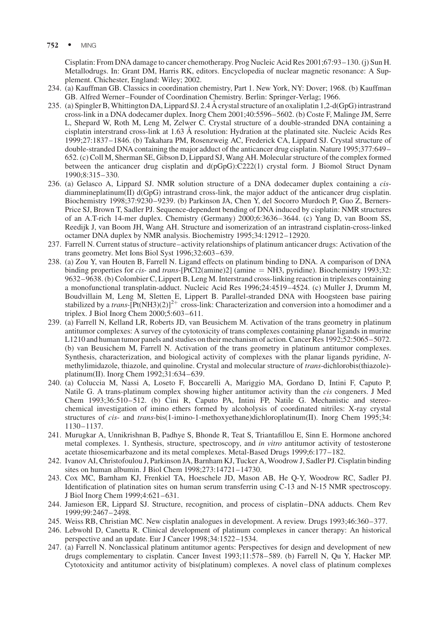Cisplatin: From DNA damage to cancer chemotherapy. Prog Nucleic Acid Res 2001;67:93–130. (j) Sun H. Metallodrugs. In: Grant DM, Harris RK, editors. Encyclopedia of nuclear magnetic resonance: A Supplement. Chichester, England: Wiley; 2002.

- 234. (a) Kauffman GB. Classics in coordination chemistry, Part 1. New York, NY: Dover; 1968. (b) Kauffman GB. Alfred Werner–Founder of Coordination Chemistry. Berlin: Springer-Verlag; 1966.
- 235. (a) Spingler B, Whittington DA, Lippard SJ. 2.4 A˚ crystal structure of an oxaliplatin 1,2-d(GpG) intrastrand cross-link in a DNA dodecamer duplex. Inorg Chem 2001;40:5596–5602. (b) Coste F, Malinge JM, Serre L, Shepard W, Roth M, Leng M, Zelwer C. Crystal structure of a double-stranded DNA containing a cisplatin interstrand cross-link at 1.63 Å resolution: Hydration at the platinated site. Nucleic Acids Res 1999;27:1837–1846. (b) Takahara PM, Rosenzweig AC, Frederick CA, Lippard SJ. Crystal structure of double-stranded DNA containing the major adduct of the anticancer drug cisplatin. Nature 1995;377:649– 652. (c) Coll M, Sherman SE, Gibson D, Lippard SJ, Wang AH. Molecular structure of the complex formed between the anticancer drug cisplatin and d(pGpG):C222(1) crystal form. J Biomol Struct Dynam 1990;8:315–330.
- 236. (a) Gelasco A, Lippard SJ. NMR solution structure of a DNA dodecamer duplex containing a cisdiammineplatinum(II) d(GpG) intrastrand cross-link, the major adduct of the anticancer drug cisplatin. Biochemistry 1998;37:9230–9239. (b) Parkinson JA, Chen Y, del Socorro Murdoch P, Guo Z, Berners-Price SJ, Brown T, Sadler PJ. Sequence-dependent bending of DNA induced by cisplatin: NMR structures of an A.T-rich 14-mer duplex. Chemistry (Germany) 2000;6:3636–3644. (c) Yang D, van Boom SS, Reedijk J, van Boom JH, Wang AH. Structure and isomerization of an intrastrand cisplatin-cross-linked octamer DNA duplex by NMR analysis. Biochemistry 1995;34:12912–12920.
- 237. Farrell N. Current status of structure–activity relationships of platinum anticancer drugs: Activation of the trans geometry. Met Ions Biol Syst 1996;32:603–639.
- 238. (a) Zou Y, van Houten B, Farrell N. Ligand effects on platinum binding to DNA. A comparison of DNA binding properties for *cis-* and *trans*- $[PtCl2(amine)2]$  (amine  $= NH3$ , pyridine). Biochemistry 1993;32: 9632–9638. (b) Colombier C, Lippert B, Leng M. Interstrand cross-linking reaction in triplexes containing a monofunctional transplatin-adduct. Nucleic Acid Res 1996;24:4519–4524. (c) Muller J, Drumm M, Boudvillain M, Leng M, Sletten E, Lippert B. Parallel-stranded DNA with Hoogsteen base pairing stabilized by a *trans*-[Pt(NH3)(2)]<sup>2+</sup> cross-link: Characterization and conversion into a homodimer and a triplex. J Biol Inorg Chem 2000;5:603–611.
- 239. (a) Farrell N, Kelland LR, Roberts JD, van Beusichem M. Activation of the trans geometry in platinum antitumor complexes: A survey of the cytotoxicity of trans complexes containing planar ligands in murine L1210 and human tumor panels and studies on their mechanism of action. Cancer Res 1992;52:5065–5072. (b) van Beusichem M, Farrell N. Activation of the trans geometry in platinum antitumor complexes. Synthesis, characterization, and biological activity of complexes with the planar ligands pyridine, Nmethylimidazole, thiazole, and quinoline. Crystal and molecular structure of trans-dichlorobis(thiazole) platinum(II). Inorg Chem 1992;31:634–639.
- 240. (a) Coluccia M, Nassi A, Loseto F, Boccarelli A, Mariggio MA, Gordano D, Intini F, Caputo P, Natile G. A trans-platinum complex showing higher antitumor activity than the cis congeners. J Med Chem 1993;36:510–512. (b) Cini R, Caputo PA, Intini FP, Natile G. Mechanistic and stereochemical investigation of imino ethers formed by alcoholysis of coordinated nitriles: X-ray crystal structures of *cis-* and *trans-bis(1-imino-1-methoxyethane)dichloroplatinum(II). Inorg Chem 1995;34:* 1130–1137.
- 241. Murugkar A, Unnikrishnan B, Padhye S, Bhonde R, Teat S, Triantafillou E, Sinn E. Hormone anchored metal complexes. 1. Synthesis, structure, spectroscopy, and in vitro antitumor activity of testosterone acetate thiosemicarbazone and its metal complexes. Metal-Based Drugs 1999;6:177–182.
- 242. Ivanov AI, Christofoulou J, Parkinson JA, Barnham KJ, Tucker A, Woodrow J, Sadler PJ. Cisplatin binding sites on human albumin. J Biol Chem 1998;273:14721–14730.
- 243. Cox MC, Barnham KJ, Frenkiel TA, Hoeschele JD, Mason AB, He Q-Y, Woodrow RC, Sadler PJ. Identification of platination sites on human serum transferrin using C-13 and N-15 NMR spectroscopy. J Biol Inorg Chem 1999;4:621–631.
- 244. Jamieson ER, Lippard SJ. Structure, recognition, and process of cisplatin–DNA adducts. Chem Rev 1999;99:2467–2498.
- 245. Weiss RB, Christian MC. New cisplatin analogues in development. A review. Drugs 1993;46:360–377.
- 246. Lebwohl D, Canetta R. Clinical development of platinum complexes in cancer therapy: An historical perspective and an update. Eur J Cancer 1998;34:1522–1534.
- 247. (a) Farrell N. Nonclassical platinum antitumor agents: Perspectives for design and development of new drugs complementary to cisplatin. Cancer Invest 1993;11:578–589. (b) Farrell N, Qu Y, Hacker MP. Cytotoxicity and antitumor activity of bis(platinum) complexes. A novel class of platinum complexes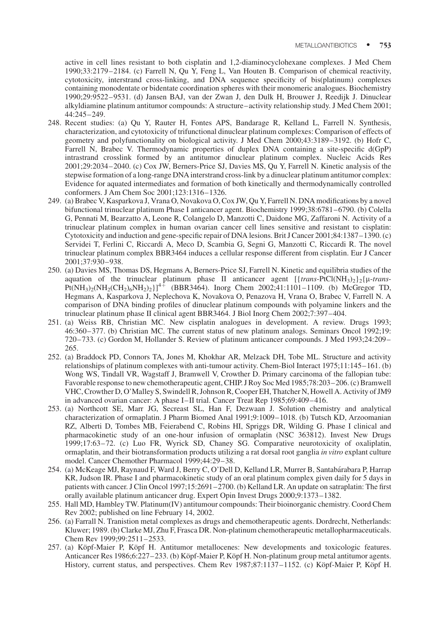active in cell lines resistant to both cisplatin and 1,2-diaminocyclohexane complexes. J Med Chem 1990;33:2179–2184. (c) Farrell N, Qu Y, Feng L, Van Houten B. Comparison of chemical reactivity, cytotoxicity, interstrand cross-linking, and DNA sequence specificity of bis(platinum) complexes containing monodentate or bidentate coordination spheres with their monomeric analogues. Biochemistry 1990;29:9522–9531. (d) Jansen BAJ, van der Zwan J, den Dulk H, Brouwer J, Reedijk J. Dinuclear alkyldiamine platinum antitumor compounds: A structure–activity relationship study. J Med Chem 2001; 44:245–249.

- 248. Recent studies: (a) Qu Y, Rauter H, Fontes APS, Bandarage R, Kelland L, Farrell N. Synthesis, characterization, and cytotoxicity of trifunctional dinuclear platinum complexes: Comparison of effects of geometry and polyfunctionality on biological activity. J Med Chem 2000;43:3189–3192. (b) Hofr C, Farrell N, Brabec V. Thermodynamic properties of duplex DNA containing a site-specific d(GpP) intrastrand crosslink formed by an antitumor dinuclear platinum complex. Nucleic Acids Res 2001;29:2034–2040. (c) Cox JW, Berners-Price SJ, Davies MS, Qu Y, Farrell N. Kinetic analysis of the stepwise formation of a long-range DNA interstrand cross-link by a dinuclear platinum antitumor complex: Evidence for aquated intermediates and formation of both kinetically and thermodynamically controlled conformers. J Am Chem Soc 2001;123:1316–1326.
- 249. (a) Brabec V, Kasparkova J, Vrana O, Novakova O, Cox JW, Qu Y, Farrell N. DNA modifications by a novel bifunctional trinuclear platinum Phase I anticancer agent. Biochemistry 1999;38:6781–6790. (b) Colella G, Pennati M, Bearzatto A, Leone R, Colangelo D, Manzotti C, Daidone MG, Zaffaroni N. Activity of a trinuclear platinum complex in human ovarian cancer cell lines sensitive and resistant to cisplatin: Cytotoxicity and induction and gene-specific repair of DNA lesions. Brit J Cancer 2001;84:1387–1390. (c) Servidei T, Ferlini C, Riccardi A, Meco D, Scambia G, Segni G, Manzotti C, Riccardi R. The novel trinuclear platinum complex BBR3464 induces a cellular response different from cisplatin. Eur J Cancer 2001;37:930–938.
- 250. (a) Davies MS, Thomas DS, Hegmans A, Berners-Price SJ, Farrell N. Kinetic and equilibria studies of the aquation of the trinuclear platinum phase II anticancer agent  $[{trans-PtCl(NH<sub>3</sub>)<sub>2</sub>}_{2}(\mu-trans-Pt(NH<sub>3</sub>)<sub>2</sub>)(NH<sub>2</sub>(CH<sub>2</sub>)<sub>6</sub>NH<sub>2</sub>)<sub>2</sub>}]$ <sup>4</sup> (BBR3464). Inorg Chem 2002;41:1101–1109. (b) McGregor TD, Hegmans A, Kasparkova J, Neplechova K, Novakova O, Penazova H, Vrana O, Brabec V, Farrell N. A comparison of DNA binding profiles of dinuclear platinum compounds with polyamine linkers and the trinuclear platinum phase II clinical agent BBR3464. J Biol Inorg Chem 2002;7:397–404.
- 251. (a) Weiss RB, Christian MC. New cisplatin analogues in development. A review. Drugs 1993; 46:360–377. (b) Christian MC. The current status of new platinum analogs. Seminars Oncol 1992;19: 720–733. (c) Gordon M, Hollander S. Review of platinum anticancer compounds. J Med 1993;24:209– 265.
- 252. (a) Braddock PD, Connors TA, Jones M, Khokhar AR, Melzack DH, Tobe ML. Structure and activity relationships of platinum complexes with anti-tumour activity. Chem-Biol Interact 1975;11:145–161. (b) Wong WS, Tindall VR, Wagstaff J, Bramwell V, Crowther D. Primary carcinoma of the fallopian tube: Favorable response to new chemotherapeutic agent, CHIP. J Roy Soc Med 1985;78:203–206. (c) Bramwell VHC, Crowther D, O'Malley S, Swindell R, Johnson R, Cooper EH, Thatcher N, Howell A. Activity of JM9 in advanced ovarian cancer: A phase I–II trial. Cancer Treat Rep 1985;69:409–416.
- 253. (a) Northcott SE, Marr JG, Secreast SL, Han F, Dezwaan J. Solution chemistry and analytical characterization of ormaplatin. J Pharm Biomed Anal 1991;9:1009–1018. (b) Tutsch KD, Arzoomanian RZ, Alberti D, Tombes MB, Feierabend C, Robins HI, Spriggs DR, Wilding G. Phase I clinical and pharmacokinetic study of an one-hour infusion of ormaplatin (NSC 363812). Invest New Drugs 1999;17:63–72. (c) Luo FR, Wyrick SD, Chaney SG. Comparative neurotoxicity of oxaliplatin, ormaplatin, and their biotransformation products utilizing a rat dorsal root ganglia in vitro explant culture model. Cancer Chemother Pharmacol 1999;44:29–38.
- 254. (a) McKeage MJ, Raynaud F, Ward J, Berry C, O'Dell D, Kelland LR, Murrer B, Santabárabara P, Harrap KR, Judson IR. Phase I and pharmacokinetic study of an oral platinum complex given daily for 5 days in patients with cancer. J Clin Oncol 1997;15:2691–2700. (b) Kelland LR. An update on satraplatin: The first orally available platinum anticancer drug. Expert Opin Invest Drugs 2000;9:1373–1382.
- 255. Hall MD, Hambley TW. Platinum(IV) antitumour compounds: Their bioinorganic chemistry. Coord Chem Rev 2002; published on line February 14, 2002.
- 256. (a) Farrall N. Tranistion metal complexes as drugs and chemotherapeutic agents. Dordrecht, Netherlands: Kluwer; 1989. (b) Clarke MJ, Zhu F, Frasca DR. Non-platinum chemotherapeutic metallopharmaceuticals. Chem Rev 1999;99:2511–2533.
- 257. (a) Köpf-Maier P, Köpf H. Antitumor metallocenes: New developments and toxicologic features. Anticancer Res 1986;6:227–233. (b) Köpf-Maier P, Köpf H. Non-platinum group metal antitumor agents. History, current status, and perspectives. Chem Rev 1987;87:1137–1152. (c) Köpf-Maier P, Köpf H.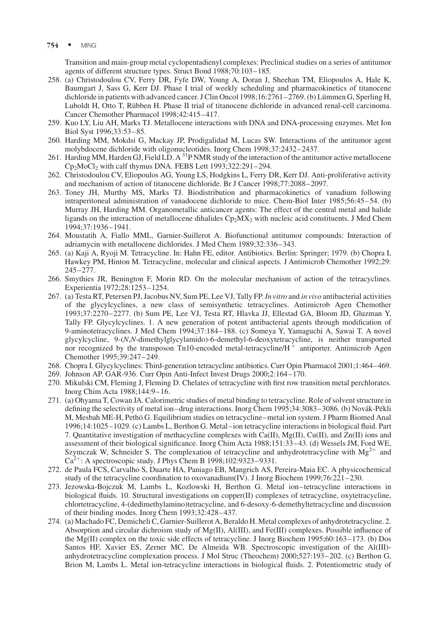$754 \cdot \text{MING}$ 

Transition and main-group metal cyclopentadienyl complexes: Preclinical studies on a series of antitumor agents of different structure types. Struct Bond 1988;70:103–185.

- 258. (a) Christodoulou CV, Ferry DR, Fyfe DW, Young A, Doran J, Sheehan TM, Eliopoulos A, Hale K, Baumgart J, Sass G, Kerr DJ. Phase I trial of weekly scheduling and pharmacokinetics of titanocene dichloride in patients with advanced cancer. J Clin Oncol 1998;16:2761–2769. (b) Lümmen G, Sperling H, Luboldt H, Otto T, Rübben H. Phase II trial of titanocene dichloride in advanced renal-cell carcinoma. Cancer Chemother Pharmacol 1998;42:415–417.
- 259. Kuo LY, Liu AH, Marks TJ. Metallocene interactions with DNA and DNA-processing enzymes. Met Ion Biol Syst 1996;33:53–85.
- 260. Harding MM, Mokdsi G, Mackay JP, Prodigalidad M, Lucas SW. Interactions of the antitumor agent molybdocene dichloride with oligonucleotides. Inorg Chem 1998;37:2432–2437.
- 261. Harding MM, Harden GJ, Field LD. A <sup>31</sup>P NMR study of the interaction of the antitumor active metallocene  $Cp_2MoCl_2$  with calf thymus DNA. FEBS Lett 1993;322:291–294.
- 262. Christodoulou CV, Eliopoulos AG, Young LS, Hodgkins L, Ferry DR, Kerr DJ. Anti-proliferative activity and mechanism of action of titanocene dichloride. Br J Cancer 1998;77:2088–2097.
- 263. Toney JH, Murthy MS, Marks TJ. Biodistribution and pharmacokinetics of vanadium following intraperitoneal administration of vanadocene dichloride to mice. Chem-Biol Inter 1985;56:45–54. (b) Murray JH, Harding MM. Organometallic anticancer agents: The effect of the central metal and halide ligands on the interaction of metallocene dihalides  $Cp_2MX_2$  with nucleic acid constituents. J Med Chem 1994;37:1936–1941.
- 264. Moustatih A, Fiallo MML, Garnier-Suillerot A. Biofunctional antitumor compounds: Interaction of adriamycin with metallocene dichlorides. J Med Chem 1989;32:336–343.
- 265. (a) Kaji A, Ryoji M. Tetracycline. In: Hahn FE, editor. Antibiotics. Berlin: Springer; 1979. (b) Chopra I, Hawkey PM, Hinton M. Tetracycline, molecular and clinical aspects. J Antimicrob Chemother 1992;29: 245–277.
- 266. Smythies JR, Benington F, Morin RD. On the molecular mechanism of action of the tetracyclines. Experientia 1972;28:1253–1254.
- 267. (a) Testa RT, Petersen PJ, Jacobus NV, Sum PE, Lee VJ, Tally FP. In vitro and in vivo antibacterial activities of the glycylcyclines, a new class of semisynthetic tetracyclines. Antimicrob Agen Chemother 1993;37:2270–2277. (b) Sum PE, Lee VJ, Testa RT, Hlavka JJ, Ellestad GA, Bloom JD, Gluzman Y, Tally FP. Glycylcyclines. 1. A new generation of potent antibacterial agents through modification of 9-aminotetracyclines. J Med Chem 1994;37:184–188. (c) Someya Y, Yamaguchi A, Sawai T. A novel glycylcycline, 9-(N,N-dimethylglycylamido)-6-demethyl-6-deoxytetracycline, is neither transported nor recognized by the transposon Tn10-encoded metal-tetracycline/ $H^+$  antiporter. Antimicrob Agen Chemother 1995;39:247–249.
- 268. Chopra I. Glycylcyclines: Third-generation tetracycline antibiotics. Curr Opin Pharmacol 2001;1:464–469.
- 269. Johnson AP. GAR-936. Curr Opin Anti-Infect Invest Drugs 2000;2:164–170.
- 270. Mikulski CM, Fleming J, Fleming D. Chelates of tetracycline with first row transition metal perchlorates. Inorg Chim Acta 1988;144:9–16.
- 271. (a) Ohyama T, Cowan JA. Calorimetric studies of metal binding to tetracycline. Role of solvent structure in defining the selectivity of metal ion–drug interactions. Inorg Chem 1995;34:3083–3086. (b) Novák-Pékli M, Mesbah ME-H, Pethö G. Equilibrium studies on tetracycline–metal ion system. J Pharm Biomed Anal 1996;14:1025–1029. (c) Lambs L, Berthon G. Metal–ion tetracycline interactions in biological fluid. Part 7. Quantitative investigation of methacycline complexes with Ca(II), Mg(II), Cu(II), and Zn(II) ions and assessment of their biological significance. Inorg Chim Acta 1988;151:33–43. (d) Wessels JM, Ford WE, Szymczak W, Schneider S. The complexation of tetracycline and anhydrotetracycline with  $Mg^{2+}$  and  $Ca^{2+}$ : A spectroscopic study. J Phys Chem B 1998;102:9323–9331.
- 272. de Paula FCS, Carvalho S, Duarte HA, Paniago EB, Mangrich AS, Pereira-Maia EC. A physicochemical study of the tetracycline coordination to oxovanadium(IV). J Inorg Biochem 1999;76:221–230.
- 273. Jezowska-Bojczuk M, Lambs L, Kozlowski H, Berthon G. Metal ion–tetracycline interactions in biological fluids. 10. Structural investigations on copper(II) complexes of tetracycline, oxytetracycline, chlortetracycline, 4-(dedimethylamino)tetracycline, and 6-desoxy-6-demethyltetracycline and discussion of their binding modes. Inorg Chem 1993;32:428–437.
- 274. (a) Machado FC, Demicheli C, Garnier-Suillerot A, Beraldo H. Metal complexes of anhydrotetracycline. 2. Absorption and circular dichroism study of Mg(II), Al(III), and Fe(III) complexes. Possible influence of the Mg(II) complex on the toxic side effects of tetracycline. J Inorg Biochem 1995;60:163–173. (b) Dos Santos HF, Xavier ES, Zerner MC, De Almeida WB. Spectroscopic investigation of the Al(III) anhydrotetracycline complexation process. J Mol Struc (Theochem) 2000;527:193–202. (c) Berthon G, Brion M, Lambs L. Metal ion-tetracycline interactions in biological fluids. 2. Potentiometric study of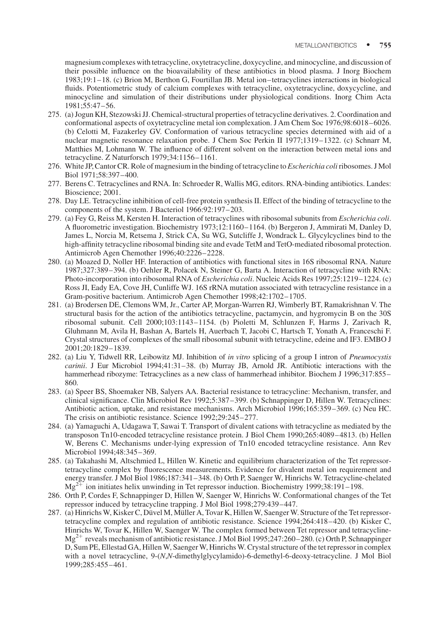magnesium complexes with tetracycline, oxytetracycline, doxycycline, and minocycline, and discussion of their possible influence on the bioavailability of these antibiotics in blood plasma. J Inorg Biochem 1983;19:1–18. (c) Brion M, Berthon G, Fourtillan JB. Metal ion–tetracyclines interactions in biological fluids. Potentiometric study of calcium complexes with tetracycline, oxytetracycline, doxycycline, and minocycline and simulation of their distributions under physiological conditions. Inorg Chim Acta 1981;55:47–56.

- 275. (a) Jogun KH, Stezowski JJ. Chemical-structural properties of tetracycline derivatives. 2. Coordination and conformational aspects of oxytetracycline metal ion complexation. J Am Chem Soc 1976;98:6018–6026. (b) Celotti M, Fazakerley GV. Conformation of various tetracycline species determined with aid of a nuclear magnetic resonance relaxation probe. J Chem Soc Perkin II 1977;1319–1322. (c) Schnarr M, Matthies M, Lohmann W. The influence of different solvent on the interaction between metal ions and tetracycline. Z Naturforsch 1979;34:1156–1161.
- 276. White JP, Cantor CR. Role of magnesium in the binding of tetracycline to *Escherichia coli* ribosomes. J Mol Biol 1971;58:397–400.
- 277. Berens C. Tetracyclines and RNA. In: Schroeder R, Wallis MG, editors. RNA-binding antibiotics. Landes: Bioscience; 2001.
- 278. Day LE. Tetracycline inhibition of cell-free protein synthesis II. Effect of the binding of tetracycline to the components of the system. J Bacteriol 1966:92:197–203.
- 279. (a) Fey G, Reiss M, Kersten H. Interaction of tetracyclines with ribosomal subunits from *Escherichia coli*. A fluorometric investigation. Biochemistry 1973;12:1160–1164. (b) Bergeron J, Ammirati M, Danley D, James L, Norcia M, Retsema J, Strick CA, Su WG, Sutcliffe J, Wondrack L. Glycylcyclines bind to the high-affinity tetracycline ribosomal binding site and evade TetM and TetO-mediated ribosomal protection. Antimicrob Agen Chemother 1996;40:2226–2228.
- 280. (a) Moazed D, Noller HF. Interaction of antibiotics with functional sites in 16S ribosomal RNA. Nature 1987;327:389–394. (b) Oehler R, Polacek N, Steiner G, Barta A. Interaction of tetracycline with RNA: Photo-incorporation into ribosomal RNA of Escherichia coli. Nucleic Acids Res 1997;25:1219–1224. (c) Ross JI, Eady EA, Cove JH, Cunliffe WJ. 16S rRNA mutation associated with tetracycline resistance in a Gram-positive bacterium. Antimicrob Agen Chemother 1998;42:1702–1705.
- 281. (a) Brodersen DE, Clemons WM, Jr., Carter AP, Morgan-Warren RJ, Wimberly BT, Ramakrishnan V. The structural basis for the action of the antibiotics tetracycline, pactamycin, and hygromycin B on the 30S ribosomal subunit. Cell 2000;103:1143–1154. (b) Pioletti M, Schlunzen F, Harms J, Zarivach R, Gluhmann M, Avila H, Bashan A, Bartels H, Auerbach T, Jacobi C, Hartsch T, Yonath A, Franceschi F. Crystal structures of complexes of the small ribosomal subunit with tetracycline, edeine and IF3. EMBO J 2001;20:1829–1839.
- 282. (a) Liu Y, Tidwell RR, Leibowitz MJ. Inhibition of in vitro splicing of a group I intron of Pneumocystis carinii. J Eur Microbiol 1994;41:31–38. (b) Murray JB, Arnold JR. Antibiotic interactions with the hammerhead ribozyme: Tetracyclines as a new class of hammerhead inhibitor. Biochem J 1996;317:855– 860.
- 283. (a) Speer BS, Shoemaker NB, Salyers AA. Bacterial resistance to tetracycline: Mechanism, transfer, and clinical significance. Clin Microbiol Rev 1992;5:387–399. (b) Schnappinger D, Hillen W. Tetracyclines: Antibiotic action, uptake, and resistance mechanisms. Arch Microbiol 1996;165:359–369. (c) Neu HC. The crisis on antibiotic resistance. Science 1992;29:245–277.
- 284. (a) Yamaguchi A, Udagawa T, Sawai T. Transport of divalent cations with tetracycline as mediated by the transposon Tn10-encoded tetracycline resistance protein. J Biol Chem 1990;265:4089–4813. (b) Hellen W, Berens C. Mechanisms under-lying expression of Tn10 encoded tetracycline resistance. Ann Rev Microbiol 1994;48:345–369.
- 285. (a) Takahashi M, Altschmied L, Hillen W. Kinetic and equilibrium characterization of the Tet repressortetracycline complex by fluorescence measurements. Evidence for divalent metal ion requirement and energy transfer. J Mol Biol 1986;187:341–348. (b) Orth P, Saenger W, Hinrichs W. Tetracycline-chelated  $Mg^{2+}$  ion initiates helix unwinding in Tet repressor induction. Biochemistry 1999;38:191–198.
- 286. Orth P, Cordes F, Schnappinger D, Hillen W, Saenger W, Hinrichs W. Conformational changes of the Tet repressor induced by tetracycline trapping. J Mol Biol 1998;279:439–447.
- 287. (a) Hinrichs W, Kisker C, Düvel M, Müller A, Tovar K, Hillen W, Saenger W. Structure of the Tet repressortetracycline complex and regulation of antibiotic resistance. Science 1994;264:418–420. (b) Kisker C, Hinrichs W, Tovar K, Hillen W, Saenger W. The complex formed between Tet repressor and tetracycline- $Mg^{2+}$  reveals mechanism of antibiotic resistance. J Mol Biol 1995;247:260–280. (c) Orth P, Schnappinger D, Sum PE, Ellestad GA, Hillen W, Saenger W, Hinrichs W. Crystal structure of the tet repressor in complex with a novel tetracycline, 9-(N,N-dimethylglycylamido)-6-demethyl-6-deoxy-tetracycline. J Mol Biol 1999;285:455–461.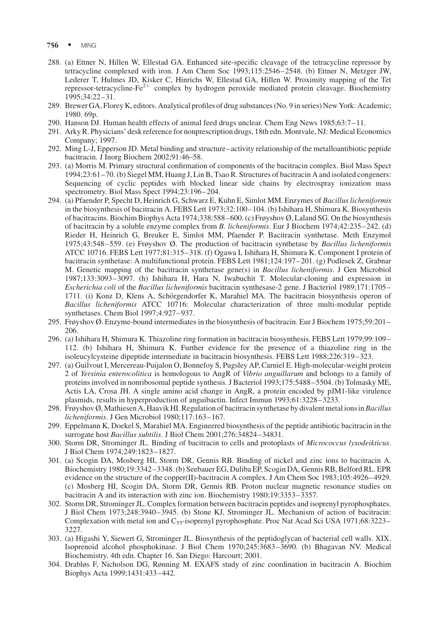- 756 · MING
- 288. (a) Ettner N, Hillen W, Ellestad GA. Enhanced site-specific cleavage of the tetracycline repressor by tetracycline complexed with iron. J Am Chem Soc 1993;115:2546–2548. (b) Ettner N, Metzger JW, Lederer T, Hulmes JD, Kisker C, Hinrichs W, Ellestad GA, Hillen W. Proximity mapping of the Tet repressor-tetracycline-Fe<sup>2+</sup> complex by hydrogen peroxide mediated protein cleavage. Biochemistry 1995;34:22–31.
- 289. Brewer GA, Florey K, editors. Analytical profiles of drug substances (No. 9 in series) New York: Academic; 1980. 69p.
- 290. Hanson DJ. Human health effects of animal feed drugs unclear. Chem Eng News 1985;63:7–11.
- 291. Arky R. Physicians' desk reference for nonprescription drugs, 18th edn. Montvale, NJ: Medical Economics Company; 1997.
- 292. Ming L-J, Epperson JD. Metal binding and structure–activity relationship of the metalloantibiotic peptide bacitracin. J Inorg Biochem 2002;91:46–58.
- 293. (a) Morris M. Primary structural confirmation of components of the bacitracin complex. Biol Mass Spect 1994;23:61–70. (b) Siegel MM, Huang J, Lin B, Tsao R. Structures of bacitracin A and isolated congeners: Sequencing of cyclic peptides with blocked linear side chains by electrospray ionization mass spectrometry. Biol Mass Spect 1994;23:196–204.
- 294. (a) Pfaender P, Specht D, Heinrich G, Schwarz E, Kuhn E, Simlot MM. Enzymes of Bacillus licheniformis in the biosynthesis of bacitracin A. FEBS Lett 1973;32:100–104. (b) Ishihara H, Shimura K. Biosynthesis of bacitracins. Biochim Biophys Acta 1974;338:588–600. (c) Frøyshov Ø, Laland SG. On the biosynthesis of bacitracin by a soluble enzyme complex from B. licheniformis. Eur J Biochem 1974;42:235–242. (d) Rieder H, Heinrich G, Breuker E, Simlot MM, Pfaender P. Bacitracin synthetase. Meth Enzymol 1975;43:548–559. (e) Frøyshov Ø. The production of bacitracin synthetase by Bacillus licheniformis ATCC 10716. FEBS Lett 1977;81:315–318. (f) Ogawa I, Ishihara H, Shimura K. Component I protein of bacitracin synthetase: A multifunctional protein. FEBS Lett 1981;124:197–201. (g) Podlesek Z, Grabnar M. Genetic mapping of the bacitracin synthetase gene(s) in Bacillus licheniformis. J Gen Microbiol 1987;133:3093–3097. (h) Ishihara H, Hara N, Iwabuchit T. Molecular-cloning and expression in Escherichia coli of the Bacillus licheniformis bacitracin synthesase-2 gene. J Bacteriol 1989;171:1705– 1711. (i) Konz D, Klens A, Schörgendorfer K, Marahiel MA. The bacitracin biosynthesis operon of Bacillus licheniformis ATCC 10716: Molecular characterization of three multi-modular peptide synthetases. Chem Biol 1997;4:927–937.
- 295. Frøyshov Ø. Enzyme-bound intermediates in the biosynthesis of bacitracin. Eur J Biochem 1975;59:201– 206.
- 296. (a) Ishihara H, Shimura K. Thiazoline ring formation in bacitracin biosynthesis. FEBS Lett 1979;99:109– 112. (b) Ishihara H, Shimura K. Further evidence for the presence of a thiazoline ring in the isoleucylcysteine dipeptide intermediate in bacitracin biosynthesis. FEBS Lett 1988;226:319–323.
- 297. (a) Guilvout I, Mercereau-Puijalon O, Bonnefoy S, Pugsley AP, Carniel E. High-molecular-weight protein 2 of Yersinia enterocolitica is homologous to AngR of Vibrio anguillarum and belongs to a family of proteins involved in nonribosomal peptide synthesis. J Bacteriol 1993;175:5488–5504. (b) Tolmasky ME, Actis LA, Crosa JH. A single amino acid change in AngR, a protein encoded by pJM1-like virulence plasmids, results in hyperproduction of anguibactin. Infect Immun 1993;61:3228–3233.
- 298. Frøyshov Ø, Mathiesen A, Haavik HI. Regulation of bacitracin synthetase by divalent metal ions in Bacillus licheniformis. J Gen Microbiol 1980;117:163–167.
- 299. Eppelmann K, Doekel S, Marahiel MA. Engineered biosynthesis of the peptide antibiotic bacitracin in the surrogate host Bacillus subtilis. J Biol Chem 2001;276:34824–34831.
- 300. Storm DR, Strominger JL. Binding of bacitracin to cells and protoplasts of Micrococcus lysodeikticus. J Biol Chem 1974;249:1823–1827.
- 301. (a) Scogin DA, Mosberg HI, Storm DR, Gennis RB. Binding of nickel and zinc ions to bacitracin A. Biochemistry 1980;19:3342–3348. (b) Seebauer EG, Duliba EP, Scogin DA, Gennis RB, Belford RL. EPR evidence on the structure of the copper(II)-bacitracin A complex. J Am Chem Soc 1983;105:4926–4929. (c) Mosberg HI, Scogin DA, Storm DR, Gennis RB. Proton nuclear magnetic resonance studies on bacitracin A and its interaction with zinc ion. Biochemistry 1980;19:3353–3357.
- 302. Storm DR, Strominger JL. Complex formation between bacitracin peptides and isoprenyl pyrophosphates. J Biol Chem 1973;248:3940–3945. (b) Stone KJ, Strominger JL. Mechanism of action of bacitracin: Complexation with metal ion and C<sub>55</sub>-isoprenyl pyrophosphate. Proc Nat Acad Sci USA 1971;68:3223– 3227.
- 303. (a) Higashi Y, Siewert G, Strominger JL. Biosynthesis of the peptidoglycan of bacterial cell walls. XIX. Isoprenoid alcohol phosphokinase. J Biol Chem 1970;245:3683–3690. (b) Bhagavan NV. Medical Biochemistry, 4th edn. Chapter 16. San Diego: Harcourt; 2001.
- 304. Drabløs F, Nicholson DG, Rønning M. EXAFS study of zinc coordination in bacitracin A. Biochim Biophys Acta 1999;1431:433–442.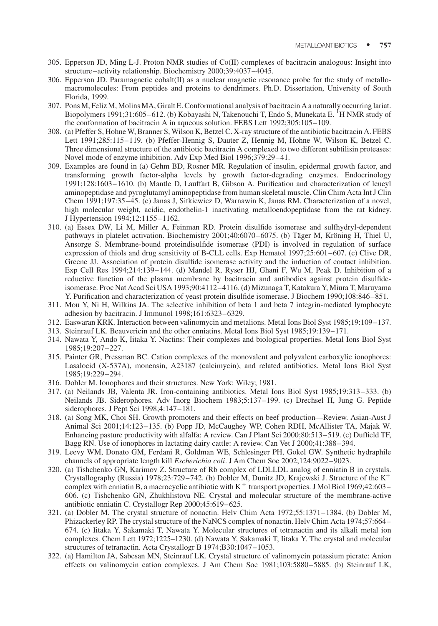- 305. Epperson JD, Ming L-J. Proton NMR studies of Co(II) complexes of bacitracin analogous: Insight into structure–activity relationship. Biochemistry 2000;39:4037–4045.
- 306. Epperson JD. Paramagnetic cobalt(II) as a nuclear magnetic resonance probe for the study of metallomacromolecules: From peptides and proteins to dendrimers. Ph.D. Dissertation, University of South Florida, 1999.
- 307. Pons M, Feliz M, Molins MA, Giralt E. Conformational analysis of bacitracin A a naturally occurring lariat. Biopolymers 1991;31:605–612. (b) Kobayashi N, Takenouchi T, Endo S, Munekata E. <sup>I</sup>H NMR study of the conformation of bacitracin A in aqueous solution. FEBS Lett 1992;305:105–109.
- 308. (a) Pfeffer S, Hohne W, Branner S, Wilson K, Betzel C. X-ray structure of the antibiotic bacitracin A. FEBS Lett 1991;285:115–119. (b) Pfeffer-Hennig S, Dauter Z, Hennig M, Hohne W, Wilson K, Betzel C. Three dimensional structure of the antibiotic bacitracin A complexed to two different subtilisin proteases: Novel mode of enzyme inhibition. Adv Exp Med Biol 1996;379:29–41.
- 309. Examples are found in (a) Gehm BD, Rosner MR. Regulation of insulin, epidermal growth factor, and transforming growth factor-alpha levels by growth factor-degrading enzymes. Endocrinology 1991;128:1603–1610. (b) Mantle D, Lauffart B, Gibson A. Purification and characterization of leucyl aminopeptidase and pyroglutamyl aminopeptidase from human skeletal muscle. Clin Chim Acta Int J Clin Chem 1991;197:35–45. (c) Janas J, Sitkiewicz D, Warnawin K, Janas RM. Characterization of a novel, high molecular weight, acidic, endothelin-1 inactivating metalloendopeptidase from the rat kidney. J Hypertension 1994;12:1155–1162.
- 310. (a) Essex DW, Li M, Miller A, Feinman RD. Protein disulfide isomerase and sulfhydryl-dependent pathways in platelet activation. Biochemistry 2001;40:6070–6075. (b) Täger M, Kröning H, Thiel U, Ansorge S. Membrane-bound proteindisulfide isomerase (PDI) is involved in regulation of surface expression of thiols and drug sensitivity of B-CLL cells. Exp Hematol 1997;25:601–607. (c) Clive DR, Greene JJ. Association of protein disulfide isomerase activity and the induction of contact inhibition. Exp Cell Res 1994;214:139–144. (d) Mandel R, Ryser HJ, Ghani F, Wu M, Peak D. Inhibition of a reductive function of the plasma membrane by bacitracin and antibodies against protein disulfideisomerase. Proc Nat Acad Sci USA 1993;90:4112–4116. (d) Mizunaga T, Katakura Y, Miura T, Maruyama Y. Purification and characterization of yeast protein disulfide isomerase. J Biochem 1990;108:846–851.
- 311. Mou Y, Ni H, Wilkins JA. The selective inhibition of beta 1 and beta 7 integrin-mediated lymphocyte adhesion by bacitracin. J Immunol 1998;161:6323–6329.
- 312. Easwaran KRK. Interaction between valinomycin and metalions. Metal Ions Biol Syst 1985;19:109–137.
- 313. Steinrauf LK. Beauvericin and the other enniatins. Metal Ions Biol Syst 1985;19:139–171.
- 314. Nawata Y, Ando K, Iitaka Y. Nactins: Their complexes and biological properties. Metal Ions Biol Syst 1985;19:207–227.
- 315. Painter GR, Pressman BC. Cation complexes of the monovalent and polyvalent carboxylic ionophores: Lasalocid (X-537A), monensin, A23187 (calcimycin), and related antibiotics. Metal Ions Biol Syst 1985;19:229–294.
- 316. Dobler M. Ionophores and their structures. New York: Wiley; 1981.
- 317. (a) Neilands JB, Valenta JR. Iron-containing antibiotics. Metal Ions Biol Syst 1985;19:313–333. (b) Neilands JB. Siderophores. Adv Inorg Biochem 1983;5:137–199. (c) Drechsel H, Jung G. Peptide siderophores. J Pept Sci 1998;4:147–181.
- 318. (a) Song MK, Choi SH. Growth promoters and their effects on beef production—Review. Asian-Aust J Animal Sci 2001;14:123–135. (b) Popp JD, McCaughey WP, Cohen RDH, McAllister TA, Majak W. Enhancing pasture productivity with alfalfa: A review. Can J Plant Sci 2000;80:513–519. (c) Duffield TF, Bagg RN. Use of ionophores in lactating dairy cattle: A review. Can Vet J 2000;41:388–394.
- 319. Leevy WM, Donato GM, Ferdani R, Goldman WE, Schlesinger PH, Gokel GW. Synthetic hydraphile channels of appropriate length kill Escherichia coli. J Am Chem Soc 2002;124:9022–9023.
- 320. (a) Tishchenko GN, Karimov Z. Structure of Rb complex of LDLLDL analog of enniatin B in crystals. Crystallography (Russia) 1978;23:729–742. (b) Dobler M, Dunitz JD, Krajewski J. Structure of the  $K^+$ complex with enniatin B, a macrocyclic antibiotic with  $K^+$  transport properties. J Mol Biol 1969;42:603– 606. (c) Tishchenko GN, Zhukhlistova NE. Crystal and molecular structure of the membrane-active antibiotic enniatin C. Crystallogr Rep 2000;45:619–625.
- 321. (a) Dobler M. The crystal structure of nonactin. Helv Chim Acta 1972;55:1371–1384. (b) Dobler M, Phizackerley RP. The crystal structure of the NaNCS complex of nonactin. Helv Chim Acta 1974;57:664– 674. (c) Iitaka Y, Sakamaki T, Nawata Y. Molecular structures of tetranactin and its alkali metal ion complexes. Chem Lett 1972;1225–1230. (d) Nawata Y, Sakamaki T, Iitaka Y. The crystal and molecular structures of tetranactin. Acta Crystallogr B 1974;B30:1047–1053.
- 322. (a) Hamilton JA, Sabesan MN, Steinrauf LK. Crystal structure of valinomycin potassium picrate: Anion effects on valinomycin cation complexes. J Am Chem Soc 1981;103:5880–5885. (b) Steinrauf LK,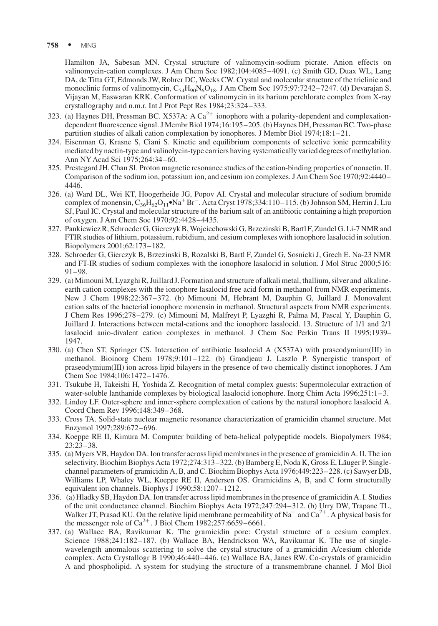#### 758 · MING

Hamilton JA, Sabesan MN. Crystal structure of valinomycin-sodium picrate. Anion effects on valinomycin-cation complexes. J Am Chem Soc 1982;104:4085–4091. (c) Smith GD, Duax WL, Lang DA, de Titta GT, Edmonds JW, Rohrer DC, Weeks CW. Crystal and molecular structure of the triclinic and monoclinic forms of valinomycin, C<sub>54</sub>H<sub>90</sub>N<sub>6</sub>O<sub>18</sub>. J Am Chem Soc 1975;97:7242–7247. (d) Devarajan S, Vijayan M, Easwaran KRK. Conformation of valinomycin in its barium perchlorate complex from X-ray crystallography and n.m.r. Int J Prot Pept Res 1984;23:324–333.

- 323. (a) Haynes DH, Pressman BC. X537A: A  $Ca^{2+}$  ionophore with a polarity-dependent and complexationdependent fluorescence signal. J Membr Biol 1974;16:195–205. (b) Haynes DH, Pressman BC. Two-phase partition studies of alkali cation complexation by ionophores. J Membr Biol 1974;18:1–21.
- 324. Eisenman G, Krasne S, Ciani S. Kinetic and equilibrium components of selective ionic permeability mediated by nactin-type and valinolycin-type carriers having systematically varied degrees of methylation. Ann NY Acad Sci 1975;264:34–60.
- 325. Prestegard JH, Chan SI. Proton magnetic resonance studies of the cation-binding properties of nonactin. II. Comparison of the sodium ion, potassium ion, and cesium ion complexes. J Am Chem Soc 1970;92:4440– 4446.
- 326. (a) Ward DL, Wei KT, Hoogerheide JG, Popov AI. Crystal and molecular structure of sodium bromide complex of monensin,  $C_{36}H_{62}O_{11}\bullet Na^+Br^-$ . Acta Cryst 1978;334:110–115. (b) Johnson SM, Herrin J, Liu SJ, Paul IC. Crystal and molecular structure of the barium salt of an antibiotic containing a high proportion of oxygen. J Am Chem Soc 1970;92:4428–4435.
- 327. Pankiewicz R, Schroeder G, Gierczyk B, Wojciechowski G, Brzezinski B, Bartl F, Zundel G. Li-7 NMR and FTIR studies of lithium, potassium, rubidium, and cesium complexes with ionophore lasalocid in solution. Biopolymers 2001;62:173–182.
- 328. Schroeder G, Gierczyk B, Brzezinski B, Rozalski B, Bartl F, Zundel G, Sosnicki J, Grech E. Na-23 NMR and FT-IR studies of sodium complexes with the ionophore lasalocid in solution. J Mol Struc 2000;516: 91–98.
- 329. (a) Mimouni M, Lyazghi R, Juillard J. Formation and structure of alkali metal, thallium, silver and alkalineearth cation complexes with the ionophore lasalocid free acid form in methanol from NMR experiments. New J Chem 1998;22:367–372. (b) Mimouni M, Hebrant M, Dauphin G, Juillard J. Monovalent cation salts of the bacterial ionophore monensin in methanol. Structural aspects from NMR experiments. J Chem Res 1996;278–279. (c) Mimouni M, Malfreyt P, Lyazghi R, Palma M, Pascal Y, Dauphin G, Juillard J. Interactions between metal-cations and the ionophore lasalocid. 13. Structure of 1/1 and 2/1 lasalocid anio-divalent cation complexes in methanol. J Chem Soc Perkin Trans II 1995;1939– 1947.
- 330. (a) Chen ST, Springer CS. Interaction of antibiotic lasalocid A (X537A) with praseodymium(III) in methanol. Bioinorg Chem 1978;9:101–122. (b) Grandjeau J, Laszlo P. Synergistic transport of praseodymium(III) ion across lipid bilayers in the presence of two chemically distinct ionophores. J Am Chem Soc 1984;106:1472–1476.
- 331. Tsukube H, Takeishi H, Yoshida Z. Recognition of metal complex guests: Supermolecular extraction of water-soluble lanthanide complexes by biological lasalocid ionophore. Inorg Chim Acta 1996;251:1–3.
- 332. Lindoy LF. Outer-sphere and inner-sphere complexation of cations by the natural ionophore lasalocid A. Coord Chem Rev 1996;148:349–368.
- 333. Cross TA. Solid-state nuclear magnetic resonance characterization of gramicidin channel structure. Met Enzymol 1997;289:672–696.
- 334. Koeppe RE II, Kimura M. Computer building of beta-helical polypeptide models. Biopolymers 1984; 23:23–38.
- 335. (a) Myers VB, Haydon DA. Ion transfer across lipid membranes in the presence of gramicidin A. II. The ion selectivity. Biochim Biophys Acta 1972;274:313–322. (b) Bamberg E, Noda K, Gross E, Läuger P. Singlechannel parameters of gramicidin A, B, and C. Biochim Biophys Acta 1976;449:223–228. (c) Sawyer DB, Williams LP, Whaley WL, Koeppe RE II, Andersen OS. Gramicidins A, B, and C form structurally equivalent ion channels. Biophys J 1990;58:1207–1212.
- 336. (a) Hladky SB, Haydon DA. Ion transfer across lipid membranes in the presence of gramicidin A. I. Studies of the unit conductance channel. Biochim Biophys Acta 1972;247:294–312. (b) Urry DW, Trapane TL, Walker JT, Prasad KU. On the relative lipid membrane permeability of Na<sup>+</sup> and Ca<sup>2+</sup>. A physical basis for the messenger role of  $Ca^{2+}$ . J Biol Chem 1982;257:6659–6661.
- 337. (a) Wallace BA, Ravikumar K. The gramicidin pore: Crystal structure of a cesium complex. Science 1988;241:182–187. (b) Wallace BA, Hendrickson WA, Ravikumar K. The use of singlewavelength anomalous scattering to solve the crystal structure of a gramicidin A/cesium chloride complex. Acta Crystallogr B 1990;46:440–446. (c) Wallace BA, Janes RW. Co-crystals of gramicidin A and phospholipid. A system for studying the structure of a transmembrane channel. J Mol Biol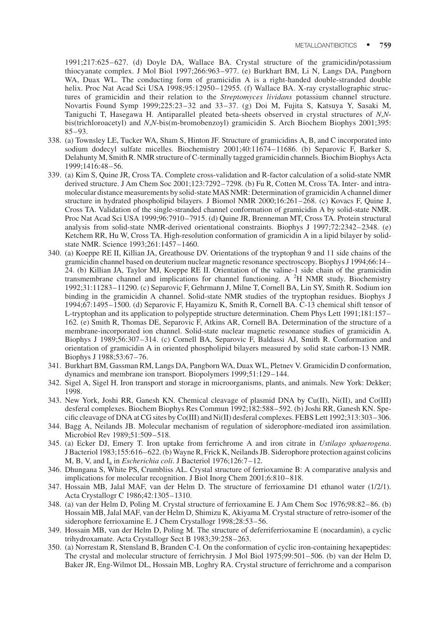1991;217:625–627. (d) Doyle DA, Wallace BA. Crystal structure of the gramicidin/potassium thiocyanate complex. J Mol Biol 1997;266:963–977. (e) Burkhart BM, Li N, Langs DA, Pangborn WA, Duax WL. The conducting form of gramicidin A is a right-handed double-stranded double helix. Proc Nat Acad Sci USA 1998;95:12950-12955. (f) Wallace BA. X-ray crystallographic structures of gramicidin and their relation to the Streptomyces lividans potassium channel structure. Novartis Found Symp 1999;225:23–32 and 33–37. (g) Doi M, Fujita S, Katsuya Y, Sasaki M, Taniguchi T, Hasegawa H. Antiparallel pleated beta-sheets observed in crystal structures of N,Nbis(trichloroacetyl) and N,N-bis(m-bromobenzoyl) gramicidin S. Arch Biochem Biophys 2001;395: 85–93.

- 338. (a) Townsley LE, Tucker WA, Sham S, Hinton JF. Structure of gramicidins A, B, and C incorporated into sodium dodecyl sulfate micelles. Biochemistry 2001;40:11674–11686. (b) Separovic F, Barker S, Delahunty M, Smith R. NMR structure of C-terminally tagged gramicidin channels. Biochim Biophys Acta 1999;1416:48–56.
- 339. (a) Kim S, Quine JR, Cross TA. Complete cross-validation and R-factor calculation of a solid-state NMR derived structure. J Am Chem Soc 2001;123:7292–7298. (b) Fu R, Cotten M, Cross TA. Inter- and intramolecular distance measurements by solid-state MAS NMR: Determination of gramicidin A channel dimer structure in hydrated phospholipid bilayers. J Biomol NMR 2000;16:261–268. (c) Kovacs F, Quine J, Cross TA. Validation of the single-stranded channel conformation of gramicidin A by solid-state NMR. Proc Nat Acad Sci USA 1999;96:7910–7915. (d) Quine JR, Brenneman MT, Cross TA. Protein structural analysis from solid-state NMR-derived orientational constraints. Biophys J 1997;72:2342–2348. (e) Ketchem RR, Hu W, Cross TA. High-resolution conformation of gramicidin A in a lipid bilayer by solidstate NMR. Science 1993;261:1457–1460.
- 340. (a) Koeppe RE II, Killian JA, Greathouse DV. Orientations of the tryptophan 9 and 11 side chains of the gramicidin channel based on deuterium nuclear magnetic resonance spectroscopy. Biophys J 1994;66:14– 24. (b) Killian JA, Taylor MJ, Koeppe RE II. Orientation of the valine-1 side chain of the gramicidin transmembrane channel and implications for channel functioning. A <sup>2</sup>H NMR study. Biochemistry 1992;31:11283–11290. (c) Separovic F, Gehrmann J, Milne T, Cornell BA, Lin SY, Smith R. Sodium ion binding in the gramicidin A channel. Solid-state NMR studies of the tryptophan residues. Biophys J 1994;67:1495–1500. (d) Separovic F, Hayamizu K, Smith R, Cornell BA. C-13 chemical shift tensor of L-tryptophan and its application to polypeptide structure determination. Chem Phys Lett 1991;181:157– 162. (e) Smith R, Thomas DE, Separovic F, Atkins AR, Cornell BA. Determination of the structure of a membrane-incorporated ion channel. Solid-state nuclear magnetic resonance studies of gramicidin A. Biophys J 1989;56:307–314. (c) Cornell BA, Separovic F, Baldassi AJ, Smith R. Conformation and orientation of gramicidin A in oriented phospholipid bilayers measured by solid state carbon-13 NMR. Biophys J 1988;53:67–76.
- 341. Burkhart BM, Gassman RM, Langs DA, Pangborn WA, Duax WL, Pletnev V. Gramicidin D conformation, dynamics and membrane ion transport. Biopolymers 1999;51:129–144.
- 342. Sigel A, Sigel H. Iron transport and storage in microorganisms, plants, and animals. New York: Dekker; 1998.
- 343. New York, Joshi RR, Ganesh KN. Chemical cleavage of plasmid DNA by Cu(II), Ni(II), and Co(III) desferal complexes. Biochem Biophys Res Commun 1992;182:588–592. (b) Joshi RR, Ganesh KN. Specific cleavage of DNA at CG sites by Co(III) and Ni(II) desferal complexes. FEBS Lett 1992;313:303–306.
- 344. Bagg A, Neilands JB. Molecular mechanism of regulation of siderophore-mediated iron assimilation. Microbiol Rev 1989;51:509–518.
- 345. (a) Ecker DJ, Emery T. Iron uptake from ferrichrome A and iron citrate in Ustilago sphaerogena. J Bacteriol 1983;155:616–622. (b) Wayne R, Frick K, Neilands JB. Siderophore protection against colicins M, B, V, and  $I_a$  in *Escherichia coli*. J Bacteriol 1976;126:7–12.
- 346. Dhungana S, White PS, Crumbliss AL. Crystal structure of ferrioxamine B: A comparative analysis and implications for molecular recognition. J Biol Inorg Chem 2001;6:810–818.
- 347. Hossain MB, Jalal MAF, van der Helm D. The structure of ferrioxamine D1 ethanol water (1/2/1). Acta Crystallogr C 1986;42:1305–1310.
- 348. (a) van der Helm D, Poling M. Crystal structure of ferrioxamine E. J Am Chem Soc 1976;98:82–86. (b) Hossain MB, Jalal MAF, van der Helm D, Shimizu K, Akiyama M. Crystal structure of retro-isomer of the siderophore ferrioxamine E. J Chem Crystallogr 1998;28:53–56.
- 349. Hossain MB, van der Helm D, Poling M. The structure of deferriferrioxamine E (nocardamin), a cyclic trihydroxamate. Acta Crystallogr Sect B 1983;39:258–263.
- 350. (a) Norrestam R, Stensland B, Branden C-I. On the conformation of cyclic iron-containing hexapeptides: The crystal and molecular structure of ferrichrysin. J Mol Biol 1975;99:501–506. (b) van der Helm D, Baker JR, Eng-Wilmot DL, Hossain MB, Loghry RA. Crystal structure of ferrichrome and a comparison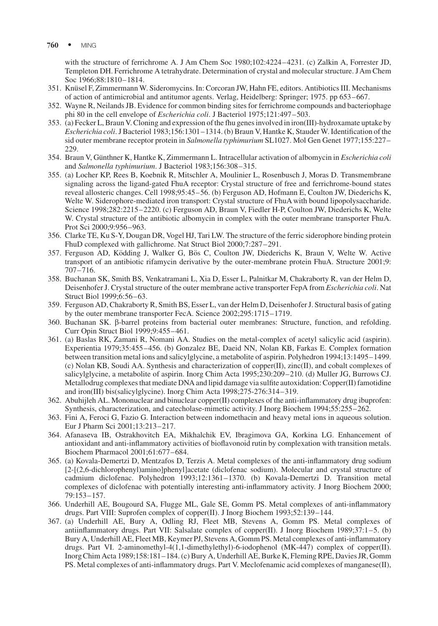with the structure of ferrichrome A. J Am Chem Soc 1980;102:4224–4231. (c) Zalkin A, Forrester JD, Templeton DH. Ferrichrome A tetrahydrate. Determination of crystal and molecular structure. J Am Chem Soc 1966;88:1810–1814.

- 351. Knu¨sel F, Zimmermann W. Sideromycins. In: Corcoran JW, Hahn FE, editors. Antibiotics III. Mechanisms of action of antimicrobial and antitumor agents. Verlag, Heidelberg: Springer; 1975. pp 653–667.
- 352. Wayne R, Neilands JB. Evidence for common binding sites for ferrichrome compounds and bacteriophage phi 80 in the cell envelope of Escherichia coli. J Bacteriol 1975;121:497–503.
- 353. (a) Fecker L, Braun V. Cloning and expression of the fhu genes involved in iron(III)-hydroxamate uptake by Escherichia coli. J Bacteriol 1983;156:1301–1314. (b) Braun V, Hantke K, Stauder W. Identification of the sid outer membrane receptor protein in Salmonella typhimurium SL1027. Mol Gen Genet 1977;155:227– 229.
- 354. Braun V, Günthner K, Hantke K, Zimmermann L. Intracellular activation of albomycin in *Escherichia coli* and Salmonella typhimurium. J Bacteriol 1983;156:308–315.
- 355. (a) Locher KP, Rees B, Koebnik R, Mitschler A, Moulinier L, Rosenbusch J, Moras D. Transmembrane signaling across the ligand-gated FhuA receptor: Crystal structure of free and ferrichrome-bound states reveal allosteric changes. Cell 1998;95:45–56. (b) Ferguson AD, Hofmann E, Coulton JW, Diederichs K, Welte W. Siderophore-mediated iron transport: Crystal structure of FhuA with bound lipopolysaccharide. Science 1998;282:2215–2220. (c) Ferguson AD, Braun V, Fiedler H-P, Coulton JW, Diederichs K, Welte W. Crystal structure of the antibiotic albomycin in complex with the outer membrane transporter FhuA. Prot Sci 2000;9:956–963.
- 356. Clarke TE, Ku S-Y, Dougan DR, Vogel HJ, Tari LW. The structure of the ferric siderophore binding protein FhuD complexed with gallichrome. Nat Struct Biol 2000;7:287–291.
- 357. Ferguson AD, Ködding J, Walker G, Bös C, Coulton JW, Diederichs K, Braun V, Welte W. Active transport of an antibiotic rifamycin derivative by the outer-membrane protein FhuA. Structure 2001;9: 707–716.
- 358. Buchanan SK, Smith BS, Venkatramani L, Xia D, Esser L, Palnitkar M, Chakraborty R, van der Helm D, Deisenhofer J. Crystal structure of the outer membrane active transporter FepA from Escherichia coli. Nat Struct Biol 1999;6:56–63.
- 359. Ferguson AD, Chakraborty R, Smith BS, Esser L, van der Helm D, Deisenhofer J. Structural basis of gating by the outer membrane transporter FecA. Science 2002;295:1715–1719.
- 360. Buchanan SK. b-barrel proteins from bacterial outer membranes: Structure, function, and refolding. Curr Opin Struct Biol 1999;9:455–461.
- 361. (a) Baslas RK, Zamani R, Nomani AA. Studies on the metal-complex of acetyl salicylic acid (aspirin). Experientia 1979;35:455–456. (b) Gonzalez BE, Daeid NN, Nolan KB, Farkas E. Complex formation between transition metal ions and salicylglycine, a metabolite of aspirin. Polyhedron 1994;13:1495–1499. (c) Nolan KB, Soudi AA. Synthesis and characterization of copper(II), zinc(II), and cobalt complexes of salicylglycine, a metabolite of aspirin. Inorg Chim Acta 1995;230:209–210. (d) Muller JG, Burrows CJ. Metallodrug complexes that mediate DNA and lipid damage via sulfite autoxidation: Copper(II) famotidine and iron(III) bis(salicylglycine). Inorg Chim Acta 1998;275-276:314–319.
- 362. Abuhijleh AL. Mononuclear and binuclear copper(II) complexes of the anti-inflammatory drug ibuprofen: Synthesis, characterization, and catecholase-mimetic activity. J Inorg Biochem 1994;55:255–262.
- 363. Fini A, Feroci G, Fazio G. Interaction between indomethacin and heavy metal ions in aqueous solution. Eur J Pharm Sci 2001;13:213–217.
- 364. Afanaseva IB, Ostrakhovitch EA, Mikhalchik EV, Ibragimova GA, Korkina LG. Enhancement of antioxidant and anti-inflammatory activities of bioflavonoid rutin by complexation with transition metals. Biochem Pharmacol 2001;61:677–684.
- 365. (a) Kovala-Demertzi D, Mentzafos D, Terzis A. Metal complexes of the anti-inflammatory drug sodium [2-[(2,6-dichlorophenyl)amino]phenyl]acetate (diclofenac sodium). Molecular and crystal structure of cadmium diclofenac. Polyhedron 1993;12:1361–1370. (b) Kovala-Demertzi D. Transition metal complexes of diclofenac with potentially interesting anti-inflammatory activity. J Inorg Biochem 2000; 79:153–157.
- 366. Underhill AE, Bougourd SA, Flugge ML, Gale SE, Gomm PS. Metal complexes of anti-inflammatory drugs. Part VIII: Suprofen complex of copper(II). J Inorg Biochem 1993;52:139–144.
- 367. (a) Underhill AE, Bury A, Odling RJ, Fleet MB, Stevens A, Gomm PS. Metal complexes of antiinflammatory drugs. Part VII: Salsalate complex of copper(II). J Inorg Biochem 1989;37:1–5. (b) Bury A, Underhill AE, Fleet MB, Keymer PJ, Stevens A, Gomm PS. Metal complexes of anti-inflammatory drugs. Part VI. 2-aminomethyl-4(1,1-dimethylethyl)-6-iodophenol (MK-447) complex of copper(II). Inorg Chim Acta 1989;158:181–184. (c) Bury A, Underhill AE, Burke K, Fleming RPE, Davies JR, Gomm PS. Metal complexes of anti-inflammatory drugs. Part V. Meclofenamic acid complexes of manganese(II),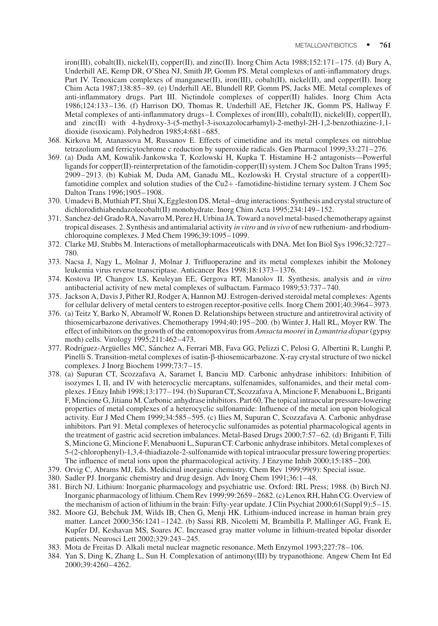iron(III), cobalt(II), nickel(II), copper(II), and zinc(II). Inorg Chim Acta  $1988;152:171-175$ . (d) Bury A, Underhill AE, Kemp DR, O'Shea NJ, Smith JP, Gomm PS. Metal complexes of anti-inflammatory drugs. Part IV. Tenoxicam complexes of manganese(II), iron(III), cobalt(II), nickel(II), and copper(II). Inorg Chim Acta 1987;138:85–89. (e) Underhill AE, Blundell RP, Gomm PS, Jacks ME. Metal complexes of anti-inflammatory drugs. Part III. Nictindole complexes of copper(II) halides. Inorg Chim Acta 1986;124:133–136. (f) Harrison DO, Thomas R, Underhill AE, Fletcher JK, Gomm PS, Hallway F. Metal complexes of anti-inflammatory drugs–I. Complexes of iron(III), cobalt(II), nickel(II), copper(II), and zinc(II) with 4-hydroxy-3-(5-methyl-3-isoxazolocarbamyl)-2-methyl-2H-1,2-benzothiazine-1,1 dioxide (isoxicam). Polyhedron 1985;4:681–685.

- 368. Kirkova M, Atanassova M, Russanov E. Effects of cimetidine and its metal complexes on nitroblue tetrazolium and ferricytochrome c reduction by superoxide radicals. Gen Pharmacol 1999;33:271–276.
- 369. (a) Duda AM, Kowalik-Jankowska T, Kozlowski H, Kupka T. Histamine H-2 antagonists—Powerful ligands for copper(II)-reinterpretation of the famotidin-copper(II) system. J Chem Soc Dalton Trans 1995; 2909–2913. (b) Kubiak M, Duda AM, Ganadu ML, Kozlowski H. Crystal structure of a copper(II) famotidine complex and solution studies of the Cu2+-famotidine-histidine ternary system. J Chem Soc Dalton Trans 1996;1905–1908.
- 370. Umadevi B, Muthiah PT, Shui X, Eggleston DS. Metal–drug interactions: Synthesis and crystal structure of dichlorodithiabendazolecobalt(II) monohydrate. Inorg Chim Acta 1995;234:149–152.
- 371. Sanchez-del Grado RA, Navarro M, Perez H, Urbina JA. Toward a novel metal-based chemotherapy against tropical diseases. 2. Synthesis and antimalarial activity in vitro and in vivo of new ruthenium- and rhodiumchloroquine complexes. J Med Chem 1996;39:1095–1099.
- 372. Clarke MJ, Stubbs M. Interactions of metallopharmaceuticals with DNA. Met Ion Biol Sys 1996;32:727– 780.
- 373. Nacsa J, Nagy L, Molnar J, Molnar J. Trifluoperazine and its metal complexes inhibit the Moloney leukemia virus reverse transcriptase. Anticancer Res 1998;18:1373–1376.
- 374. Kostova IP, Changov LS, Keuleyan EE, Gergova RT, Manolov II. Synthesis, analysis and in vitro antibacterial activity of new metal complexes of sulbactam. Farmaco 1989;53:737–740.
- 375. Jackson A, Davis J, Pither RJ, Rodger A, Hannon MJ. Estrogen-derived steroidal metal complexes: Agents for cellular delivery of metal centers to estrogen receptor-positive cells. Inorg Chem 2001;40:3964–3973.
- 376. (a) Teitz Y, Barko N, Abramolf W, Ronen D. Relationships between structure and antiretroviral activity of thiosemicarbazone derivatives. Chemotherapy 1994;40:195–200. (b) Winter J, Hall RL, Moyer RW. The effect of inhibitors on the growth of the entomopoxvirus from *Amsacta moorei* in *Lymantria dispar* (gypsy moth) cells. Virology 1995;211:462–473.
- 377. Rodríguez-Argüelles MC, Sánchez A, Ferrari MB, Fava GG, Pelizzi C, Pelosi G, Albertini R, Lunghi P, Pinelli S. Transition-metal complexes of isatin-β-thiosemicarbazone. X-ray crystal structure of two nickel complexes. J Inorg Biochem 1999;73:7-15.
- 378. (a) Supuran CT, Scozzafava A, Saramet I, Banciu MD. Carbonic anhydrase inhibitors: Inhibition of isozymes I, II, and IV with heterocyclic mercaptans, sulfenamides, sulfonamides, and their metal complexes. J Enzy Inhib 1998;13:177–194. (b) Supuran CT, Scozzafava A, Mincione F, Menabuoni L, Briganti F, Mincione G, Jitianu M. Carbonic anhydrase inhibitors. Part 60. The topical intraocular pressure-lowering properties of metal complexes of a heterocyclic sulfonamide: Influence of the metal ion upon biological activity. Eur J Med Chem 1999;34:585–595. (c) Ilies M, Supuran C, Scozzafava A. Carbonic anhydrase inhibitors. Part 91. Metal complexes of heterocyclic sulfonamides as potential pharmacological agents in the treatment of gastric acid secretion imbalances. Metal-Based Drugs 2000;7:57–62. (d) Briganti F, Tilli S, Mincione G, Mincione F, Menabuoni L, Supuran CT. Carbonic anhydrase inhibitors. Metal complexes of 5-(2-chlorophenyl)-1,3,4-thiadiazole-2-sulfonamide with topical intraocular pressure lowering properties: The influence of metal ions upon the pharmacological activity. J Enzyme Inhib 2000;15:185–200.
- 379. Orvig C, Abrams MJ, Eds. Medicinal inorganic chemistry. Chem Rev 1999;99(9): Special issue.
- 380. Sadler PJ. Inorganic chemistry and drug design. Adv Inorg Chem 1991;36:1–48.
- 381. Birch NJ. Lithium: Inorganic pharmacology and psychiatric use. Oxford: IRL Press; 1988. (b) Birch NJ. Inorganic pharmacology of lithium. Chem Rev 1999;99:2659–2682. (c) Lenox RH, Hahn CG. Overview of the mechanism of action of lithium in the brain: Fifty-year update. J Clin Psychiat 2000;61(Suppl 9):5–15.
- 382. Moore GJ, Bebchuk JM, Wilds IB, Chen G, Menji HK. Lithium-induced increase in human brain grey matter. Lancet 2000;356:1241–1242. (b) Sassi RB, Nicoletti M, Brambilla P, Mallinger AG, Frank E, Kupfer DJ, Keshavan MS, Soares JC. Increased gray matter volume in lithium-treated bipolar disorder patients. Neurosci Lett 2002;329:243–245.
- 383. Mota de Freitas D. Alkali metal nuclear magnetic resonance. Meth Enzymol 1993;227:78–106.
- 384. Yan S, Ding K, Zhang L, Sun H. Complexation of antimony(III) by trypanothione. Angew Chem Int Ed 2000;39:4260–4262.